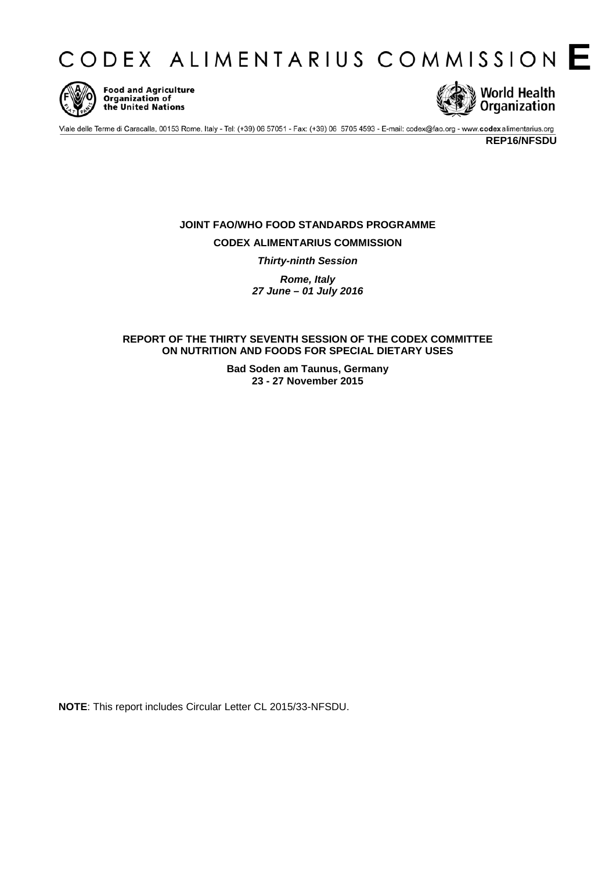



**Food and Agriculture** Organization of the United Nations



Viale delle Terme di Caracalla, 00153 Rome, Italy - Tel: (+39) 06 57051 - Fax: (+39) 06 5705 4593 - E-mail: codex@fao.org - www.codexalimentarius.org

**REP16/NFSDU**

# **JOINT FAO/WHO FOOD STANDARDS PROGRAMME CODEX ALIMENTARIUS COMMISSION** *Thirty-ninth Session*

*Rome, Italy 27 June – 01 July 2016*

**REPORT OF THE THIRTY SEVENTH SESSION OF THE CODEX COMMITTEE ON NUTRITION AND FOODS FOR SPECIAL DIETARY USES**

> **Bad Soden am Taunus, Germany 23 - 27 November 2015**

**NOTE**: This report includes Circular Letter CL 2015/33-NFSDU.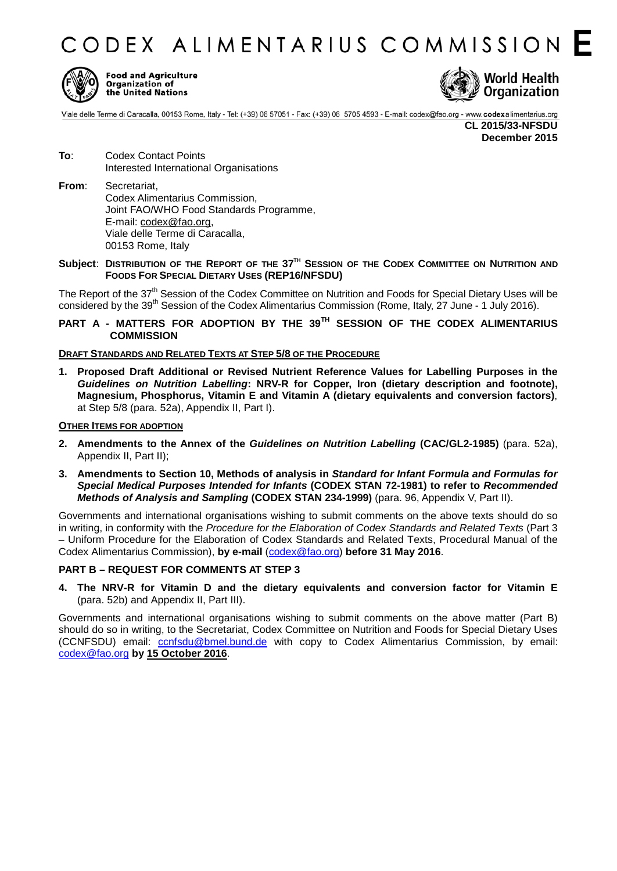CODEX ALIMENTARIUS COMMISSION F



**Food and Agriculture** Organization of the United Nations



Viale delle Terme di Caracalla, 00153 Rome, Italy - Tel: (+39) 06 57051 - Fax: (+39) 06 5705 4593 - E-mail: codex@fao.org - www.codexalimentarius.org

**CL 2015/33-NFSDU December 2015**

- **To**: Codex Contact Points Interested International Organisations
- **From**: Secretariat, Codex Alimentarius Commission, Joint FAO/WHO Food Standards Programme, E-mail: [codex@fao.org,](mailto:codex@fao.org) Viale delle Terme di Caracalla, 00153 Rome, Italy

### **Subject**: **DISTRIBUTION OF THE REPORT OF THE 37TH SESSION OF THE CODEX COMMITTEE ON NUTRITION AND FOODS FOR SPECIAL DIETARY USES (REP16/NFSDU)**

The Report of the  $37<sup>th</sup>$  Session of the Codex Committee on Nutrition and Foods for Special Dietary Uses will be considered by the 39<sup>th</sup> Session of the Codex Alimentarius Commission (Rome, Italy, 27 June - 1 July 2016).

## **PART A - MATTERS FOR ADOPTION BY THE 39 TH SESSION OF THE CODEX ALIMENTARIUS COMMISSION**

### **DRAFT STANDARDS AND RELATED TEXTS AT STEP 5/8 OF THE PROCEDURE**

**1. Proposed Draft Additional or Revised Nutrient Reference Values for Labelling Purposes in the** *Guidelines on Nutrition Labelling***: NRV-R for Copper, Iron (dietary description and footnote), Magnesium, Phosphorus, Vitamin E and Vitamin A (dietary equivalents and conversion factors)**, at Step 5/8 (para. 52a), Appendix II, Part I).

### **OTHER ITEMS FOR ADOPTION**

- **2. Amendments to the Annex of the** *Guidelines on Nutrition Labelling* **(CAC/GL2-1985)** (para. 52a), Appendix II, Part II);
- **3. Amendments to Section 10, Methods of analysis in** *Standard for Infant Formula and Formulas for Special Medical Purposes Intended for Infants* **(CODEX STAN 72-1981) to refer to** *Recommended Methods of Analysis and Sampling* **(CODEX STAN 234-1999)** (para. 96, Appendix V, Part II).

Governments and international organisations wishing to submit comments on the above texts should do so in writing, in conformity with the *Procedure for the Elaboration of Codex Standards and Related Texts* (Part 3 – Uniform Procedure for the Elaboration of Codex Standards and Related Texts, Procedural Manual of the Codex Alimentarius Commission), **by e-mail** [\(codex@fao.org\)](mailto:codex@fao.org) **before 31 May 2016**.

### **PART B – REQUEST FOR COMMENTS AT STEP 3**

**4. The NRV-R for Vitamin D and the dietary equivalents and conversion factor for Vitamin E** (para. 52b) and Appendix II, Part III).

Governments and international organisations wishing to submit comments on the above matter (Part B) should do so in writing, to the Secretariat, Codex Committee on Nutrition and Foods for Special Dietary Uses (CCNFSDU) email: [ccnfsdu@bmel.bund.de](mailto:ccnfsdu@bmel.bund.de) with copy to Codex Alimentarius Commission, by email: [codex@fao.org](mailto:codex@fao.org) **by 15 October 2016**.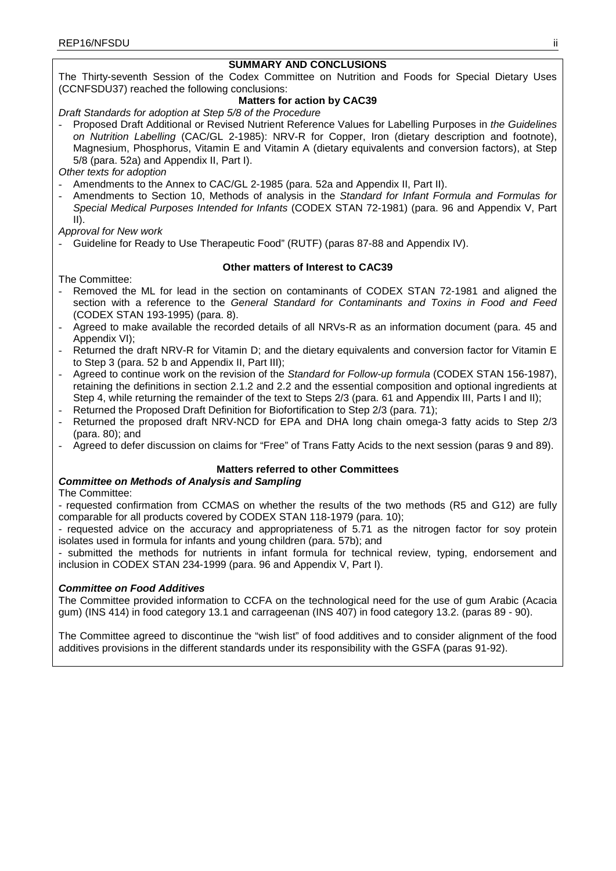## **SUMMARY AND CONCLUSIONS**

The Thirty-seventh Session of the Codex Committee on Nutrition and Foods for Special Dietary Uses (CCNFSDU37) reached the following conclusions:

## **Matters for action by CAC39**

*Draft Standards for adoption at Step 5/8 of the Procedure*

- Proposed Draft Additional or Revised Nutrient Reference Values for Labelling Purposes in *the Guidelines on Nutrition Labelling* (CAC/GL 2-1985): NRV-R for Copper, Iron (dietary description and footnote), Magnesium, Phosphorus, Vitamin E and Vitamin A (dietary equivalents and conversion factors), at Step 5/8 (para. 52a) and Appendix II, Part I).

*Other texts for adoption*

- Amendments to the Annex to CAC/GL 2-1985 (para. 52a and Appendix II, Part II).
- Amendments to Section 10, Methods of analysis in the *Standard for Infant Formula and Formulas for Special Medical Purposes Intended for Infants* (CODEX STAN 72-1981) (para. 96 and Appendix V, Part II).

*Approval for New work*

Guideline for Ready to Use Therapeutic Food" (RUTF) (paras 87-88 and Appendix IV).

## **Other matters of Interest to CAC39**

The Committee:

- Removed the ML for lead in the section on contaminants of CODEX STAN 72-1981 and aligned the section with a reference to the *General Standard for Contaminants and Toxins in Food and Feed* (CODEX STAN 193-1995) (para. 8).
- Agreed to make available the recorded details of all NRVs-R as an information document (para. 45 and Appendix VI);
- Returned the draft NRV-R for Vitamin D; and the dietary equivalents and conversion factor for Vitamin E to Step 3 (para. 52 b and Appendix II, Part III);
- Agreed to continue work on the revision of the *Standard for Follow-up formula* (CODEX STAN 156-1987), retaining the definitions in section 2.1.2 and 2.2 and the essential composition and optional ingredients at Step 4, while returning the remainder of the text to Steps 2/3 (para. 61 and Appendix III, Parts I and II);
- Returned the Proposed Draft Definition for Biofortification to Step 2/3 (para. 71);
- Returned the proposed draft NRV-NCD for EPA and DHA long chain omega-3 fatty acids to Step 2/3 (para. 80); and
- Agreed to defer discussion on claims for "Free" of Trans Fatty Acids to the next session (paras 9 and 89).

## **Matters referred to other Committees**

## *Committee on Methods of Analysis and Sampling*

The Committee:

- requested confirmation from CCMAS on whether the results of the two methods (R5 and G12) are fully comparable for all products covered by CODEX STAN 118-1979 (para. 10);

- requested advice on the accuracy and appropriateness of 5.71 as the nitrogen factor for soy protein isolates used in formula for infants and young children (para. 57b); and

- submitted the methods for nutrients in infant formula for technical review, typing, endorsement and inclusion in CODEX STAN 234-1999 (para. 96 and Appendix V, Part I).

## *Committee on Food Additives*

The Committee provided information to CCFA on the technological need for the use of gum Arabic (Acacia gum) (INS 414) in food category 13.1 and carrageenan (INS 407) in food category 13.2. (paras 89 - 90).

The Committee agreed to discontinue the "wish list" of food additives and to consider alignment of the food additives provisions in the different standards under its responsibility with the GSFA (paras 91-92).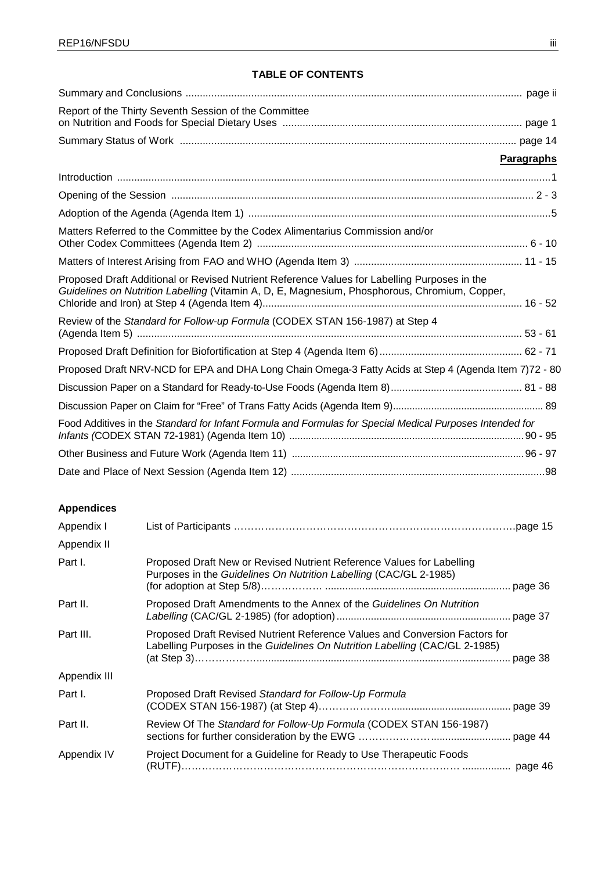# **TABLE OF CONTENTS**

| Report of the Thirty Seventh Session of the Committee                                                                                                                                         |                   |
|-----------------------------------------------------------------------------------------------------------------------------------------------------------------------------------------------|-------------------|
|                                                                                                                                                                                               |                   |
|                                                                                                                                                                                               | <b>Paragraphs</b> |
|                                                                                                                                                                                               |                   |
|                                                                                                                                                                                               |                   |
|                                                                                                                                                                                               |                   |
| Matters Referred to the Committee by the Codex Alimentarius Commission and/or                                                                                                                 |                   |
|                                                                                                                                                                                               |                   |
| Proposed Draft Additional or Revised Nutrient Reference Values for Labelling Purposes in the<br>Guidelines on Nutrition Labelling (Vitamin A, D, E, Magnesium, Phosphorous, Chromium, Copper, |                   |
| Review of the Standard for Follow-up Formula (CODEX STAN 156-1987) at Step 4                                                                                                                  |                   |
|                                                                                                                                                                                               |                   |
| Proposed Draft NRV-NCD for EPA and DHA Long Chain Omega-3 Fatty Acids at Step 4 (Agenda Item 7)72 - 80                                                                                        |                   |
|                                                                                                                                                                                               |                   |
|                                                                                                                                                                                               |                   |
| Food Additives in the Standard for Infant Formula and Formulas for Special Medical Purposes Intended for                                                                                      |                   |
|                                                                                                                                                                                               |                   |
|                                                                                                                                                                                               |                   |

# **Appendices**

| Appendix I   |                                                                                                                                                            |
|--------------|------------------------------------------------------------------------------------------------------------------------------------------------------------|
| Appendix II  |                                                                                                                                                            |
| Part I.      | Proposed Draft New or Revised Nutrient Reference Values for Labelling<br>Purposes in the Guidelines On Nutrition Labelling (CAC/GL 2-1985)                 |
| Part II.     | Proposed Draft Amendments to the Annex of the Guidelines On Nutrition                                                                                      |
| Part III.    | Proposed Draft Revised Nutrient Reference Values and Conversion Factors for<br>Labelling Purposes in the Guidelines On Nutrition Labelling (CAC/GL 2-1985) |
| Appendix III |                                                                                                                                                            |
| Part I.      | Proposed Draft Revised Standard for Follow-Up Formula                                                                                                      |
| Part II.     | Review Of The Standard for Follow-Up Formula (CODEX STAN 156-1987)                                                                                         |
| Appendix IV  | Project Document for a Guideline for Ready to Use Therapeutic Foods                                                                                        |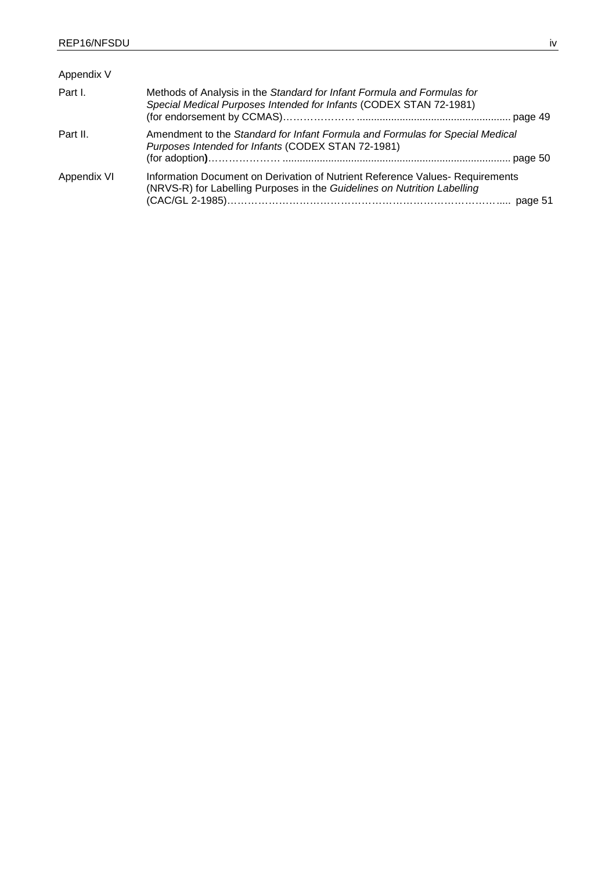| Appendix V  |                                                                                                                                                          |
|-------------|----------------------------------------------------------------------------------------------------------------------------------------------------------|
| Part I.     | Methods of Analysis in the Standard for Infant Formula and Formulas for<br>Special Medical Purposes Intended for Infants (CODEX STAN 72-1981)            |
| Part II.    | Amendment to the Standard for Infant Formula and Formulas for Special Medical<br>Purposes Intended for Infants (CODEX STAN 72-1981)                      |
| Appendix VI | Information Document on Derivation of Nutrient Reference Values-Requirements<br>(NRVS-R) for Labelling Purposes in the Guidelines on Nutrition Labelling |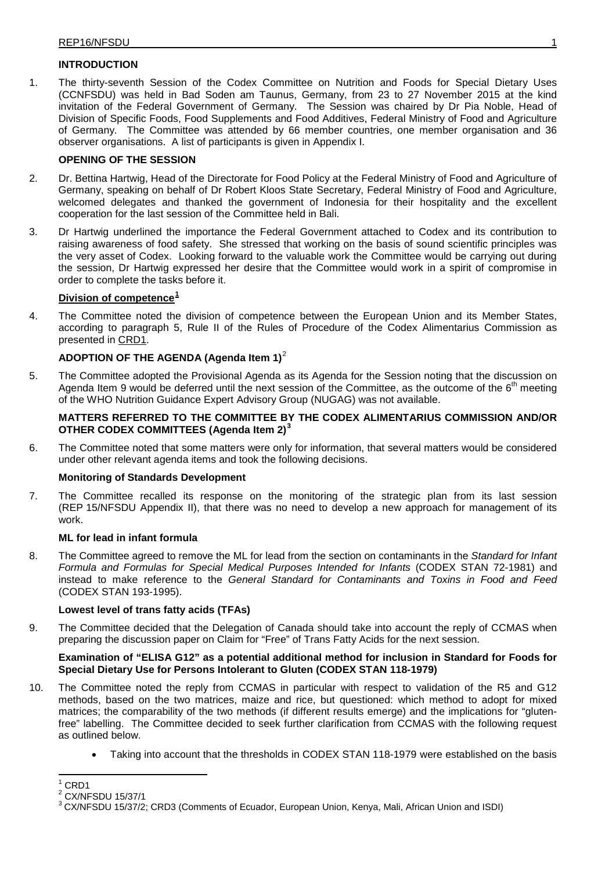## **INTRODUCTION**

1. The thirty-seventh Session of the Codex Committee on Nutrition and Foods for Special Dietary Uses (CCNFSDU) was held in Bad Soden am Taunus, Germany, from 23 to 27 November 2015 at the kind invitation of the Federal Government of Germany. The Session was chaired by Dr Pia Noble, Head of Division of Specific Foods, Food Supplements and Food Additives, Federal Ministry of Food and Agriculture of Germany. The Committee was attended by 66 member countries, one member organisation and 36 observer organisations. A list of participants is given in Appendix I.

## **OPENING OF THE SESSION**

- 2. Dr. Bettina Hartwig, Head of the Directorate for Food Policy at the Federal Ministry of Food and Agriculture of Germany, speaking on behalf of Dr Robert Kloos State Secretary, Federal Ministry of Food and Agriculture, welcomed delegates and thanked the government of Indonesia for their hospitality and the excellent cooperation for the last session of the Committee held in Bali.
- 3. Dr Hartwig underlined the importance the Federal Government attached to Codex and its contribution to raising awareness of food safety. She stressed that working on the basis of sound scientific principles was the very asset of Codex. Looking forward to the valuable work the Committee would be carrying out during the session, Dr Hartwig expressed her desire that the Committee would work in a spirit of compromise in order to complete the tasks before it.

## **Division of competence[1](#page-5-0)**

4. The Committee noted the division of competence between the European Union and its Member States, according to paragraph 5, Rule II of the Rules of Procedure of the Codex Alimentarius Commission as presented in [CRD1.](http://www.codexalimentarius.org/sh-proxy/en/?lnk=1&url=https%253A%252F%252Fworkspace.fao.org%252Fsites%252Fcodex%252FMeetings%252FCX-720-37%252FCRD%252FCRD_01e.pdf)

# **ADOPTION OF THE AGENDA (Agenda Item 1)**[2](#page-5-1)

5. The Committee adopted the Provisional Agenda as its Agenda for the Session noting that the discussion on Agenda Item 9 would be deferred until the next session of the Committee, as the outcome of the  $6<sup>th</sup>$  meeting of the WHO Nutrition Guidance Expert Advisory Group (NUGAG) was not available.

## **MATTERS REFERRED TO THE COMMITTEE BY THE CODEX ALIMENTARIUS COMMISSION AND/OR OTHER CODEX COMMITTEES (Agenda Item 2) [3](#page-5-2)**

6. The Committee noted that some matters were only for information, that several matters would be considered under other relevant agenda items and took the following decisions.

## **Monitoring of Standards Development**

7. The Committee recalled its response on the monitoring of the strategic plan from its last session (REP 15/NFSDU Appendix II), that there was no need to develop a new approach for management of its work.

## **ML for lead in infant formula**

8. The Committee agreed to remove the ML for lead from the section on contaminants in the *Standard for Infant Formula and Formulas for Special Medical Purposes Intended for Infants* (CODEX STAN 72-1981) and instead to make reference to the *General Standard for Contaminants and Toxins in Food and Feed* (CODEX STAN 193-1995).

## **Lowest level of trans fatty acids (TFAs)**

9. The Committee decided that the Delegation of Canada should take into account the reply of CCMAS when preparing the discussion paper on Claim for "Free" of Trans Fatty Acids for the next session.

### **Examination of "ELISA G12" as a potential additional method for inclusion in Standard for Foods for Special Dietary Use for Persons Intolerant to Gluten (CODEX STAN 118-1979)**

- 10. The Committee noted the reply from CCMAS in particular with respect to validation of the R5 and G12 methods, based on the two matrices, maize and rice, but questioned: which method to adopt for mixed matrices; the comparability of the two methods (if different results emerge) and the implications for "glutenfree" labelling. The Committee decided to seek further clarification from CCMAS with the following request as outlined below.
	- Taking into account that the thresholds in CODEX STAN 118-1979 were established on the basis

<span id="page-5-0"></span> $^1$  [CRD1](ftp://ftp.fao.org/CODEX/Meetings/CCNFSDU/ccnfsdu36/CRDS/CRD_01e.pdf)<br> $^2$  CX/NFSDU 15/37/1

<span id="page-5-2"></span><span id="page-5-1"></span><sup>&</sup>lt;sup>3</sup> [CX/NFSDU](http://www.codexalimentarius.org/sh-proxy/en/?lnk=1&url=https%253A%252F%252Fworkspace.fao.org%252Fsites%252Fcodex%252FMeetings%252FCX-720-37%252FWD%252Fnf37_02e.pdf) 15/37/2; [CRD3](ftp://ftp.fao.org/CODEX/Meetings/CCNFSDU/ccnfsdu36/CRDS/CRD_02.pdf) (Comments of Ecuador, European Union, Kenya, Mali, African Union and ISDI)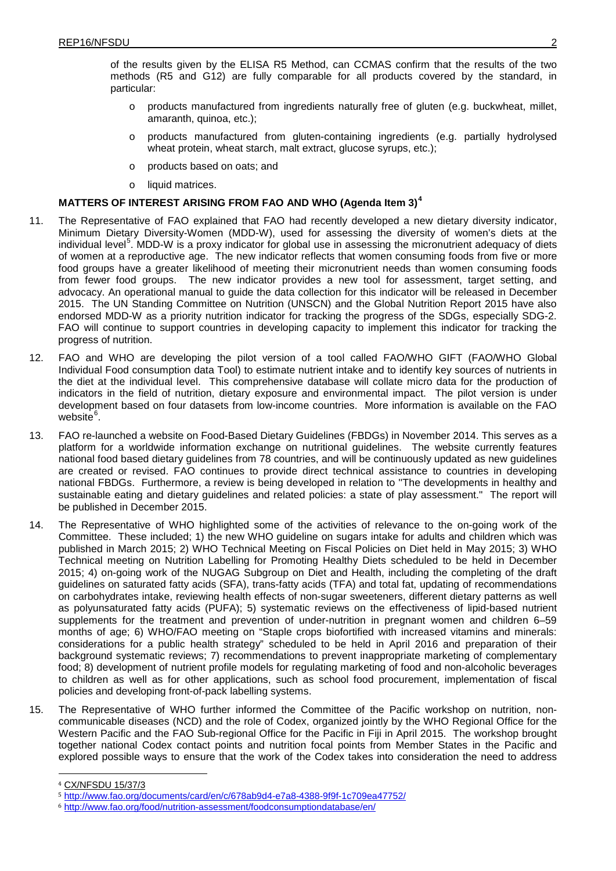of the results given by the ELISA R5 Method, can CCMAS confirm that the results of the two methods (R5 and G12) are fully comparable for all products covered by the standard, in particular:

- o products manufactured from ingredients naturally free of gluten (e.g. buckwheat, millet, amaranth, quinoa, etc.);
- o products manufactured from gluten-containing ingredients (e.g. partially hydrolysed wheat protein, wheat starch, malt extract, glucose syrups, etc.);
- o products based on oats; and
- o liquid matrices.

# **MATTERS OF INTEREST ARISING FROM FAO AND WHO (Agenda Item 3)[4](#page-6-0)**

- 11. The Representative of FAO explained that FAO had recently developed a new dietary diversity indicator, Minimum Dietary Diversity-Women (MDD-W), used for assessing the diversity of women's diets at the individual level<sup>[5](#page-6-1)</sup>. MDD-W is a proxy indicator for global use in assessing the micronutrient adequacy of diets of women at a reproductive age. The new indicator reflects that women consuming foods from five or more food groups have a greater likelihood of meeting their micronutrient needs than women consuming foods from fewer food groups. The new indicator provides a new tool for assessment, target setting, and advocacy. An operational manual to guide the data collection for this indicator will be released in December 2015. The UN Standing Committee on Nutrition (UNSCN) and the Global Nutrition Report 2015 have also endorsed MDD-W as a priority nutrition indicator for tracking the progress of the SDGs, especially SDG-2. FAO will continue to support countries in developing capacity to implement this indicator for tracking the progress of nutrition.
- 12. FAO and WHO are developing the pilot version of a tool called FAO/WHO GIFT (FAO/WHO Global Individual Food consumption data Tool) to estimate nutrient intake and to identify key sources of nutrients in the diet at the individual level. This comprehensive database will collate micro data for the production of indicators in the field of nutrition, dietary exposure and environmental impact. The pilot version is under development based on four datasets from low-income countries. More information is available on the FAO website<sup>[6](#page-6-2)</sup>.
- 13. FAO re-launched a website on Food-Based Dietary Guidelines (FBDGs) in November 2014. This serves as a platform for a worldwide information exchange on nutritional guidelines. The website currently features national food based dietary guidelines from 78 countries, and will be continuously updated as new guidelines are created or revised. FAO continues to provide direct technical assistance to countries in developing national FBDGs. Furthermore, a review is being developed in relation to ''The developments in healthy and sustainable eating and dietary guidelines and related policies: a state of play assessment." The report will be published in December 2015.
- 14. The Representative of WHO highlighted some of the activities of relevance to the on-going work of the Committee. These included; 1) the new WHO guideline on sugars intake for adults and children which was published in March 2015; 2) WHO Technical Meeting on Fiscal Policies on Diet held in May 2015; 3) WHO Technical meeting on Nutrition Labelling for Promoting Healthy Diets scheduled to be held in December 2015; 4) on-going work of the NUGAG Subgroup on Diet and Health, including the completing of the draft guidelines on saturated fatty acids (SFA), trans-fatty acids (TFA) and total fat, updating of recommendations on carbohydrates intake, reviewing health effects of non-sugar sweeteners, different dietary patterns as well as polyunsaturated fatty acids (PUFA); 5) systematic reviews on the effectiveness of lipid-based nutrient supplements for the treatment and prevention of under-nutrition in pregnant women and children 6–59 months of age; 6) WHO/FAO meeting on "Staple crops biofortified with increased vitamins and minerals: considerations for a public health strategy" scheduled to be held in April 2016 and preparation of their background systematic reviews; 7) recommendations to prevent inappropriate marketing of complementary food; 8) development of nutrient profile models for regulating marketing of food and non-alcoholic beverages to children as well as for other applications, such as school food procurement, implementation of fiscal policies and developing front-of-pack labelling systems.
- 15. The Representative of WHO further informed the Committee of the Pacific workshop on nutrition, noncommunicable diseases (NCD) and the role of Codex, organized jointly by the WHO Regional Office for the Western Pacific and the FAO Sub-regional Office for the Pacific in Fiji in April 2015. The workshop brought together national Codex contact points and nutrition focal points from Member States in the Pacific and explored possible ways to ensure that the work of the Codex takes into consideration the need to address

<span id="page-6-0"></span> <sup>4</sup> [CX/NFSDU](http://www.codexalimentarius.org/sh-proxy/en/?lnk=1&url=https%253A%252F%252Fworkspace.fao.org%252Fsites%252Fcodex%252FMeetings%252FCX-720-37%252FWD%252Fnf37_3e.pdf) 15/37/3

<span id="page-6-1"></span><sup>5</sup> <http://www.fao.org/documents/card/en/c/678ab9d4-e7a8-4388-9f9f-1c709ea47752/>

<span id="page-6-2"></span><sup>6</sup> <http://www.fao.org/food/nutrition-assessment/foodconsumptiondatabase/en/>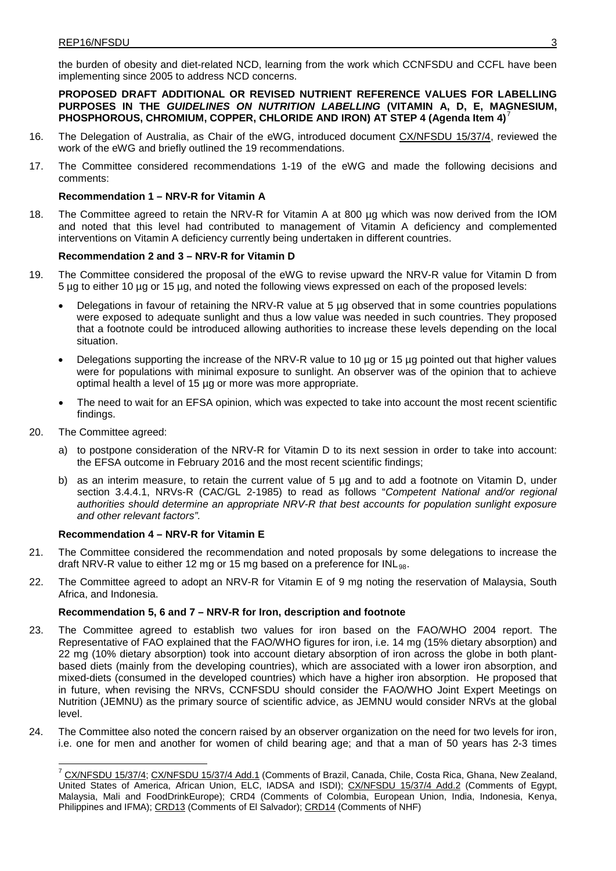the burden of obesity and diet-related NCD, learning from the work which CCNFSDU and CCFL have been implementing since 2005 to address NCD concerns.

**PROPOSED DRAFT ADDITIONAL OR REVISED NUTRIENT REFERENCE VALUES FOR LABELLING PURPOSES IN THE** *GUIDELINES ON NUTRITION LABELLING* **(VITAMIN A, D, E, MAGNESIUM, PHOSPHOROUS, CHROMIUM, COPPER, CHLORIDE AND IRON) AT STEP 4 (Agenda Item 4)**[7](#page-7-0)

- 16. The Delegation of Australia, as Chair of the eWG, introduced document [CX/NFSDU](http://www.codexalimentarius.org/sh-proxy/en/?lnk=1&url=https%253A%252F%252Fworkspace.fao.org%252Fsites%252Fcodex%252FMeetings%252FCX-720-37%252FWD%252Fnf37_04-Add.1e.pdf) 15/37/4, reviewed the work of the eWG and briefly outlined the 19 recommendations.
- 17. The Committee considered recommendations 1-19 of the eWG and made the following decisions and comments:

## **Recommendation 1 – NRV-R for Vitamin A**

18. The Committee agreed to retain the NRV-R for Vitamin A at 800 µg which was now derived from the IOM and noted that this level had contributed to management of Vitamin A deficiency and complemented interventions on Vitamin A deficiency currently being undertaken in different countries.

## **Recommendation 2 and 3 – NRV-R for Vitamin D**

- 19. The Committee considered the proposal of the eWG to revise upward the NRV-R value for Vitamin D from 5 µg to either 10 µg or 15 µg, and noted the following views expressed on each of the proposed levels:
	- Delegations in favour of retaining the NRV-R value at 5 µg observed that in some countries populations were exposed to adequate sunlight and thus a low value was needed in such countries. They proposed that a footnote could be introduced allowing authorities to increase these levels depending on the local situation.
	- Delegations supporting the increase of the NRV-R value to 10 µg or 15 µg pointed out that higher values were for populations with minimal exposure to sunlight. An observer was of the opinion that to achieve optimal health a level of 15 µg or more was more appropriate.
	- The need to wait for an EFSA opinion, which was expected to take into account the most recent scientific findings.
- 20. The Committee agreed:
	- a) to postpone consideration of the NRV-R for Vitamin D to its next session in order to take into account: the EFSA outcome in February 2016 and the most recent scientific findings;
	- b) as an interim measure, to retain the current value of 5 µg and to add a footnote on Vitamin D, under section 3.4.4.1, NRVs-R (CAC/GL 2-1985) to read as follows "*Competent National and/or regional authorities should determine an appropriate NRV-R that best accounts for population sunlight exposure and other relevant factors".*

### **Recommendation 4 – NRV-R for Vitamin E**

- 21. The Committee considered the recommendation and noted proposals by some delegations to increase the draft NRV-R value to either 12 mg or 15 mg based on a preference for INL $_{\rm 98}$ .
- 22. The Committee agreed to adopt an NRV-R for Vitamin E of 9 mg noting the reservation of Malaysia, South Africa, and Indonesia.

### **Recommendation 5, 6 and 7 – NRV-R for Iron, description and footnote**

- 23. The Committee agreed to establish two values for iron based on the FAO/WHO 2004 report. The Representative of FAO explained that the FAO/WHO figures for iron, i.e. 14 mg (15% dietary absorption) and 22 mg (10% dietary absorption) took into account dietary absorption of iron across the globe in both plantbased diets (mainly from the developing countries), which are associated with a lower iron absorption, and mixed-diets (consumed in the developed countries) which have a higher iron absorption. He proposed that in future, when revising the NRVs, CCNFSDU should consider the FAO/WHO Joint Expert Meetings on Nutrition (JEMNU) as the primary source of scientific advice, as JEMNU would consider NRVs at the global level.
- <span id="page-7-0"></span>24. The Committee also noted the concern raised by an observer organization on the need for two levels for iron, i.e. one for men and another for women of child bearing age; and that a man of 50 years has 2-3 times

<sup>&</sup>lt;sup>7</sup> [CX/NFSDU](http://www.codexalimentarius.org/sh-proxy/en/?lnk=1&url=https%253A%252F%252Fworkspace.fao.org%252Fsites%252Fcodex%252FMeetings%252FCX-720-37%252FWD%252Fnf37_04-Add.1e.pdf) 15/37/4; CX/NFSDU 15/37/4 Add.1 (Comments of Brazil, Canada, Chile, Costa Rica, Ghana, New Zealand, United States of America, African Union, ELC, IADSA and ISDI); [CX/NFSDU](http://www.codexalimentarius.org/sh-proxy/en/?lnk=1&url=https%253A%252F%252Fworkspace.fao.org%252Fsites%252Fcodex%252FMeetings%252FCX-720-37%252FWD%252Fnf37_04-Add.2x.pdf) 15/37/4 Add.2 (Comments of Egypt, Malaysia, Mali and FoodDrinkEurope); [CRD4](ftp://ftp.fao.org/CODEX/Meetings/CCNFSDU/ccnfsdu36/CRDS/CRD_15.pdf) (Comments of Colombia, European Union, India, Indonesia, Kenya, Philippines and IFMA)[; CRD13](http://www.codexalimentarius.org/sh-proxy/en/?lnk=1&url=https%253A%252F%252Fworkspace.fao.org%252Fsites%252Fcodex%252FMeetings%252FCX-720-37%252FCRD%252FCRD_13.pdf) (Comments of El Salvador); [CRD14](http://www.codexalimentarius.org/sh-proxy/en/?lnk=1&url=https%253A%252F%252Fworkspace.fao.org%252Fsites%252Fcodex%252FMeetings%252FCX-720-37%252FCRD%252FCRD_14.pdf) (Comments of NHF)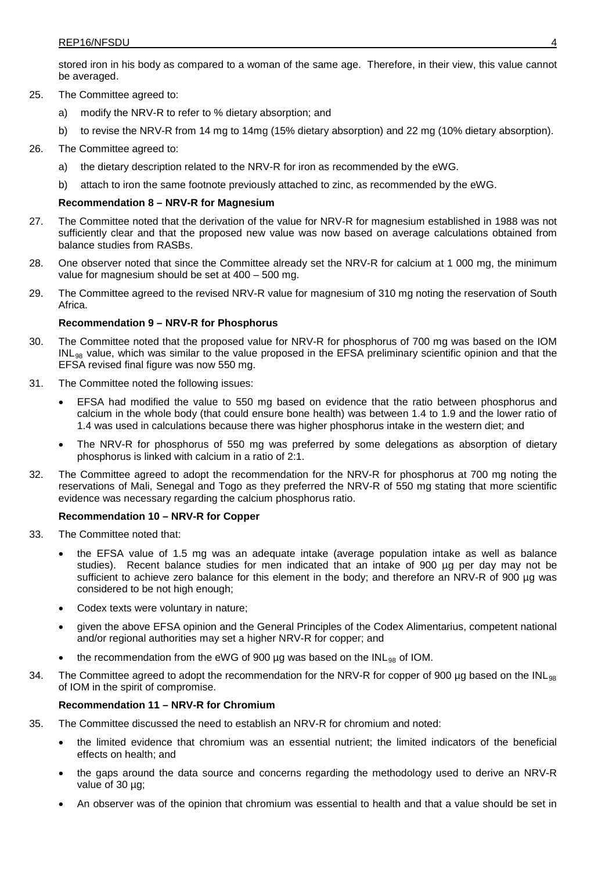stored iron in his body as compared to a woman of the same age. Therefore, in their view, this value cannot be averaged.

- 25. The Committee agreed to:
	- a) modify the NRV-R to refer to % dietary absorption; and
	- b) to revise the NRV-R from 14 mg to 14mg (15% dietary absorption) and 22 mg (10% dietary absorption).
- 26. The Committee agreed to:
	- a) the dietary description related to the NRV-R for iron as recommended by the eWG.
	- b) attach to iron the same footnote previously attached to zinc, as recommended by the eWG.

## **Recommendation 8 – NRV-R for Magnesium**

- 27. The Committee noted that the derivation of the value for NRV-R for magnesium established in 1988 was not sufficiently clear and that the proposed new value was now based on average calculations obtained from balance studies from RASBs.
- 28. One observer noted that since the Committee already set the NRV-R for calcium at 1 000 mg, the minimum value for magnesium should be set at 400 – 500 mg.
- 29. The Committee agreed to the revised NRV-R value for magnesium of 310 mg noting the reservation of South Africa.

## **Recommendation 9 – NRV-R for Phosphorus**

- 30. The Committee noted that the proposed value for NRV-R for phosphorus of 700 mg was based on the IOM  $\mathsf{INL}_{98}$  value, which was similar to the value proposed in the EFSA preliminary scientific opinion and that the EFSA revised final figure was now 550 mg.
- 31. The Committee noted the following issues:
	- EFSA had modified the value to 550 mg based on evidence that the ratio between phosphorus and calcium in the whole body (that could ensure bone health) was between 1.4 to 1.9 and the lower ratio of 1.4 was used in calculations because there was higher phosphorus intake in the western diet; and
	- The NRV-R for phosphorus of 550 mg was preferred by some delegations as absorption of dietary phosphorus is linked with calcium in a ratio of 2:1.
- 32. The Committee agreed to adopt the recommendation for the NRV-R for phosphorus at 700 mg noting the reservations of Mali, Senegal and Togo as they preferred the NRV-R of 550 mg stating that more scientific evidence was necessary regarding the calcium phosphorus ratio.

### **Recommendation 10 – NRV-R for Copper**

- 33. The Committee noted that:
	- the EFSA value of 1.5 mg was an adequate intake (average population intake as well as balance studies). Recent balance studies for men indicated that an intake of 900 ug per day may not be sufficient to achieve zero balance for this element in the body; and therefore an NRV-R of 900 µg was considered to be not high enough;
	- Codex texts were voluntary in nature;
	- given the above EFSA opinion and the General Principles of the Codex Alimentarius, competent national and/or regional authorities may set a higher NRV-R for copper; and
	- the recommendation from the eWG of 900  $\mu$ g was based on the INL<sub>98</sub> of IOM.
- 34. The Committee agreed to adopt the recommendation for the NRV-R for copper of 900 µg based on the INL $_{\rm 98}$ of IOM in the spirit of compromise.

### **Recommendation 11 – NRV-R for Chromium**

- 35. The Committee discussed the need to establish an NRV-R for chromium and noted:
	- the limited evidence that chromium was an essential nutrient; the limited indicators of the beneficial effects on health; and
	- the gaps around the data source and concerns regarding the methodology used to derive an NRV-R value of 30 µg;
	- An observer was of the opinion that chromium was essential to health and that a value should be set in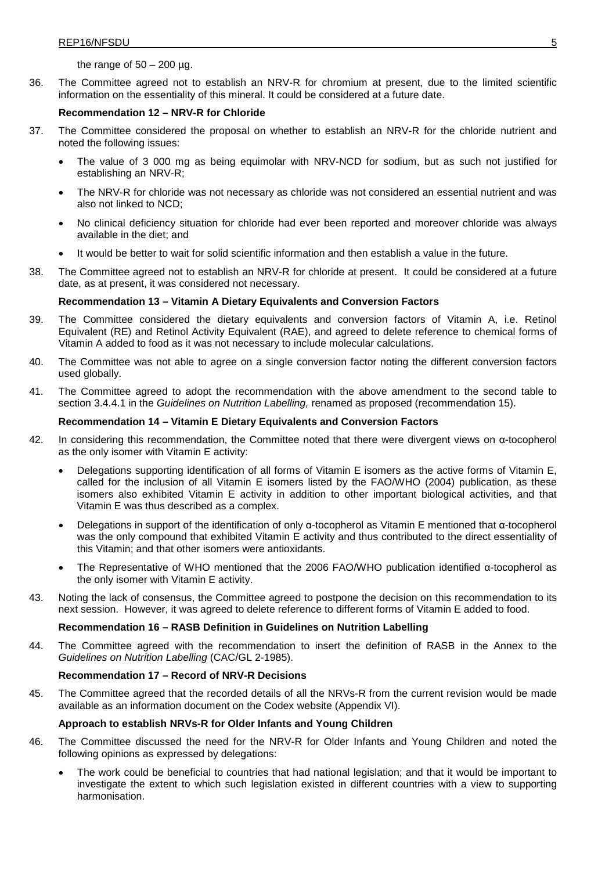### the range of  $50 - 200$  µg.

36. The Committee agreed not to establish an NRV-R for chromium at present, due to the limited scientific information on the essentiality of this mineral. It could be considered at a future date.

### **Recommendation 12 – NRV-R for Chloride**

- 37. The Committee considered the proposal on whether to establish an NRV-R for the chloride nutrient and noted the following issues:
	- The value of 3 000 mg as being equimolar with NRV-NCD for sodium, but as such not justified for establishing an NRV-R;
	- The NRV-R for chloride was not necessary as chloride was not considered an essential nutrient and was also not linked to NCD;
	- No clinical deficiency situation for chloride had ever been reported and moreover chloride was always available in the diet; and
	- It would be better to wait for solid scientific information and then establish a value in the future.
- 38. The Committee agreed not to establish an NRV-R for chloride at present. It could be considered at a future date, as at present, it was considered not necessary.

### **Recommendation 13 – Vitamin A Dietary Equivalents and Conversion Factors**

- 39. The Committee considered the dietary equivalents and conversion factors of Vitamin A, i.e. Retinol Equivalent (RE) and Retinol Activity Equivalent (RAE), and agreed to delete reference to chemical forms of Vitamin A added to food as it was not necessary to include molecular calculations.
- 40. The Committee was not able to agree on a single conversion factor noting the different conversion factors used globally.
- 41. The Committee agreed to adopt the recommendation with the above amendment to the second table to section 3.4.4.1 in the *Guidelines on Nutrition Labelling,* renamed as proposed (recommendation 15).

## **Recommendation 14 – Vitamin E Dietary Equivalents and Conversion Factors**

- 42. In considering this recommendation, the Committee noted that there were divergent views on α-tocopherol as the only isomer with Vitamin E activity:
	- Delegations supporting identification of all forms of Vitamin E isomers as the active forms of Vitamin E, called for the inclusion of all Vitamin E isomers listed by the FAO/WHO (2004) publication, as these isomers also exhibited Vitamin E activity in addition to other important biological activities, and that Vitamin E was thus described as a complex.
	- Delegations in support of the identification of only α-tocopherol as Vitamin E mentioned that α-tocopherol was the only compound that exhibited Vitamin E activity and thus contributed to the direct essentiality of this Vitamin; and that other isomers were antioxidants.
	- The Representative of WHO mentioned that the 2006 FAO/WHO publication identified α-tocopherol as the only isomer with Vitamin E activity.
- 43. Noting the lack of consensus, the Committee agreed to postpone the decision on this recommendation to its next session. However, it was agreed to delete reference to different forms of Vitamin E added to food.

### **Recommendation 16 – RASB Definition in Guidelines on Nutrition Labelling**

44. The Committee agreed with the recommendation to insert the definition of RASB in the Annex to the *Guidelines on Nutrition Labelling* (CAC/GL 2-1985).

## **Recommendation 17 – Record of NRV-R Decisions**

45. The Committee agreed that the recorded details of all the NRVs-R from the current revision would be made available as an information document on the Codex website (Appendix VI).

## **Approach to establish NRVs-R for Older Infants and Young Children**

- 46. The Committee discussed the need for the NRV-R for Older Infants and Young Children and noted the following opinions as expressed by delegations:
	- The work could be beneficial to countries that had national legislation; and that it would be important to investigate the extent to which such legislation existed in different countries with a view to supporting harmonisation.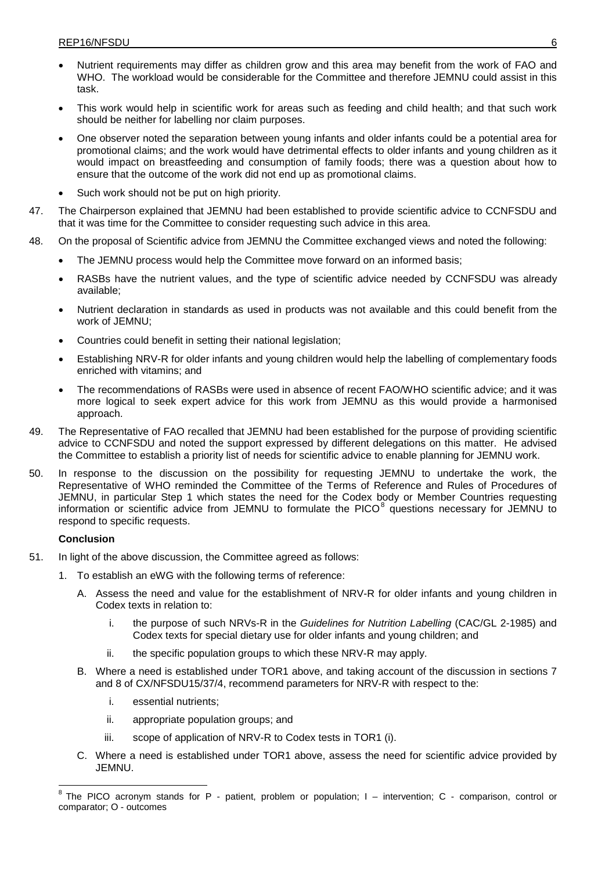- Nutrient requirements may differ as children grow and this area may benefit from the work of FAO and WHO. The workload would be considerable for the Committee and therefore JEMNU could assist in this task.
- This work would help in scientific work for areas such as feeding and child health; and that such work should be neither for labelling nor claim purposes.
- One observer noted the separation between young infants and older infants could be a potential area for promotional claims; and the work would have detrimental effects to older infants and young children as it would impact on breastfeeding and consumption of family foods; there was a question about how to ensure that the outcome of the work did not end up as promotional claims.
- Such work should not be put on high priority.
- 47. The Chairperson explained that JEMNU had been established to provide scientific advice to CCNFSDU and that it was time for the Committee to consider requesting such advice in this area.
- 48. On the proposal of Scientific advice from JEMNU the Committee exchanged views and noted the following:
	- The JEMNU process would help the Committee move forward on an informed basis;
	- RASBs have the nutrient values, and the type of scientific advice needed by CCNFSDU was already available;
	- Nutrient declaration in standards as used in products was not available and this could benefit from the work of JEMNU;
	- Countries could benefit in setting their national legislation;
	- Establishing NRV-R for older infants and young children would help the labelling of complementary foods enriched with vitamins; and
	- The recommendations of RASBs were used in absence of recent FAO/WHO scientific advice; and it was more logical to seek expert advice for this work from JEMNU as this would provide a harmonised approach.
- 49. The Representative of FAO recalled that JEMNU had been established for the purpose of providing scientific advice to CCNFSDU and noted the support expressed by different delegations on this matter. He advised the Committee to establish a priority list of needs for scientific advice to enable planning for JEMNU work.
- 50. In response to the discussion on the possibility for requesting JEMNU to undertake the work, the Representative of WHO reminded the Committee of the Terms of Reference and Rules of Procedures of JEMNU, in particular Step 1 which states the need for the Codex body or Member Countries requesting information or scientific advice from JEMNU to formulate the PICO $^8$  $^8$  questions necessary for JEMNU to respond to specific requests.

## **Conclusion**

- 51. In light of the above discussion, the Committee agreed as follows:
	- 1. To establish an eWG with the following terms of reference:
		- A. Assess the need and value for the establishment of NRV-R for older infants and young children in Codex texts in relation to:
			- i. the purpose of such NRVs-R in the *Guidelines for Nutrition Labelling* (CAC/GL 2-1985) and Codex texts for special dietary use for older infants and young children; and
			- ii. the specific population groups to which these NRV-R may apply.
		- B. Where a need is established under TOR1 above, and taking account of the discussion in sections 7 and 8 of CX/NFSDU15/37/4, recommend parameters for NRV-R with respect to the:
			- i. essential nutrients;
			- ii. appropriate population groups; and
			- iii. scope of application of NRV-R to Codex tests in TOR1 (i).
		- C. Where a need is established under TOR1 above, assess the need for scientific advice provided by JEMNU.

<span id="page-10-0"></span><sup>8</sup> The PICO acronym stands for <sup>P</sup> - patient, problem or population; <sup>I</sup> – intervention; <sup>C</sup> - comparison, control or comparator; O - outcomes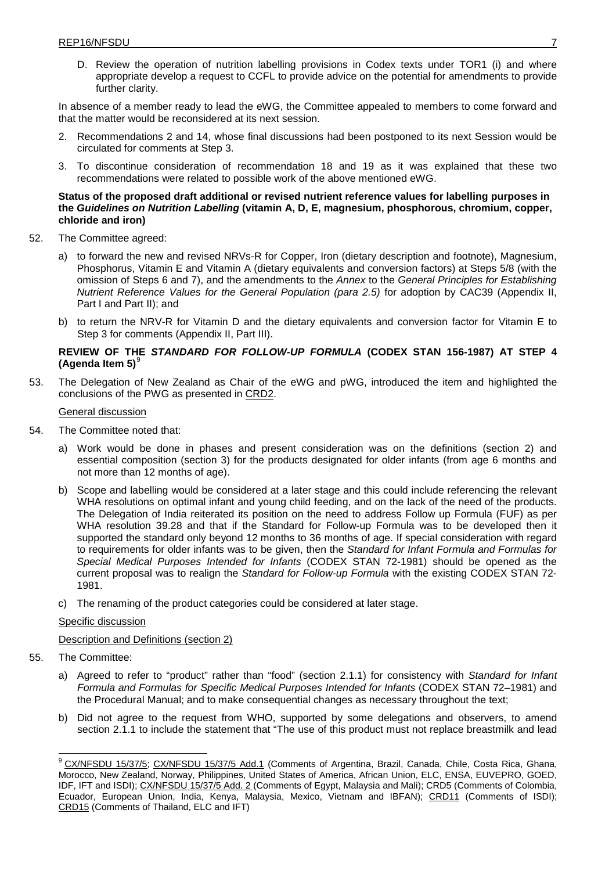D. Review the operation of nutrition labelling provisions in Codex texts under TOR1 (i) and where appropriate develop a request to CCFL to provide advice on the potential for amendments to provide further clarity.

In absence of a member ready to lead the eWG, the Committee appealed to members to come forward and that the matter would be reconsidered at its next session.

- 2. Recommendations 2 and 14, whose final discussions had been postponed to its next Session would be circulated for comments at Step 3.
- 3. To discontinue consideration of recommendation 18 and 19 as it was explained that these two recommendations were related to possible work of the above mentioned eWG.

### **Status of the proposed draft additional or revised nutrient reference values for labelling purposes in the** *Guidelines on Nutrition Labelling* **(vitamin A, D, E, magnesium, phosphorous, chromium, copper, chloride and iron)**

- 52. The Committee agreed:
	- a) to forward the new and revised NRVs-R for Copper, Iron (dietary description and footnote), Magnesium, Phosphorus, Vitamin E and Vitamin A (dietary equivalents and conversion factors) at Steps 5/8 (with the omission of Steps 6 and 7), and the amendments to the *Annex* to the *General Principles for Establishing Nutrient Reference Values for the General Population (para 2.5)* for adoption by CAC39 (Appendix II, Part I and Part II); and
	- b) to return the NRV-R for Vitamin D and the dietary equivalents and conversion factor for Vitamin E to Step 3 for comments (Appendix II, Part III).

## **REVIEW OF THE** *STANDARD FOR FOLLOW-UP FORMULA* **(CODEX STAN 156-1987) AT STEP 4 (Agenda Item 5)**[9](#page-11-0)

53. The Delegation of New Zealand as Chair of the eWG and pWG, introduced the item and highlighted the conclusions of the PWG as presented in [CRD2.](http://www.codexalimentarius.org/sh-proxy/en/?lnk=1&url=https%253A%252F%252Fworkspace.fao.org%252Fsites%252Fcodex%252FMeetings%252FCX-720-37%252FCRD%252FCRD_02e.pdf)

## General discussion

- 54. The Committee noted that:
	- a) Work would be done in phases and present consideration was on the definitions (section 2) and essential composition (section 3) for the products designated for older infants (from age 6 months and not more than 12 months of age).
	- b) Scope and labelling would be considered at a later stage and this could include referencing the relevant WHA resolutions on optimal infant and young child feeding, and on the lack of the need of the products. The Delegation of India reiterated its position on the need to address Follow up Formula (FUF) as per WHA resolution 39.28 and that if the Standard for Follow-up Formula was to be developed then it supported the standard only beyond 12 months to 36 months of age. If special consideration with regard to requirements for older infants was to be given, then the *Standard for Infant Formula and Formulas for Special Medical Purposes Intended for Infants* (CODEX STAN 72-1981) should be opened as the current proposal was to realign the *Standard for Follow-up Formula* with the existing CODEX STAN 72- 1981.
	- c) The renaming of the product categories could be considered at later stage.

### Specific discussion

Description and Definitions (section 2)

- 55. The Committee:
	- a) Agreed to refer to "product" rather than "food" (section 2.1.1) for consistency with *Standard for Infant Formula and Formulas for Specific Medical Purposes Intended for Infants* (CODEX STAN 72–1981) and the Procedural Manual; and to make consequential changes as necessary throughout the text;
	- b) Did not agree to the request from WHO, supported by some delegations and observers, to amend section 2.1.1 to include the statement that "The use of this product must not replace breastmilk and lead

<span id="page-11-0"></span><sup>&</sup>lt;sup>9</sup> [CX/NFSDU](http://www.codexalimentarius.org/sh-proxy/en/?lnk=1&url=https%253A%252F%252Fworkspace.fao.org%252Fsites%252Fcodex%252FMeetings%252FCX-720-37%252FWD%252Fnf37_05-Add.1e.pdf) 15/37/5; CX/NFSDU 15/37/5 Add.1 (Comments of Argentina, Brazil, Canada, Chile, Costa Rica, Ghana, Morocco, New Zealand, Norway, Philippines, United States of America, African Union, ELC, ENSA, EUVEPRO, GOED, IDF, IFT and ISDI); [CX/NFSDU](http://www.codexalimentarius.org/sh-proxy/en/?lnk=1&url=https%253A%252F%252Fworkspace.fao.org%252Fsites%252Fcodex%252FMeetings%252FCX-720-37%252FWD%252Fnf37_05-Add.2x.pdf) 15/37/5 Add. 2 (Comments of Egypt, Malaysia and Mali); [CRD5](ftp://ftp.fao.org/CODEX/Meetings/CCNFSDU/ccnfsdu36/CRDS/CRD_15.pdf) (Comments of Colombia, Ecuador, European Union, India, Kenya, Malaysia, Mexico, Vietnam and IBFAN); [CRD11](http://www.codexalimentarius.org/sh-proxy/en/?lnk=1&url=https%253A%252F%252Fworkspace.fao.org%252Fsites%252Fcodex%252FMeetings%252FCX-720-37%252FCRD%252FCRD_11.pdf) (Comments of ISDI); [CRD15](http://www.codexalimentarius.org/sh-proxy/en/?lnk=1&url=https%253A%252F%252Fworkspace.fao.org%252Fsites%252Fcodex%252FMeetings%252FCX-720-37%252FCRD%252FCRD_15.pdf) (Comments of Thailand, ELC and IFT)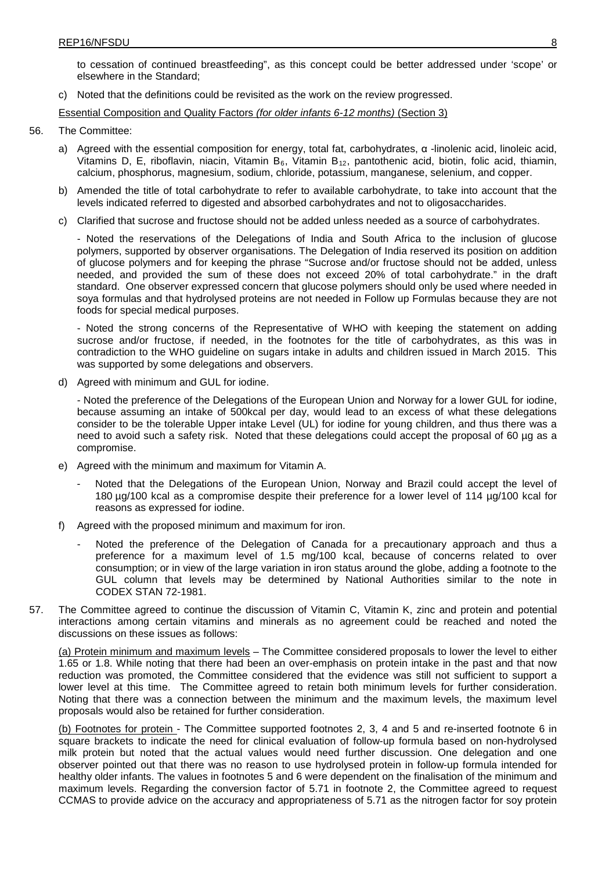to cessation of continued breastfeeding", as this concept could be better addressed under 'scope' or elsewhere in the Standard;

c) Noted that the definitions could be revisited as the work on the review progressed.

Essential Composition and Quality Factors *(for older infants 6-12 months)* (Section 3)

- 56. The Committee:
	- a) Agreed with the essential composition for energy, total fat, carbohydrates, α -linolenic acid, linoleic acid, Vitamins D, E, riboflavin, niacin, Vitamin B<sub>6</sub>, Vitamin B<sub>12</sub>, pantothenic acid, biotin, folic acid, thiamin, calcium, phosphorus, magnesium, sodium, chloride, potassium, manganese, selenium, and copper.
	- b) Amended the title of total carbohydrate to refer to available carbohydrate, to take into account that the levels indicated referred to digested and absorbed carbohydrates and not to oligosaccharides.
	- c) Clarified that sucrose and fructose should not be added unless needed as a source of carbohydrates.

- Noted the reservations of the Delegations of India and South Africa to the inclusion of glucose polymers, supported by observer organisations. The Delegation of India reserved its position on addition of glucose polymers and for keeping the phrase "Sucrose and/or fructose should not be added, unless needed, and provided the sum of these does not exceed 20% of total carbohydrate." in the draft standard. One observer expressed concern that glucose polymers should only be used where needed in soya formulas and that hydrolysed proteins are not needed in Follow up Formulas because they are not foods for special medical purposes.

- Noted the strong concerns of the Representative of WHO with keeping the statement on adding sucrose and/or fructose, if needed, in the footnotes for the title of carbohydrates, as this was in contradiction to the WHO guideline on sugars intake in adults and children issued in March 2015. This was supported by some delegations and observers.

d) Agreed with minimum and GUL for iodine.

- Noted the preference of the Delegations of the European Union and Norway for a lower GUL for iodine, because assuming an intake of 500kcal per day, would lead to an excess of what these delegations consider to be the tolerable Upper intake Level (UL) for iodine for young children, and thus there was a need to avoid such a safety risk. Noted that these delegations could accept the proposal of 60 µg as a compromise.

- e) Agreed with the minimum and maximum for Vitamin A.
	- Noted that the Delegations of the European Union, Norway and Brazil could accept the level of 180 µg/100 kcal as a compromise despite their preference for a lower level of 114 µg/100 kcal for reasons as expressed for iodine.
- f) Agreed with the proposed minimum and maximum for iron.
	- Noted the preference of the Delegation of Canada for a precautionary approach and thus a preference for a maximum level of 1.5 mg/100 kcal, because of concerns related to over consumption; or in view of the large variation in iron status around the globe, adding a footnote to the GUL column that levels may be determined by National Authorities similar to the note in CODEX STAN 72-1981.
- 57. The Committee agreed to continue the discussion of Vitamin C, Vitamin K, zinc and protein and potential interactions among certain vitamins and minerals as no agreement could be reached and noted the discussions on these issues as follows:

(a) Protein minimum and maximum levels – The Committee considered proposals to lower the level to either 1.65 or 1.8. While noting that there had been an over-emphasis on protein intake in the past and that now reduction was promoted, the Committee considered that the evidence was still not sufficient to support a lower level at this time. The Committee agreed to retain both minimum levels for further consideration. Noting that there was a connection between the minimum and the maximum levels, the maximum level proposals would also be retained for further consideration.

(b) Footnotes for protein - The Committee supported footnotes 2, 3, 4 and 5 and re-inserted footnote 6 in square brackets to indicate the need for clinical evaluation of follow-up formula based on non-hydrolysed milk protein but noted that the actual values would need further discussion. One delegation and one observer pointed out that there was no reason to use hydrolysed protein in follow-up formula intended for healthy older infants. The values in footnotes 5 and 6 were dependent on the finalisation of the minimum and maximum levels. Regarding the conversion factor of 5.71 in footnote 2, the Committee agreed to request CCMAS to provide advice on the accuracy and appropriateness of 5.71 as the nitrogen factor for soy protein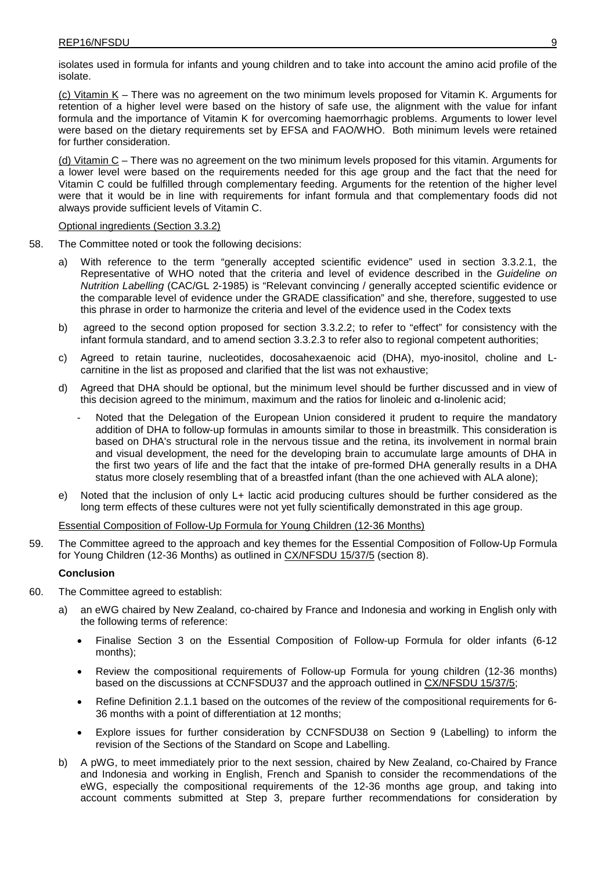isolates used in formula for infants and young children and to take into account the amino acid profile of the isolate.

(c) Vitamin K – There was no agreement on the two minimum levels proposed for Vitamin K. Arguments for retention of a higher level were based on the history of safe use, the alignment with the value for infant formula and the importance of Vitamin K for overcoming haemorrhagic problems. Arguments to lower level were based on the dietary requirements set by EFSA and FAO/WHO. Both minimum levels were retained for further consideration.

(d) Vitamin  $C$  – There was no agreement on the two minimum levels proposed for this vitamin. Arguments for a lower level were based on the requirements needed for this age group and the fact that the need for Vitamin C could be fulfilled through complementary feeding. Arguments for the retention of the higher level were that it would be in line with requirements for infant formula and that complementary foods did not always provide sufficient levels of Vitamin C.

### Optional ingredients (Section 3.3.2)

- 58. The Committee noted or took the following decisions:
	- a) With reference to the term "generally accepted scientific evidence" used in section 3.3.2.1, the Representative of WHO noted that the criteria and level of evidence described in the *Guideline on Nutrition Labelling* (CAC/GL 2-1985) is "Relevant convincing / generally accepted scientific evidence or the comparable level of evidence under the GRADE classification" and she, therefore, suggested to use this phrase in order to harmonize the criteria and level of the evidence used in the Codex texts
	- b) agreed to the second option proposed for section 3.3.2.2; to refer to "effect" for consistency with the infant formula standard, and to amend section 3.3.2.3 to refer also to regional competent authorities;
	- c) Agreed to retain taurine, nucleotides, docosahexaenoic acid (DHA), myo-inositol, choline and Lcarnitine in the list as proposed and clarified that the list was not exhaustive;
	- d) Agreed that DHA should be optional, but the minimum level should be further discussed and in view of this decision agreed to the minimum, maximum and the ratios for linoleic and α-linolenic acid;
		- Noted that the Delegation of the European Union considered it prudent to require the mandatory addition of DHA to follow-up formulas in amounts similar to those in breastmilk. This consideration is based on DHA's structural role in the nervous tissue and the retina, its involvement in normal brain and visual development, the need for the developing brain to accumulate large amounts of DHA in the first two years of life and the fact that the intake of pre-formed DHA generally results in a DHA status more closely resembling that of a breastfed infant (than the one achieved with ALA alone);
	- e) Noted that the inclusion of only L+ lactic acid producing cultures should be further considered as the long term effects of these cultures were not yet fully scientifically demonstrated in this age group.

## Essential Composition of Follow-Up Formula for Young Children (12-36 Months)

59. The Committee agreed to the approach and key themes for the Essential Composition of Follow-Up Formula for Young Children (12-36 Months) as outlined in <u>[CX/NFSDU](http://www.codexalimentarius.org/sh-proxy/en/?lnk=1&url=https%253A%252F%252Fworkspace.fao.org%252Fsites%252Fcodex%252FMeetings%252FCX-720-37%252FWD%252Fnf37_05e.pdf) 15/37/5</u> (section 8).

### **Conclusion**

- 60. The Committee agreed to establish:
	- a) an eWG chaired by New Zealand, co-chaired by France and Indonesia and working in English only with the following terms of reference:
		- Finalise Section 3 on the Essential Composition of Follow-up Formula for older infants (6-12 months);
		- Review the compositional requirements of Follow-up Formula for young children (12-36 months) based on the discussions at CCNFSDU37 and the approach outlined in [CX/NFSDU](http://www.codexalimentarius.org/sh-proxy/en/?lnk=1&url=https%253A%252F%252Fworkspace.fao.org%252Fsites%252Fcodex%252FMeetings%252FCX-720-37%252FWD%252Fnf37_05e.pdf) 15/37/5;
		- Refine Definition 2.1.1 based on the outcomes of the review of the compositional requirements for 6- 36 months with a point of differentiation at 12 months;
		- Explore issues for further consideration by CCNFSDU38 on Section 9 (Labelling) to inform the revision of the Sections of the Standard on Scope and Labelling.
	- b) A pWG, to meet immediately prior to the next session, chaired by New Zealand, co-Chaired by France and Indonesia and working in English, French and Spanish to consider the recommendations of the eWG, especially the compositional requirements of the 12-36 months age group, and taking into account comments submitted at Step 3, prepare further recommendations for consideration by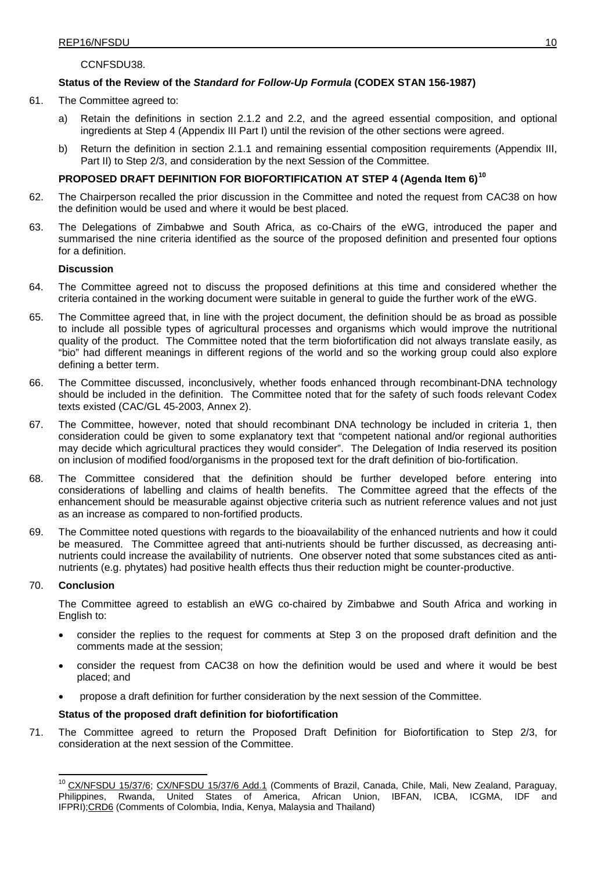## CCNFSDU38.

## **Status of the Review of the** *Standard for Follow-Up Formula* **(CODEX STAN 156-1987)**

- 61. The Committee agreed to:
	- a) Retain the definitions in section 2.1.2 and 2.2, and the agreed essential composition, and optional ingredients at Step 4 (Appendix III Part I) until the revision of the other sections were agreed.
	- b) Return the definition in section 2.1.1 and remaining essential composition requirements (Appendix III, Part II) to Step 2/3, and consideration by the next Session of the Committee.

## **PROPOSED DRAFT DEFINITION FOR BIOFORTIFICATION AT STEP 4 (Agenda Item 6)[10](#page-14-0)**

- 62. The Chairperson recalled the prior discussion in the Committee and noted the request from CAC38 on how the definition would be used and where it would be best placed.
- 63. The Delegations of Zimbabwe and South Africa, as co-Chairs of the eWG, introduced the paper and summarised the nine criteria identified as the source of the proposed definition and presented four options for a definition.

## **Discussion**

- 64. The Committee agreed not to discuss the proposed definitions at this time and considered whether the criteria contained in the working document were suitable in general to guide the further work of the eWG.
- 65. The Committee agreed that, in line with the project document, the definition should be as broad as possible to include all possible types of agricultural processes and organisms which would improve the nutritional quality of the product. The Committee noted that the term biofortification did not always translate easily, as "bio" had different meanings in different regions of the world and so the working group could also explore defining a better term.
- 66. The Committee discussed, inconclusively, whether foods enhanced through recombinant-DNA technology should be included in the definition. The Committee noted that for the safety of such foods relevant Codex texts existed (CAC/GL 45-2003, Annex 2).
- 67. The Committee, however, noted that should recombinant DNA technology be included in criteria 1, then consideration could be given to some explanatory text that "competent national and/or regional authorities may decide which agricultural practices they would consider". The Delegation of India reserved its position on inclusion of modified food/organisms in the proposed text for the draft definition of bio-fortification.
- 68. The Committee considered that the definition should be further developed before entering into considerations of labelling and claims of health benefits. The Committee agreed that the effects of the enhancement should be measurable against objective criteria such as nutrient reference values and not just as an increase as compared to non-fortified products.
- 69. The Committee noted questions with regards to the bioavailability of the enhanced nutrients and how it could be measured. The Committee agreed that anti-nutrients should be further discussed, as decreasing antinutrients could increase the availability of nutrients. One observer noted that some substances cited as antinutrients (e.g. phytates) had positive health effects thus their reduction might be counter-productive.

## 70. **Conclusion**

The Committee agreed to establish an eWG co-chaired by Zimbabwe and South Africa and working in English to:

- consider the replies to the request for comments at Step 3 on the proposed draft definition and the comments made at the session;
- consider the request from CAC38 on how the definition would be used and where it would be best placed; and
- propose a draft definition for further consideration by the next session of the Committee.

### **Status of the proposed draft definition for biofortification**

71. The Committee agreed to return the Proposed Draft Definition for Biofortification to Step 2/3, for consideration at the next session of the Committee.

<span id="page-14-0"></span><sup>&</sup>lt;sup>10</sup> [CX/NFSDU](http://www.codexalimentarius.org/sh-proxy/en/?lnk=1&url=https%253A%252F%252Fworkspace.fao.org%252Fsites%252Fcodex%252FMeetings%252FCX-720-37%252FWD%252Fnf37_06-Add%2B1e.pdf) 15/37/6; CX/NFSDU 15/37/6 Add.1 (Comments of Brazil, Canada, Chile, Mali, New Zealand, Paraguay, Philippines, Rwanda, United States of America, African Union, IBFAN, ICBA, ICGMA, IDF and Rwanda, United States of America, African Union, IBFAN, ICBA, ICGMA, IDF IFPRI)[;CRD6](http://www.codexalimentarius.org/sh-proxy/en/?lnk=1&url=https%253A%252F%252Fworkspace.fao.org%252Fsites%252Fcodex%252FMeetings%252FCX-720-37%252FCRD%252FCRD_06.pdf) (Comments of Colombia, India, Kenya, Malaysia and Thailand)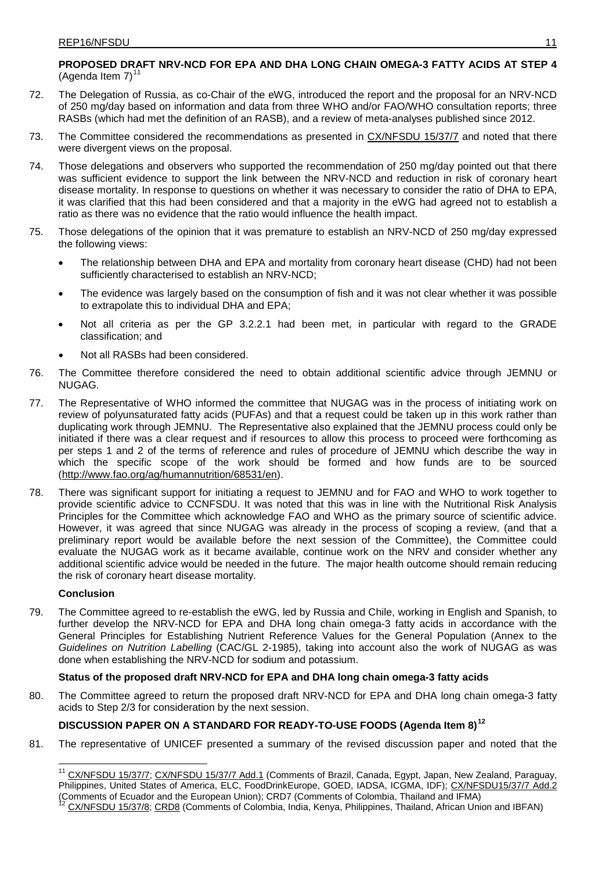## **PROPOSED DRAFT NRV-NCD FOR EPA AND DHA LONG CHAIN OMEGA-3 FATTY ACIDS AT STEP 4** (Agenda Item  $7$ )<sup>[11](#page-15-0)</sup>

- 72. The Delegation of Russia, as co-Chair of the eWG, introduced the report and the proposal for an NRV-NCD of 250 mg/day based on information and data from three WHO and/or FAO/WHO consultation reports; three RASBs (which had met the definition of an RASB), and a review of meta-analyses published since 2012.
- 73. The Committee considered the recommendations as presented in [CX/NFSDU](http://www.codexalimentarius.org/sh-proxy/en/?lnk=1&url=https%253A%252F%252Fworkspace.fao.org%252Fsites%252Fcodex%252FMeetings%252FCX-720-37%252FWD%252Fnf37_07e.pdf) 15/37/7 and noted that there were divergent views on the proposal.
- 74. Those delegations and observers who supported the recommendation of 250 mg/day pointed out that there was sufficient evidence to support the link between the NRV-NCD and reduction in risk of coronary heart disease mortality. In response to questions on whether it was necessary to consider the ratio of DHA to EPA, it was clarified that this had been considered and that a majority in the eWG had agreed not to establish a ratio as there was no evidence that the ratio would influence the health impact.
- 75. Those delegations of the opinion that it was premature to establish an NRV-NCD of 250 mg/day expressed the following views:
	- The relationship between DHA and EPA and mortality from coronary heart disease (CHD) had not been sufficiently characterised to establish an NRV-NCD;
	- The evidence was largely based on the consumption of fish and it was not clear whether it was possible to extrapolate this to individual DHA and EPA;
	- Not all criteria as per the GP 3.2.2.1 had been met, in particular with regard to the GRADE classification; and
	- Not all RASBs had been considered.
- 76. The Committee therefore considered the need to obtain additional scientific advice through JEMNU or NUGAG .
- 77. The Representative of WHO informed the committee that NUGAG was in the process of initiating work on review of polyunsaturated fatty acids (PUFAs) and that a request could be taken up in this work rather than duplicating work through JEMNU. The Representative also explained that the JEMNU process could only be initiated if there was a clear request and if resources to allow this process to proceed were forthcoming as per steps 1 and 2 of the terms of reference and rules of procedure of JEMNU which describe the way in which the specific scope of the work should be formed and how funds are to be sourced ( [http://www.fao.org/ag/humannutrition/68531/en\)](http://www.fao.org/ag/humannutrition/68531/en).
- 78. There was significant support for initiating a request to JEMNU and for FAO and WHO to work together to provide scientific advice to CCNFSDU. It was noted that this was in line with the Nutritional Risk Analysis Principles for the Committee which acknowledge FAO and WHO as the primary source of scientific advice. However, it was agreed that since NUGAG was already in the process of scoping a review, (and that a preliminary report would be available before the next session of the Committee), the Committee could evaluate the NUGAG work as it became available, continue work on the NRV and consider whether any additional scientific advice would be needed in the future. The major health outcome should remain reducing the risk of coronary heart disease mortality.

## **Conclusion**

79. The Committee agreed to re-establish the eWG, led by Russia and Chile, working in English and Spanish, to further develop the NRV-NCD for EPA and DHA long chain omega-3 fatty acids in accordance with the General Principles for Establishing Nutrient Reference Values for the General Population (Annex to the *Guidelines on Nutrition Labelling* (CAC/GL 2-1985), taking into account also the work of NUGAG as was done when establishing the NRV-NCD for sodium and potassium.

## **Status of the proposed draft NRV-NCD for EPA and DHA long chain omega-3 fatty acids**

80. The Committee agreed to return the proposed draft NRV-NCD for EPA and DHA long chain omega-3 fatty acids to Step 2/3 for consideration by the next session.

## **DISCUSSION PAPER ON A STANDARD FOR READY-TO-USE FOODS (Agenda Item 8)[12](#page-15-1)**

<span id="page-15-0"></span>81. The representative of UNICEF presented a summary of the revised discussion paper and noted that the

<sup>&</sup>lt;sup>11</sup> [CX/NFSDU](http://www.codexalimentarius.org/sh-proxy/en/?lnk=1&url=https%253A%252F%252Fworkspace.fao.org%252Fsites%252Fcodex%252FMeetings%252FCX-720-37%252FWD%252Fnf37_07-Add%2B1e.pdf) 15/37/7; CX/NFSDU 15/37/7 Add.1 (Comments of Brazil, Canada, Egypt, Japan, New Zealand, Paraguay, Philippines, United States of America, ELC, FoodDrinkEurope, GOED, IADSA, ICGMA, IDF); [CX/NFSDU15/37/7](http://www.codexalimentarius.org/sh-proxy/en/?lnk=1&url=https%253A%252F%252Fworkspace.fao.org%252Fsites%252Fcodex%252FMeetings%252FCX-720-37%252FWD%252Fnf37_07-Add%2B2.pdf) Add.2 (Comments of Ecuador and the European Union); [CRD7](ftp://ftp.fao.org/CODEX/Meetings/CCNFSDU/ccnfsdu36/CRDS/CRD_15.pdf) (Comments of Colombia, Thailand and IFMA)<br><sup>12</sup> [CX/NFSDU](http://www.codexalimentarius.org/sh-proxy/en/?lnk=1&url=https%253A%252F%252Fworkspace.fao.org%252Fsites%252Fcodex%252FMeetings%252FCX-720-37%252FWD%252Fnf37_8e.pdf) 15/37/8; [CRD8](http://www.codexalimentarius.org/sh-proxy/en/?lnk=1&url=https%253A%252F%252Fworkspace.fao.org%252Fsites%252Fcodex%252FMeetings%252FCX-720-37%252FCRD%252FCRD_08.pdf) (Comments of Colombia, India, Kenya, Philippines, Thailand, African Union and IBFAN)

<span id="page-15-1"></span>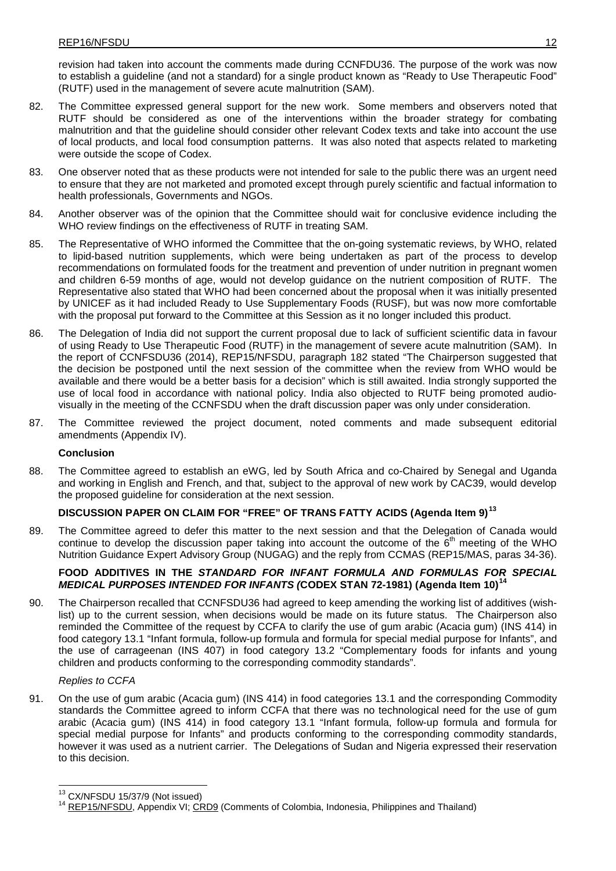revision had taken into account the comments made during CCNFDU36. The purpose of the work was now to establish a guideline (and not a standard) for a single product known as "Ready to Use Therapeutic Food" (RUTF) used in the management of severe acute malnutrition (SAM).

- 82. The Committee expressed general support for the new work. Some members and observers noted that RUTF should be considered as one of the interventions within the broader strategy for combating malnutrition and that the guideline should consider other relevant Codex texts and take into account the use of local products, and local food consumption patterns. It was also noted that aspects related to marketing were outside the scope of Codex.
- 83. One observer noted that as these products were not intended for sale to the public there was an urgent need to ensure that they are not marketed and promoted except through purely scientific and factual information to health professionals, Governments and NGOs.
- 84. Another observer was of the opinion that the Committee should wait for conclusive evidence including the WHO review findings on the effectiveness of RUTF in treating SAM.
- 85. The Representative of WHO informed the Committee that the on-going systematic reviews, by WHO, related to lipid-based nutrition supplements, which were being undertaken as part of the process to develop recommendations on formulated foods for the treatment and prevention of under nutrition in pregnant women and children 6-59 months of age, would not develop guidance on the nutrient composition of RUTF. The Representative also stated that WHO had been concerned about the proposal when it was initially presented by UNICEF as it had included Ready to Use Supplementary Foods (RUSF), but was now more comfortable with the proposal put forward to the Committee at this Session as it no longer included this product.
- 86. The Delegation of India did not support the current proposal due to lack of sufficient scientific data in favour of using Ready to Use Therapeutic Food (RUTF) in the management of severe acute malnutrition (SAM). In the report of CCNFSDU36 (2014), REP15/NFSDU, paragraph 182 stated "The Chairperson suggested that the decision be postponed until the next session of the committee when the review from WHO would be available and there would be a better basis for a decision" which is still awaited. India strongly supported the use of local food in accordance with national policy. India also objected to RUTF being promoted audiovisually in the meeting of the CCNFSDU when the draft discussion paper was only under consideration.
- 87. The Committee reviewed the project document, noted comments and made subsequent editorial amendments (Appendix IV).

### **Conclusion**

88. The Committee agreed to establish an eWG, led by South Africa and co-Chaired by Senegal and Uganda and working in English and French, and that, subject to the approval of new work by CAC39, would develop the proposed guideline for consideration at the next session.

## **DISCUSSION PAPER ON CLAIM FOR "FREE" OF TRANS FATTY ACIDS (Agenda Item 9) [13](#page-16-0)**

89. The Committee agreed to defer this matter to the next session and that the Delegation of Canada would continue to develop the discussion paper taking into account the outcome of the  $6<sup>th</sup>$  meeting of the WHO Nutrition Guidance Expert Advisory Group (NUGAG) and the reply from CCMAS (REP15/MAS, paras 34-36).

## **FOOD ADDITIVES IN THE** *STANDARD FOR INFANT FORMULA AND FORMULAS FOR SPECIAL MEDICAL PURPOSES INTENDED FOR INFANTS (***CODEX STAN 72-1981) (Agenda Item 10) [14](#page-16-1)**

90. The Chairperson recalled that CCNFSDU36 had agreed to keep amending the working list of additives (wishlist) up to the current session, when decisions would be made on its future status. The Chairperson also reminded the Committee of the request by CCFA to clarify the use of gum arabic (Acacia gum) (INS 414) in food category 13.1 "Infant formula, follow-up formula and formula for special medial purpose for Infants", and the use of carrageenan (INS 407) in food category 13.2 "Complementary foods for infants and young children and products conforming to the corresponding commodity standards".

### *Replies to CCFA*

91. On the use of gum arabic (Acacia gum) (INS 414) in food categories 13.1 and the corresponding Commodity standards the Committee agreed to inform CCFA that there was no technological need for the use of gum arabic (Acacia gum) (INS 414) in food category 13.1 "Infant formula, follow-up formula and formula for special medial purpose for Infants" and products conforming to the corresponding commodity standards, however it was used as a nutrient carrier. The Delegations of Sudan and Nigeria expressed their reservation to this decision.

<span id="page-16-1"></span><span id="page-16-0"></span><sup>&</sup>lt;sup>13</sup> CX/NFSDU 15/37/9 (Not issued)<br><sup>14</sup> [REP15/NFSDU,](http://www.codexalimentarius.org/download/report/907/REP15_NFSDUe.pdf) Appendix VI; [CRD9](http://www.codexalimentarius.org/sh-proxy/en/?lnk=1&url=https%253A%252F%252Fworkspace.fao.org%252Fsites%252Fcodex%252FMeetings%252FCX-720-37%252FCRD%252FCRD_09.pdf) (Comments of Colombia, Indonesia, Philippines and Thailand)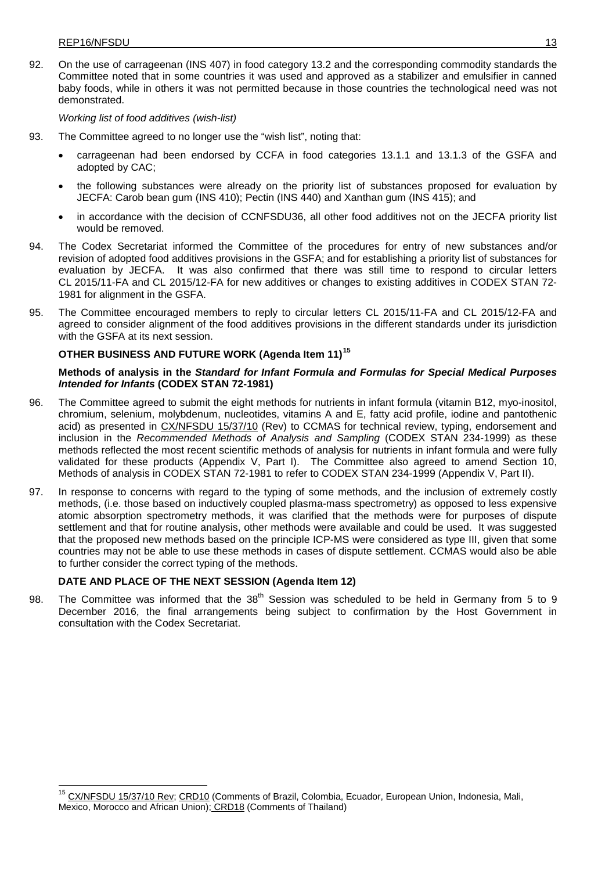92. On the use of carrageenan (INS 407) in food category 13.2 and the corresponding commodity standards the Committee noted that in some countries it was used and approved as a stabilizer and emulsifier in canned baby foods, while in others it was not permitted because in those countries the technological need was not demonstrated.

*Working list of food additives (wish-list)*

- 93. The Committee agreed to no longer use the "wish list", noting that:
	- carrageenan had been endorsed by CCFA in food categories 13.1.1 and 13.1.3 of the GSFA and adopted by CAC;
	- the following substances were already on the priority list of substances proposed for evaluation by JECFA: Carob bean gum (INS 410); Pectin (INS 440) and Xanthan gum (INS 415); and
	- in accordance with the decision of CCNFSDU36, all other food additives not on the JECFA priority list would be removed.
- 94. The Codex Secretariat informed the Committee of the procedures for entry of new substances and/or revision of adopted food additives provisions in the GSFA; and for establishing a priority list of substances for evaluation by JECFA. It was also confirmed that there was still time to respond to circular letters CL 2015/11-FA and CL 2015/12-FA for new additives or changes to existing additives in CODEX STAN 72- 1981 for alignment in the GSFA.
- 95. The Committee encouraged members to reply to circular letters CL 2015/11-FA and CL 2015/12-FA and agreed to consider alignment of the food additives provisions in the different standards under its jurisdiction with the GSFA at its next session.

# **OTHER BUSINESS AND FUTURE WORK (Agenda Item 11)[15](#page-17-0)**

## **Methods of analysis in the** *Standard for Infant Formula and Formulas for Special Medical Purposes Intended for Infants* **(CODEX STAN 72-1981)**

- 96. The Committee agreed to submit the eight methods for nutrients in infant formula (vitamin B12, myo-inositol, chromium, selenium, molybdenum, nucleotides, vitamins A and E, fatty acid profile, iodine and pantothenic acid) as presented in [CX/NFSDU](http://www.codexalimentarius.org/sh-proxy/en/?lnk=1&url=https%253A%252F%252Fworkspace.fao.org%252Fsites%252Fcodex%252FMeetings%252FCX-720-37%252FWD%252Fnf37_10e%2Brev.pdf) 15/37/10 (Rev) to CCMAS for technical review, typing, endorsement and inclusion in the *Recommended Methods of Analysis and Sampling* (CODEX STAN 234-1999) as these methods reflected the most recent scientific methods of analysis for nutrients in infant formula and were fully validated for these products (Appendix V, Part I). The Committee also agreed to amend Section 10, Methods of analysis in CODEX STAN 72-1981 to refer to CODEX STAN 234-1999 (Appendix V, Part II).
- 97. In response to concerns with regard to the typing of some methods, and the inclusion of extremely costly methods, (i.e. those based on inductively coupled plasma-mass spectrometry) as opposed to less expensive atomic absorption spectrometry methods, it was clarified that the methods were for purposes of dispute settlement and that for routine analysis, other methods were available and could be used. It was suggested that the proposed new methods based on the principle ICP-MS were considered as type III, given that some countries may not be able to use these methods in cases of dispute settlement. CCMAS would also be able to further consider the correct typing of the methods.

# **DATE AND PLACE OF THE NEXT SESSION (Agenda Item 12)**

98. The Committee was informed that the  $38<sup>th</sup>$  Session was scheduled to be held in Germany from 5 to 9 December 2016, the final arrangements being subject to confirmation by the Host Government in consultation with the Codex Secretariat.

<span id="page-17-0"></span><sup>————————————————————&</sup>lt;br><sup>15</sup> <u>[CX/NFSDU](http://www.codexalimentarius.org/sh-proxy/en/?lnk=1&url=https%253A%252F%252Fworkspace.fao.org%252Fsites%252Fcodex%252FMeetings%252FCX-720-37%252FWD%252Fnf37_10e%2Brev.pdf) 15/37/10 Rev; [CRD10](http://www.codexalimentarius.org/sh-proxy/en/?lnk=1&url=https%253A%252F%252Fworkspace.fao.org%252Fsites%252Fcodex%252FMeetings%252FCX-720-37%252FCRD%252FCRD_10.pdf)</u> (Comments of Brazil, Colombia, Ecuador, European Union, Indonesia, Mali, Mexico, Morocco and African Union); [CRD18](http://www.codexalimentarius.org/sh-proxy/en/?lnk=1&url=https%253A%252F%252Fworkspace.fao.org%252Fsites%252Fcodex%252FMeetings%252FCX-720-37%252FCRD%252FCRD_18.pdf) (Comments of Thailand)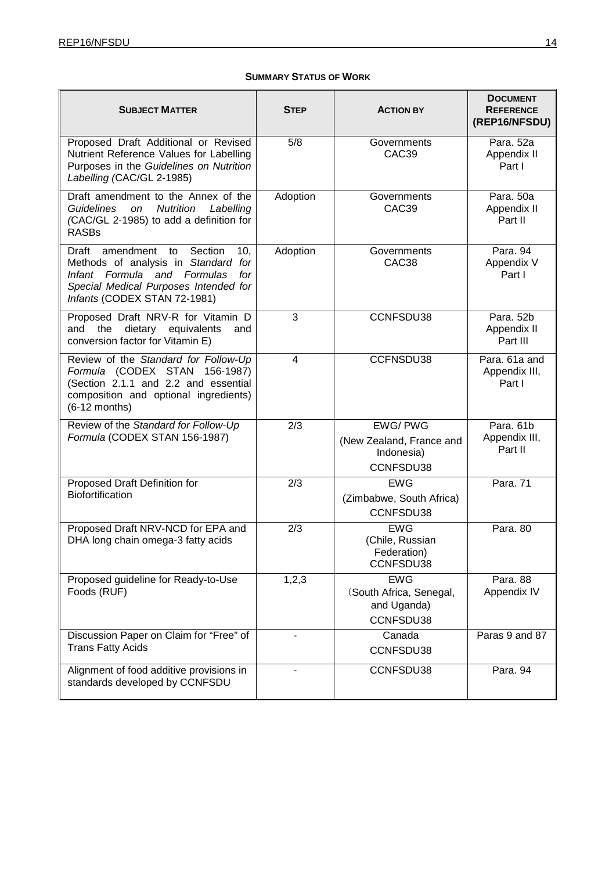## **SUMMARY STATUS OF WORK**

| <b>SUBJECT MATTER</b>                                                                                                                                                                            | Step     | <b>ACTION BY</b>                                                      | <b>DOCUMENT</b><br><b>REFERENCE</b><br>(REP16/NFSDU) |
|--------------------------------------------------------------------------------------------------------------------------------------------------------------------------------------------------|----------|-----------------------------------------------------------------------|------------------------------------------------------|
| Proposed Draft Additional or Revised<br>Nutrient Reference Values for Labelling<br>Purposes in the Guidelines on Nutrition<br>Labelling (CAC/GL 2-1985)                                          | 5/8      | Governments<br>CAC39                                                  | Para. 52a<br>Appendix II<br>Part I                   |
| Draft amendment to the Annex of the<br><b>Nutrition</b><br><b>Guidelines</b><br><b>on</b><br>Labelling<br>(CAC/GL 2-1985) to add a definition for<br><b>RASBs</b>                                | Adoption | Governments<br>CAC39                                                  | Para. 50a<br>Appendix II<br>Part II                  |
| Draft<br>amendment<br>Section<br>to<br>10,<br>Methods of analysis in Standard for<br>Infant Formula and Formulas<br>for<br>Special Medical Purposes Intended for<br>Infants (CODEX STAN 72-1981) | Adoption | Governments<br>CAC38                                                  | Para. 94<br>Appendix V<br>Part I                     |
| Proposed Draft NRV-R for Vitamin D<br>dietary equivalents<br>and<br>the<br>and<br>conversion factor for Vitamin E)                                                                               | 3        | CCNFSDU38                                                             | Para. 52b<br>Appendix II<br>Part III                 |
| Review of the Standard for Follow-Up<br>Formula (CODEX STAN 156-1987)<br>(Section 2.1.1 and 2.2 and essential<br>composition and optional ingredients)<br>$(6-12$ months)                        | 4        | CCFNSDU38                                                             | Para. 61a and<br>Appendix III,<br>Part I             |
| Review of the Standard for Follow-Up<br>Formula (CODEX STAN 156-1987)                                                                                                                            | 2/3      | <b>EWG/PWG</b><br>(New Zealand, France and<br>Indonesia)<br>CCNFSDU38 | Para. 61b<br>Appendix III,<br>Part II                |
| Proposed Draft Definition for<br>Biofortification                                                                                                                                                | 2/3      | <b>EWG</b><br>(Zimbabwe, South Africa)<br>CCNFSDU38                   | Para. 71                                             |
| Proposed Draft NRV-NCD for EPA and<br>DHA long chain omega-3 fatty acids                                                                                                                         | 2/3      | <b>EWG</b><br>(Chile, Russian<br>Federation)<br>CCNFSDU38             | Para. 80                                             |
| Proposed guideline for Ready-to-Use<br>Foods (RUF)                                                                                                                                               | 1,2,3    | <b>EWG</b><br>(South Africa, Senegal,<br>and Uganda)<br>CCNFSDU38     | Para. 88<br>Appendix IV                              |
| Discussion Paper on Claim for "Free" of<br><b>Trans Fatty Acids</b>                                                                                                                              |          | Canada<br>CCNFSDU38                                                   | Paras 9 and 87                                       |
| Alignment of food additive provisions in<br>standards developed by CCNFSDU                                                                                                                       | ä,       | CCNFSDU38                                                             | Para. 94                                             |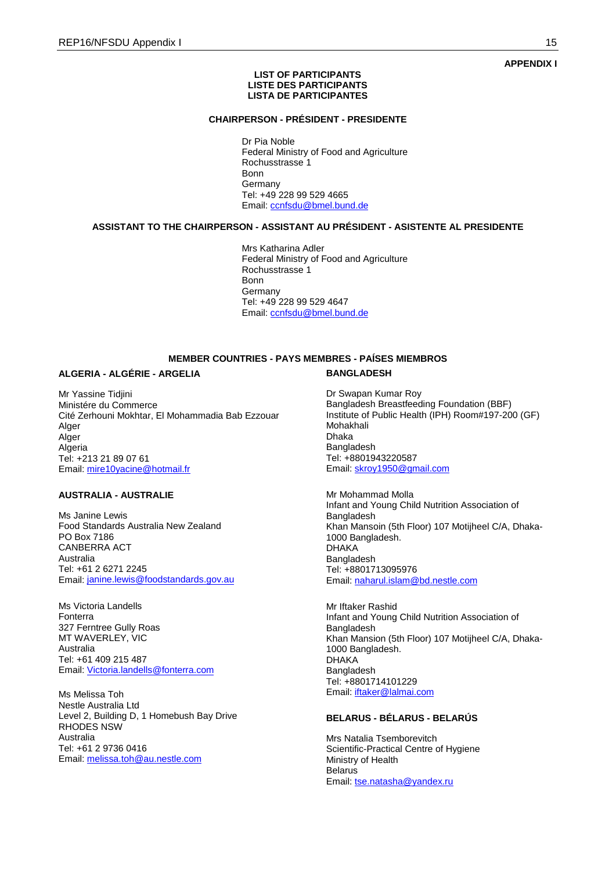### **APPENDIX I**

#### **LIST OF PARTICIPANTS LISTE DES PARTICIPANTS LISTA DE PARTICIPANTES**

#### **CHAIRPERSON - PRÉSIDENT - PRESIDENTE**

Dr Pia Noble Federal Ministry of Food and Agriculture Rochusstrasse 1 Bonn **Germany** Tel: +49 228 99 529 4665 Email: [ccnfsdu@bmel.bund.de](mailto:ccnfsdu@bmel.bund.de)

### **ASSISTANT TO THE CHAIRPERSON - ASSISTANT AU PRÉSIDENT - ASISTENTE AL PRESIDENTE**

Mrs Katharina Adler Federal Ministry of Food and Agriculture Rochusstrasse 1 **Bonn Germany** Tel: +49 228 99 529 4647 Email: [ccnfsdu@bmel.bund.de](mailto:ccnfsdu@bmel.bund.de)

## **MEMBER COUNTRIES - PAYS MEMBRES - PAÍSES MIEMBROS**

### **ALGERIA - ALGÉRIE - ARGELIA**

Mr Yassine Tidjini Ministére du Commerce Cité Zerhouni Mokhtar, El Mohammadia Bab Ezzouar Alger Alger Algeria Tel: +213 21 89 07 61 Email: [mire10yacine@hotmail.fr](mailto:mire10yacine@hotmail.fr)

## **AUSTRALIA - AUSTRALIE**

Ms Janine Lewis Food Standards Australia New Zealand PO Box 7186 CANBERRA ACT Australia Tel: +61 2 6271 2245 Email: [janine.lewis@foodstandards.gov.au](mailto:janine.lewis@foodstandards.gov.au)

Ms Victoria Landells Fonterra 327 Ferntree Gully Roas MT WAVERLEY, VIC Australia Tel: +61 409 215 487 Email: [Victoria.landells@fonterra.com](mailto:Victoria.landells@fonterra.com)

Ms Melissa Toh Nestle Australia Ltd Level 2, Building D, 1 Homebush Bay Drive RHODES NSW Australia Tel: +61 2 9736 0416 Email: [melissa.toh@au.nestle.com](mailto:melissa.toh@au.nestle.com)

#### **BANGLADESH**

Dr Swapan Kumar Roy Bangladesh Breastfeeding Foundation (BBF) Institute of Public Health (IPH) Room#197-200 (GF) Mohakhali Dhaka Bangladesh Tel: +8801943220587 Email: [skroy1950@gmail.com](mailto:skroy1950@gmail.com)

Mr Mohammad Molla Infant and Young Child Nutrition Association of Bangladesh Khan Mansoin (5th Floor) 107 Motijheel C/A, Dhaka-1000 Bangladesh. DHAKA Bangladesh Tel: +8801713095976 Email: [naharul.islam@bd.nestle.com](mailto:naharul.islam@bd.nestle.com)

Mr Iftaker Rashid Infant and Young Child Nutrition Association of Bangladesh Khan Mansion (5th Floor) 107 Motijheel C/A, Dhaka-1000 Bangladesh. DHAKA Bangladesh Tel: +8801714101229 Email: [iftaker@lalmai.com](mailto:iftaker@lalmai.com)

## **BELARUS - BÉLARUS - BELARÚS**

Mrs Natalia Tsemborevitch Scientific-Practical Centre of Hygiene Ministry of Health **Belarus** Email: [tse.natasha@yandex.ru](mailto:tse.natasha@yandex.ru)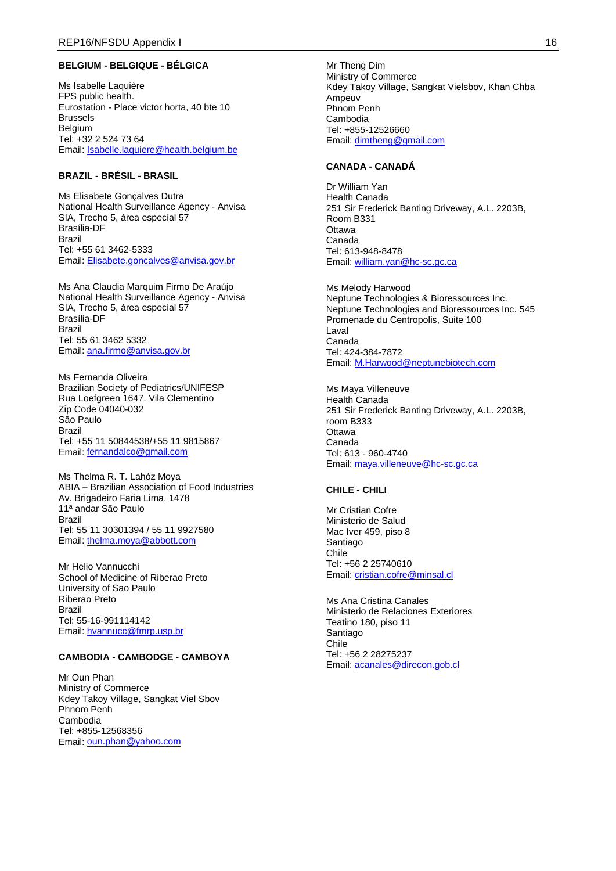## **BELGIUM - BELGIQUE - BÉLGICA**

Ms Isabelle Laquière FPS public health. Eurostation - Place victor horta, 40 bte 10 Brussels **Belgium** Tel: +32 2 524 73 64 Email: [Isabelle.laquiere@health.belgium.be](mailto:Isabelle.laquiere@health.belgium.be)

### **BRAZIL - BRÉSIL - BRASIL**

Ms Elisabete Gonçalves Dutra National Health Surveillance Agency - Anvisa SIA, Trecho 5, área especial 57 Brasília-DF Brazil Tel: +55 61 3462-5333 Email: [Elisabete.goncalves@anvisa.gov.br](mailto:Elisabete.goncalves@anvisa.gov.br)

Ms Ana Claudia Marquim Firmo De Araújo National Health Surveillance Agency - Anvisa SIA, Trecho 5, área especial 57 Brasília-DF Brazil Tel: 55 61 3462 5332 Email: [ana.firmo@anvisa.gov.br](mailto:ana.firmo@anvisa.gov.br)

Ms Fernanda Oliveira Brazilian Society of Pediatrics/UNIFESP Rua Loefgreen 1647. Vila Clementino Zip Code 04040-032 São Paulo Brazil Tel: +55 11 50844538/+55 11 9815867 Email: [fernandalco@gmail.com](mailto:fernandalco@gmail.com)

Ms Thelma R. T. Lahóz Moya ABIA – Brazilian Association of Food Industries Av. Brigadeiro Faria Lima, 1478 11ª andar São Paulo Brazil Tel: 55 11 30301394 / 55 11 9927580 Email: [thelma.moya@abbott.com](mailto:thelma.moya@abbott.com)

Mr Helio Vannucchi School of Medicine of Riberao Preto University of Sao Paulo Riberao Preto Brazil Tel: 55-16-991114142 Email: [hvannucc@fmrp.usp.br](mailto:hvannucc@fmrp.usp.br)

## **CAMBODIA - CAMBODGE - CAMBOYA**

Mr Oun Phan Ministry of Commerce Kdey Takoy Village, Sangkat Viel Sbov Phnom Penh Cambodia Tel: +855-12568356 Email: [oun.phan@yahoo.com](mailto:oun.phan@yahoo.com)

Mr Theng Dim Ministry of Commerce Kdey Takoy Village, Sangkat Vielsbov, Khan Chba Ampeuv Phnom Penh Cambodia Tel: +855-12526660 Email: [dimtheng@gmail.com](mailto:dimtheng@gmail.com)

### **CANADA - CANADÁ**

Dr William Yan Health Canada 251 Sir Frederick Banting Driveway, A.L. 2203B, Room B331 **Ottawa** Canada Tel: 613-948-8478 Email: [william.yan@hc-sc.gc.ca](mailto:william.yan@hc-sc.gc.ca)

Ms Melody Harwood Neptune Technologies & Bioressources Inc. Neptune Technologies and Bioressources Inc. 545 Promenade du Centropolis, Suite 100 Laval Canada Tel: 424-384-7872 Email: [M.Harwood@neptunebiotech.com](mailto:M.Harwood@neptunebiotech.com)

Ms Maya Villeneuve Health Canada 251 Sir Frederick Banting Driveway, A.L. 2203B, room B333 **Ottawa** Canada Tel: 613 - 960-4740 Email: [maya.villeneuve@hc-sc.gc.ca](mailto:maya.villeneuve@hc-sc.gc.ca)

#### **CHILE - CHILI**

Mr Cristian Cofre Ministerio de Salud Mac Iver 459, piso 8 Santiago Chile Tel: +56 2 25740610 Email: [cristian.cofre@minsal.cl](mailto:cristian.cofre@minsal.cl)

Ms Ana Cristina Canales Ministerio de Relaciones Exteriores Teatino 180, piso 11 Santiago Chile Tel: +56 2 28275237 Email: [acanales@direcon.gob.cl](mailto:acanales@direcon.gob.cl)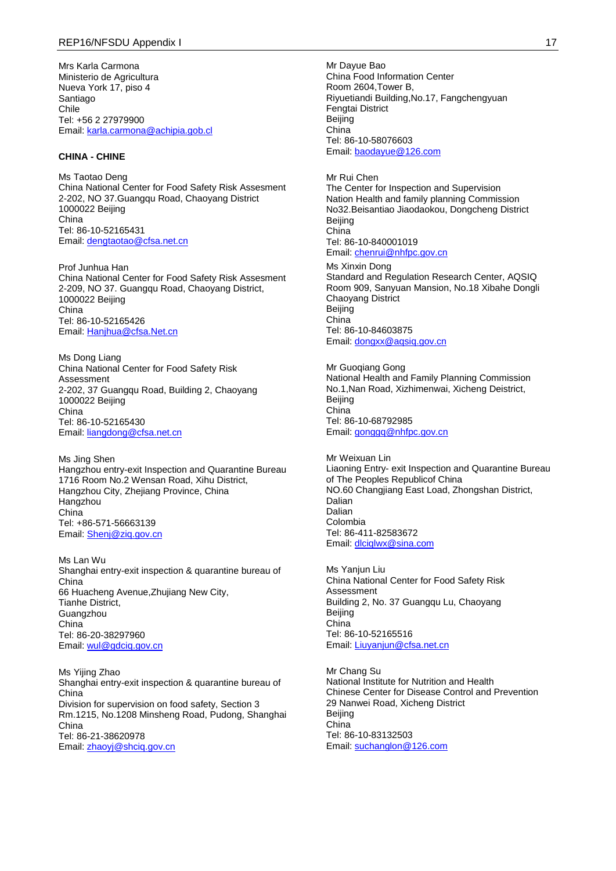Mrs Karla Carmona Ministerio de Agricultura Nueva York 17, piso 4 Santiago Chile Tel: +56 2 27979900 Email: [karla.carmona@achipia.gob.cl](mailto:karla.carmona@achipia.gob.cl)

#### **CHINA - CHINE**

Ms Taotao Deng China National Center for Food Safety Risk Assesment 2-202, NO 37.Guangqu Road, Chaoyang District 1000022 Beijing China Tel: 86-10-52165431 Email: [dengtaotao@cfsa.net.cn](mailto:dengtaotao@cfsa.net.cn)

Prof Junhua Han China National Center for Food Safety Risk Assesment 2-209, NO 37. Guangqu Road, Chaoyang District, 1000022 Beijing China Tel: 86-10-52165426 Email: [Hanjhua@cfsa.Net.cn](mailto:Hanjhua@cfsa.Net.cn)

Ms Dong Liang China National Center for Food Safety Risk Assessment 2-202, 37 Guangqu Road, Building 2, Chaoyang 1000022 Beijing China Tel: 86-10-52165430 Email: [liangdong@cfsa.net.cn](mailto:liangdong@cfsa.net.cn)

Ms Jing Shen Hangzhou entry-exit Inspection and Quarantine Bureau 1716 Room No.2 Wensan Road, Xihu District, Hangzhou City, Zhejiang Province, China **Hangzhou** China Tel: +86-571-56663139 Email: [Shenj@ziq.gov.cn](mailto:Shenj@ziq.gov.cn)

Ms Lan Wu Shanghai entry-exit inspection & quarantine bureau of China 66 Huacheng Avenue,Zhujiang New City, Tianhe District, **Guangzhou** China Tel: 86-20-38297960 Email: wul@gdcig.gov.cn

Ms Yijing Zhao Shanghai entry-exit inspection & quarantine bureau of China Division for supervision on food safety, Section 3 Rm.1215, No.1208 Minsheng Road, Pudong, Shanghai China Tel: 86-21-38620978 Email: [zhaoyj@shciq.gov.cn](mailto:zhaoyj@shciq.gov.cn)

Mr Dayue Bao China Food Information Center Room 2604,Tower B, Riyuetiandi Building,No.17, Fangchengyuan Fengtai District Beijing China Tel: 86-10-58076603 Email: [baodayue@126.com](mailto:baodayue@126.com)

Mr Rui Chen The Center for Inspection and Supervision Nation Health and family planning Commission No32.Beisantiao Jiaodaokou, Dongcheng District **Beijing** China Tel: 86-10-840001019 Email: [chenrui@nhfpc.gov.cn](mailto:chenrui@nhfpc.gov.cn) Ms Xinxin Dong Standard and Regulation Research Center, AQSIQ Room 909, Sanyuan Mansion, No.18 Xibahe Dongli Chaoyang District Beijing

China Tel: 86-10-84603875 Email: [dongxx@aqsiq.gov.cn](mailto:dongxx@aqsiq.gov.cn) Mr Guoqiang Gong

National Health and Family Planning Commission No.1,Nan Road, Xizhimenwai, Xicheng Deistrict, Beijing China Tel: 86-10-68792985 Email: [gonggq@nhfpc.gov.cn](mailto:gonggq@nhfpc.gov.cn)

Mr Weixuan Lin Liaoning Entry- exit Inspection and Quarantine Bureau of The Peoples Republicof China NO.60 Changjiang East Load, Zhongshan District, Dalian Dalian Colombia Tel: 86-411-82583672 Email: [dlciqlwx@sina.com](mailto:dlciqlwx@sina.com)

Ms Yanjun Liu China National Center for Food Safety Risk Assessment Building 2, No. 37 Guangqu Lu, Chaoyang Beijing China Tel: 86-10-52165516 Email: [Liuyanjun@cfsa.net.cn](mailto:Liuyanjun@cfsa.net.cn)

Mr Chang Su National Institute for Nutrition and Health Chinese Center for Disease Control and Prevention 29 Nanwei Road, Xicheng District Beijing China Tel: 86-10-83132503 Email: [suchanglon@126.com](mailto:suchanglon@126.com)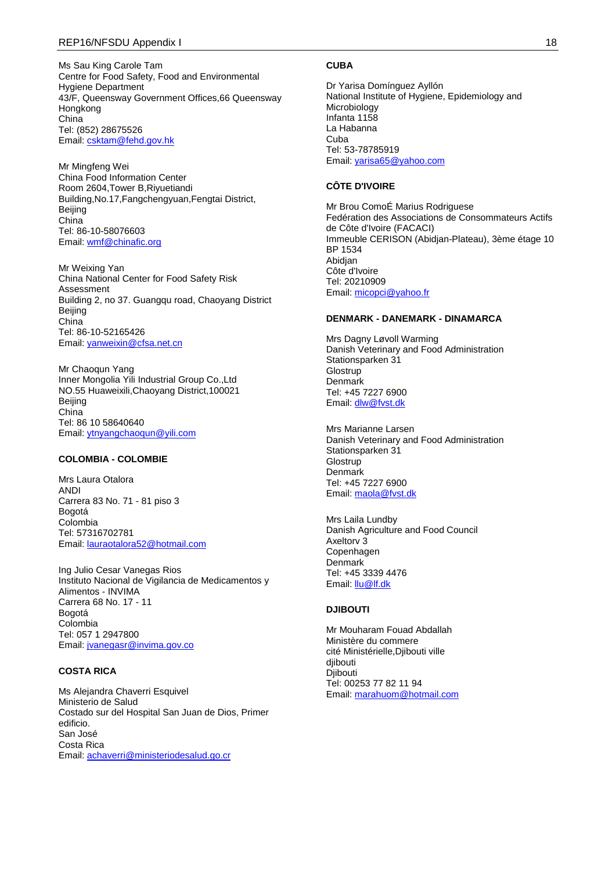Ms Sau King Carole Tam Centre for Food Safety, Food and Environmental Hygiene Department 43/F, Queensway Government Offices,66 Queensway Hongkong China Tel: (852) 28675526 Email: [csktam@fehd.gov.hk](mailto:csktam@fehd.gov.hk)

Mr Mingfeng Wei China Food Information Center Room 2604,Tower B,Riyuetiandi Building,No.17,Fangchengyuan,Fengtai District, Beijing China Tel: 86-10-58076603 Email: [wmf@chinafic.org](mailto:wmf@chinafic.org)

Mr Weixing Yan China National Center for Food Safety Risk Assessment Building 2, no 37. Guangqu road, Chaoyang District Beijing China Tel: 86-10-52165426 Email: [yanweixin@cfsa.net.cn](mailto:yanweixin@cfsa.net.cn)

Mr Chaoqun Yang Inner Mongolia Yili Industrial Group Co.,Ltd NO.55 Huaweixili,Chaoyang District,100021 Beijing China Tel: 86 10 58640640 Email: [ytnyangchaoqun@yili.com](mailto:ytnyangchaoqun@yili.com)

### **COLOMBIA - COLOMBIE**

Mrs Laura Otalora ANDI Carrera 83 No. 71 - 81 piso 3 Bogotá Colombia Tel: 57316702781 Email: [lauraotalora52@hotmail.com](mailto:lauraotalora52@hotmail.com)

Ing Julio Cesar Vanegas Rios Instituto Nacional de Vigilancia de Medicamentos y Alimentos - INVIMA Carrera 68 No. 17 - 11 Bogotá Colombia Tel: 057 1 2947800 Email: [jvanegasr@invima.gov.co](mailto:jvanegasr@invima.gov.co)

#### **COSTA RICA**

Ms Alejandra Chaverri Esquivel Ministerio de Salud Costado sur del Hospital San Juan de Dios, Primer edificio. San José Costa Rica Email: [achaverri@ministeriodesalud.go.cr](mailto:achaverri@ministeriodesalud.go.cr)

### **CUBA**

Dr Yarisa Domínguez Ayllón National Institute of Hygiene, Epidemiology and Microbiology Infanta 1158 La Habanna Cuba Tel: 53-78785919 Email: [yarisa65@yahoo.com](mailto:yarisa65@yahoo.com)

## **CÔTE D'IVOIRE**

Mr Brou ComoÉ Marius Rodriguese Fedération des Associations de Consommateurs Actifs de Côte d'Ivoire (FACACI) Immeuble CERISON (Abidjan-Plateau), 3ème étage 10 BP 1534 Abidjan Côte d'Ivoire Tel: 20210909 Email: [micopci@yahoo.fr](mailto:micopci@yahoo.fr)

#### **DENMARK - DANEMARK - DINAMARCA**

Mrs Dagny Løvoll Warming Danish Veterinary and Food Administration Stationsparken 31 **Glostrup** Denmark Tel: +45 7227 6900 Email: [dlw@fvst.dk](mailto:dlw@fvst.dk)

Mrs Marianne Larsen Danish Veterinary and Food Administration Stationsparken 31 **Glostrup** Denmark Tel: +45 7227 6900 Email: [maola@fvst.dk](mailto:maola@fvst.dk)

Mrs Laila Lundby Danish Agriculture and Food Council Axeltorv 3 **Copenhagen** Denmark Tel: +45 3339 4476 Email: [llu@lf.dk](mailto:llu@lf.dk)

#### **DJIBOUTI**

Mr Mouharam Fouad Abdallah Ministère du commere cité Ministérielle,Djibouti ville djibouti Djibouti Tel: 00253 77 82 11 94 Email: [marahuom@hotmail.com](mailto:marahuom@hotmail.com)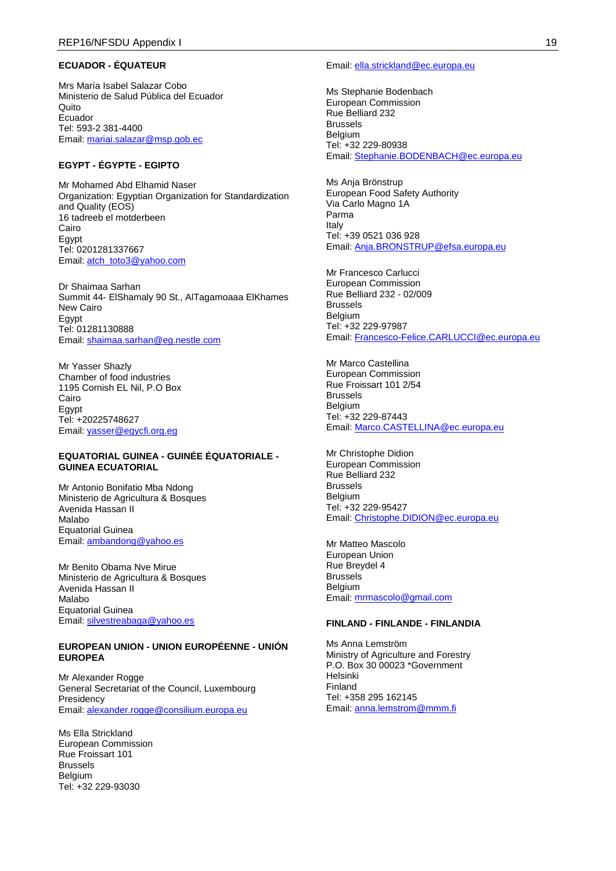### **ECUADOR - ÉQUATEUR**

Mrs María Isabel Salazar Cobo Ministerio de Salud Pública del Ecuador Quito Ecuador Tel: 593-2 381-4400 Email: [mariai.salazar@msp.gob.ec](mailto:mariai.salazar@msp.gob.ec)

### **EGYPT - ÉGYPTE - EGIPTO**

Mr Mohamed Abd Elhamid Naser Organization: Egyptian Organization for Standardization and Quality (EOS) 16 tadreeb el motderbeen Cairo Egypt Tel: 0201281337667 Email: [atch\\_toto3@yahoo.com](mailto:atch_toto3@yahoo.com)

Dr Shaimaa Sarhan Summit 44- ElShamaly 90 St., AlTagamoaaa ElKhames New Cairo Egypt Tel: 01281130888 Email: [shaimaa.sarhan@eg.nestle.com](mailto:shaimaa.sarhan@eg.nestle.com)

Mr Yasser Shazly Chamber of food industries 1195 Cornish EL Nil, P.O Box Cairo Egypt Tel: +20225748627 Email: [yasser@egycfi.org.eg](mailto:yasser@egycfi.org.eg)

#### **EQUATORIAL GUINEA - GUINÉE ÉQUATORIALE - GUINEA ECUATORIAL**

Mr Antonio Bonifatio Mba Ndong Ministerio de Agricultura & Bosques Avenida Hassan II Malabo Equatorial Guinea Email: [ambandong@yahoo.es](mailto:ambandong@yahoo.es)

Mr Benito Obama Nve Mirue Ministerio de Agricultura & Bosques Avenida Hassan II Malabo Equatorial Guinea Email: [silvestreabaga@yahoo.es](mailto:silvestreabaga@yahoo.es)

### **EUROPEAN UNION - UNION EUROPÉENNE - UNIÓN EUROPEA**

Mr Alexander Rogge General Secretariat of the Council, Luxembourg **Presidency** Email: <u>[alexander.rogge@consilium.europa.eu](mailto:alexander.rogge@consilium.europa.eu)</u>

Ms Ella Strickland European Commission Rue Froissart 101 Brussels Belgium Tel: +32 229-93030

#### Email: [ella.strickland@ec.europa.eu](mailto:ella.strickland@ec.europa.eu)

Ms Stephanie Bodenbach European Commission Rue Belliard 232 Brussels **Belgium** Tel: +32 229-80938 Email: [Stephanie.BODENBACH@ec.europa.eu](mailto:Stephanie.BODENBACH@ec.europa.eu)

Ms Anja Brönstrup European Food Safety Authority Via Carlo Magno 1A Parma Italy Tel: +39 0521 036 928 Email: [Anja.BRONSTRUP@efsa.europa.eu](mailto:Anja.BRONSTRUP@efsa.europa.eu)

Mr Francesco Carlucci European Commission Rue Belliard 232 - 02/009 Brussels Belgium Tel: +32 229-97987 Email: [Francesco-Felice.CARLUCCI@ec.europa.eu](mailto:Francesco-Felice.CARLUCCI@ec.europa.eu)

Mr Marco Castellina European Commission Rue Froissart 101 2/54 Brussels Belgium Tel: +32 229-87443 Email: [Marco.CASTELLINA@ec.europa.eu](mailto:Marco.CASTELLINA@ec.europa.eu)

Mr Christophe Didion European Commission Rue Belliard 232 Brussels Belgium Tel: +32 229-95427 Email: [Christophe.DIDION@ec.europa.eu](mailto:Christophe.DIDION@ec.europa.eu)

Mr Matteo Mascolo European Union Rue Breydel 4 **Brussels Belgium** Email: [mrmascolo@gmail.com](mailto:mrmascolo@gmail.com)

#### **FINLAND - FINLANDE - FINLANDIA**

Ms Anna Lemström Ministry of Agriculture and Forestry P.O. Box 30 00023 \*Government Helsinki Finland Tel: +358 295 162145 Email: [anna.lemstrom@mmm.fi](mailto:anna.lemstrom@mmm.fi)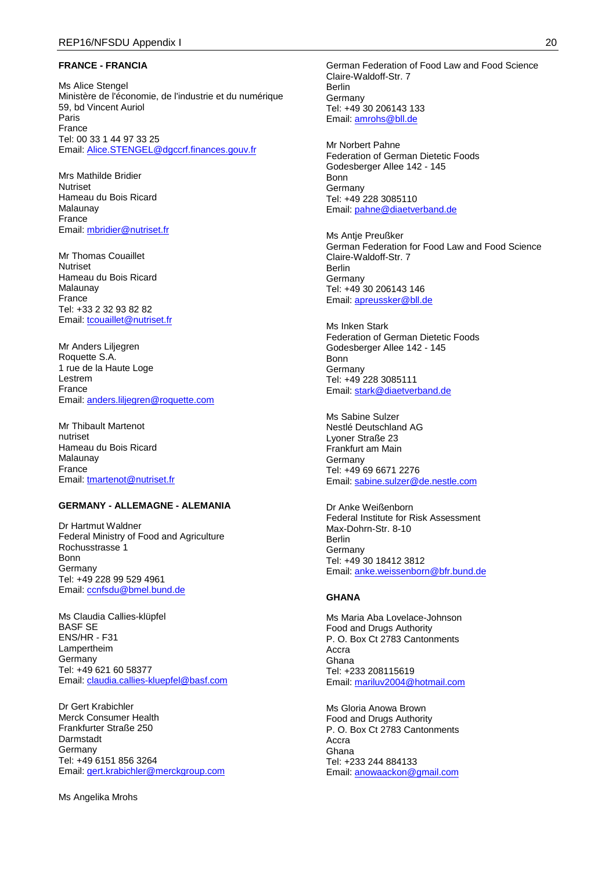#### **FRANCE - FRANCIA**

Ms Alice Stengel Ministère de l'économie, de l'industrie et du numérique 59, bd Vincent Auriol Paris France Tel: 00 33 1 44 97 33 25 Email: [Alice.STENGEL@dgccrf.finances.gouv.fr](mailto:Alice.STENGEL@dgccrf.finances.gouv.fr)

Mrs Mathilde Bridier Nutriset Hameau du Bois Ricard Malaunay France Email: [mbridier@nutriset.fr](mailto:mbridier@nutriset.fr)

Mr Thomas Couaillet Nutriset Hameau du Bois Ricard Malaunay France Tel: +33 2 32 93 82 82 Email: [tcouaillet@nutriset.fr](mailto:tcouaillet@nutriset.fr)

Mr Anders Liljegren Roquette S.A. 1 rue de la Haute Loge Lestrem France Email: [anders.liljegren@roquette.com](mailto:anders.liljegren@roquette.com)

Mr Thibault Martenot nutriset Hameau du Bois Ricard Malaunay France Email: [tmartenot@nutriset.fr](mailto:tmartenot@nutriset.fr)

#### **GERMANY - ALLEMAGNE - ALEMANIA**

Dr Hartmut Waldner Federal Ministry of Food and Agriculture Rochusstrasse 1 Bonn Germany Tel: +49 228 99 529 4961 Email: [ccnfsdu@bmel.bund.de](mailto:ccnfsdu@bmel.bund.de)

Ms Claudia Callies-klüpfel BASF SE ENS/HR - F31 Lampertheim Germany Tel: +49 621 60 58377 Email: [claudia.callies-kluepfel@basf.com](mailto:claudia.callies-kluepfel@basf.com)

Dr Gert Krabichler Merck Consumer Health Frankfurter Straße 250 Darmstadt **Germany** Tel: +49 6151 856 3264 Email: [gert.krabichler@merckgroup.com](mailto:gert.krabichler@merckgroup.com)

Ms Angelika Mrohs

German Federation of Food Law and Food Science Claire-Waldoff-Str. 7 Berlin Germany Tel: +49 30 206143 133 Email: [amrohs@bll.de](mailto:amrohs@bll.de)

Mr Norbert Pahne Federation of German Dietetic Foods Godesberger Allee 142 - 145 Bonn Germany Tel: +49 228 3085110 Email: [pahne@diaetverband.de](mailto:pahne@diaetverband.de)

Ms Antie Preußker German Federation for Food Law and Food Science Claire-Waldoff-Str. 7 Berlin Germany Tel: +49 30 206143 146 Email: [apreussker@bll.de](mailto:apreussker@bll.de)

Ms Inken Stark Federation of German Dietetic Foods Godesberger Allee 142 - 145 Bonn Germany Tel: +49 228 3085111 Email: [stark@diaetverband.de](mailto:stark@diaetverband.de)

Ms Sabine Sulzer Nestlé Deutschland AG Lyoner Straße 23 Frankfurt am Main Germany Tel: +49 69 6671 2276 Email: [sabine.sulzer@de.nestle.com](mailto:sabine.sulzer@de.nestle.com)

Dr Anke Weißenborn Federal Institute for Risk Assessment Max-Dohrn-Str. 8-10 Berlin Germany Tel: +49 30 18412 3812 Email: [anke.weissenborn@bfr.bund.de](mailto:anke.weissenborn@bfr.bund.de)

#### **GHANA**

Ms Maria Aba Lovelace-Johnson Food and Drugs Authority P. O. Box Ct 2783 Cantonments Accra Ghana Tel: +233 208115619 Email: [mariluv2004@hotmail.com](mailto:mariluv2004@hotmail.com)

Ms Gloria Anowa Brown Food and Drugs Authority P. O. Box Ct 2783 Cantonments Accra Ghana Tel: +233 244 884133 Email: [anowaackon@gmail.com](mailto:anowaackon@gmail.com)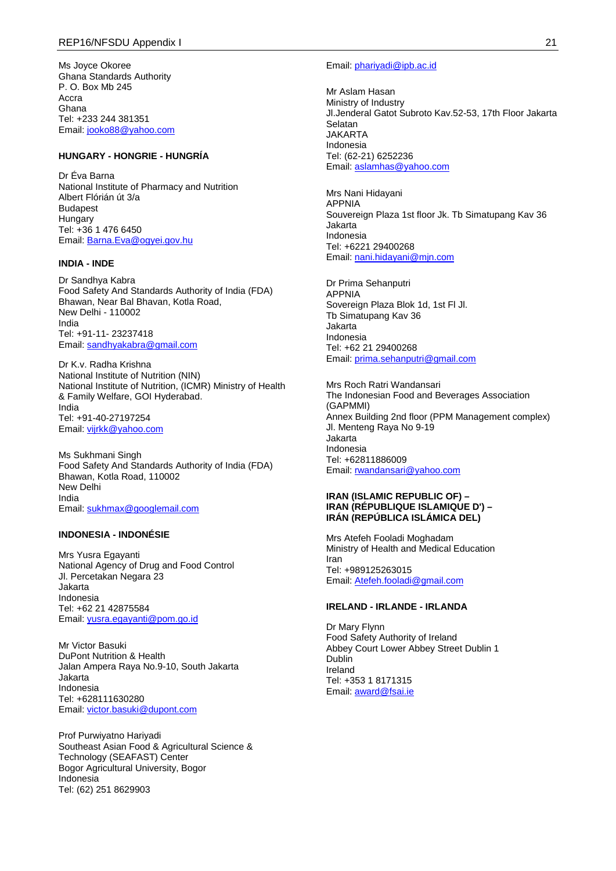Ms Joyce Okoree Ghana Standards Authority P. O. Box Mb 245 Accra Ghana Tel: +233 244 381351 Email: [jooko88@yahoo.com](mailto:jooko88@yahoo.com)

## **HUNGARY - HONGRIE - HUNGRÍA**

Dr Éva Barna National Institute of Pharmacy and Nutrition Albert Flórián út 3/a Budapest Hungary Tel: +36 1 476 6450 Email: <u>[Barna.Eva@ogyei.gov.hu](mailto:Barna.Eva@ogyei.gov.hu)</u>

#### **INDIA - INDE**

Dr Sandhya Kabra Food Safety And Standards Authority of India (FDA) Bhawan, Near Bal Bhavan, Kotla Road, New Delhi - 110002 India Tel: +91-11- 23237418 Email: [sandhyakabra@gmail.com](mailto:sandhyakabra@gmail.com)

Dr K.v. Radha Krishna National Institute of Nutrition (NIN) National Institute of Nutrition, (ICMR) Ministry of Health & Family Welfare, GOI Hyderabad. India Tel: +91-40-27197254 Email: [vijrkk@yahoo.com](mailto:vijrkk@yahoo.com)

Ms Sukhmani Singh Food Safety And Standards Authority of India (FDA) Bhawan, Kotla Road, 110002 New Delhi India Email: [sukhmax@googlemail.com](mailto:sukhmax@googlemail.com)

### **INDONESIA - INDONÉSIE**

Mrs Yusra Egayanti National Agency of Drug and Food Control Jl. Percetakan Negara 23 Jakarta Indonesia Tel: +62 21 42875584 Email: [yusra.egayanti@pom.go.id](mailto:yusra.egayanti@pom.go.id)

Mr Victor Basuki DuPont Nutrition & Health Jalan Ampera Raya No.9-10, South Jakarta Jakarta Indonesia Tel: +628111630280 Email: [victor.basuki@dupont.com](mailto:victor.basuki@dupont.com)

Prof Purwiyatno Hariyadi Southeast Asian Food & Agricultural Science & Technology (SEAFAST) Center Bogor Agricultural University, Bogor Indonesia Tel: (62) 251 8629903

#### Email: [phariyadi@ipb.ac.id](mailto:phariyadi@ipb.ac.id)

Mr Aslam Hasan Ministry of Industry Jl.Jenderal Gatot Subroto Kav.52-53, 17th Floor Jakarta Selatan JAKARTA Indonesia Tel: (62-21) 6252236 Email: [aslamhas@yahoo.com](mailto:aslamhas@yahoo.com)

Mrs Nani Hidayani APPNIA Souvereign Plaza 1st floor Jk. Tb Simatupang Kav 36 Jakarta Indonesia Tel: +6221 29400268 Email: [nani.hidayani@mjn.com](mailto:nani.hidayani@mjn.com)

Dr Prima Sehanputri APPNIA Sovereign Plaza Blok 1d, 1st Fl Jl. Tb Simatupang Kav 36 Jakarta Indonesia Tel: +62 21 29400268 Email: [prima.sehanputri@gmail.com](mailto:prima.sehanputri@gmail.com)

Mrs Roch Ratri Wandansari The Indonesian Food and Beverages Association (GAPMMI) Annex Building 2nd floor (PPM Management complex) Jl. Menteng Raya No 9-19 Jakarta Indonesia Tel: +62811886009 Email: [rwandansari@yahoo.com](mailto:rwandansari@yahoo.com)

#### **IRAN (ISLAMIC REPUBLIC OF) – IRAN (RÉPUBLIQUE ISLAMIQUE D') – IRÁN (REPÚBLICA ISLÁMICA DEL)**

Mrs Atefeh Fooladi Moghadam Ministry of Health and Medical Education Iran Tel: +989125263015 Email: [Atefeh.fooladi@gmail.com](mailto:Atefeh.fooladi@gmail.com)

#### **IRELAND - IRLANDE - IRLANDA**

Dr Mary Flynn Food Safety Authority of Ireland Abbey Court Lower Abbey Street Dublin 1 **Dublin** Ireland Tel: +353 1 8171315 Email: [award@fsai.ie](mailto:award@fsai.ie)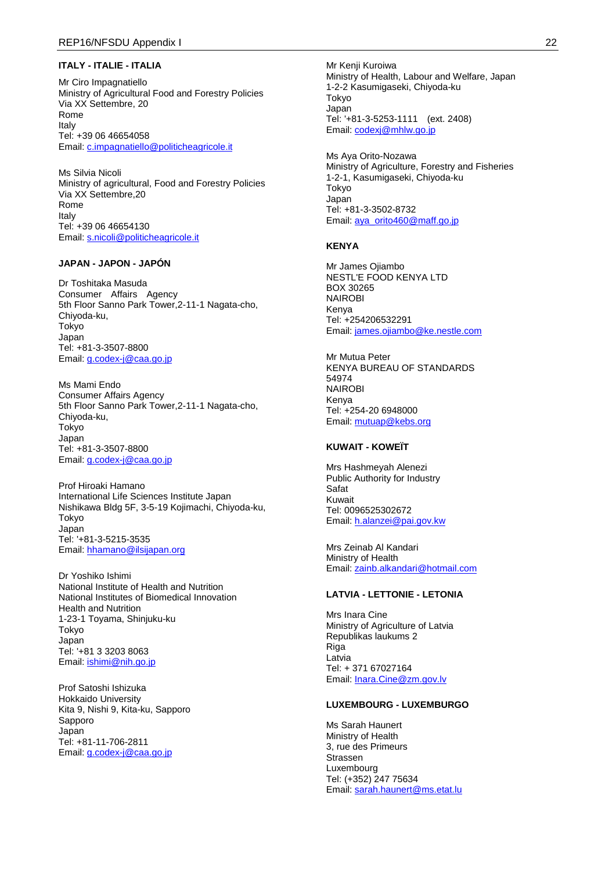#### **ITALY - ITALIE - ITALIA**

Mr Ciro Impagnatiello Ministry of Agricultural Food and Forestry Policies Via XX Settembre, 20 Rome Italy Tel: +39 06 46654058 Email: [c.impagnatiello@politicheagricole.it](mailto:c.impagnatiello@politicheagricole.it)

Ms Silvia Nicoli Ministry of agricultural, Food and Forestry Policies Via XX Settembre,20 Rome Italy Tel: +39 06 46654130 Email: [s.nicoli@politicheagricole.it](mailto:s.nicoli@politicheagricole.it)

### **JAPAN - JAPON - JAPÓN**

Dr Toshitaka Masuda Consumer Affairs Agency 5th Floor Sanno Park Tower,2-11-1 Nagata-cho, Chiyoda-ku, Tokyo Japan Tel: +81-3-3507-8800 Email: [g.codex-j@caa.go.jp](mailto:g.codex-j@caa.go.jp)

Ms Mami Endo Consumer Affairs Agency 5th Floor Sanno Park Tower,2-11-1 Nagata-cho, Chiyoda-ku, Tokyo Japan Tel: +81-3-3507-8800 Email: [g.codex-j@caa.go.jp](mailto:g.codex-j@caa.go.jp)

Prof Hiroaki Hamano International Life Sciences Institute Japan Nishikawa Bldg 5F, 3-5-19 Kojimachi, Chiyoda-ku, Tokyo Japan Tel: '+81-3-5215-3535 Email: [hhamano@ilsijapan.org](mailto:hhamano@ilsijapan.org)

Dr Yoshiko Ishimi National Institute of Health and Nutrition National Institutes of Biomedical Innovation Health and Nutrition 1-23-1 Toyama, Shinjuku-ku Tokyo Japan Tel: '+81 3 3203 8063 Email: [ishimi@nih.go.jp](mailto:ishimi@nih.go.jp)

Prof Satoshi Ishizuka Hokkaido University Kita 9, Nishi 9, Kita-ku, Sapporo Sapporo Japan Tel: +81-11-706-2811 Email: [g.codex-j@caa.go.jp](mailto:g.codex-j@caa.go.jp)

Mr Kenji Kuroiwa Ministry of Health, Labour and Welfare, Japan 1-2-2 Kasumigaseki, Chiyoda-ku Tokyo Japan Tel: '+81-3-5253-1111 (ext. 2408) Email: [codexj@mhlw.go.jp](mailto:codexj@mhlw.go.jp)

Ms Aya Orito-Nozawa Ministry of Agriculture, Forestry and Fisheries 1-2-1, Kasumigaseki, Chiyoda-ku Tokyo Japan Tel: +81-3-3502-8732 Email: [aya\\_orito460@maff.go.jp](mailto:aya_orito460@maff.go.jp)

#### **KENYA**

Mr James Ojiambo NESTL'E FOOD KENYA LTD BOX 30265 NAIROBI Kenya Tel: +254206532291 Email: [james.ojiambo@ke.nestle.com](mailto:james.ojiambo@ke.nestle.com)

Mr Mutua Peter KENYA BUREAU OF STANDARDS 54974 NAIROBI Kenya Tel: +254-20 6948000 Email: [mutuap@kebs.org](mailto:mutuap@kebs.org)

#### **KUWAIT - KOWEÏT**

Mrs Hashmeyah Alenezi Public Authority for Industry Safat Kuwait Tel: 0096525302672 Email: [h.alanzei@pai.gov.kw](mailto:h.alanzei@pai.gov.kw)

Mrs Zeinab Al Kandari Ministry of Health Email: [zainb.alkandari@hotmail.com](mailto:zainb.alkandari@hotmail.com)

### **LATVIA - LETTONIE - LETONIA**

Mrs Inara Cine Ministry of Agriculture of Latvia Republikas laukums 2 Riga Latvia Tel: + 371 67027164 Email: [Inara.Cine@zm.gov.lv](mailto:Inara.Cine@zm.gov.lv)

#### **LUXEMBOURG - LUXEMBURGO**

Ms Sarah Haunert Ministry of Health 3, rue des Primeurs Strassen Luxembourg Tel: (+352) 247 75634 Email: [sarah.haunert@ms.etat.lu](mailto:sarah.haunert@ms.etat.lu)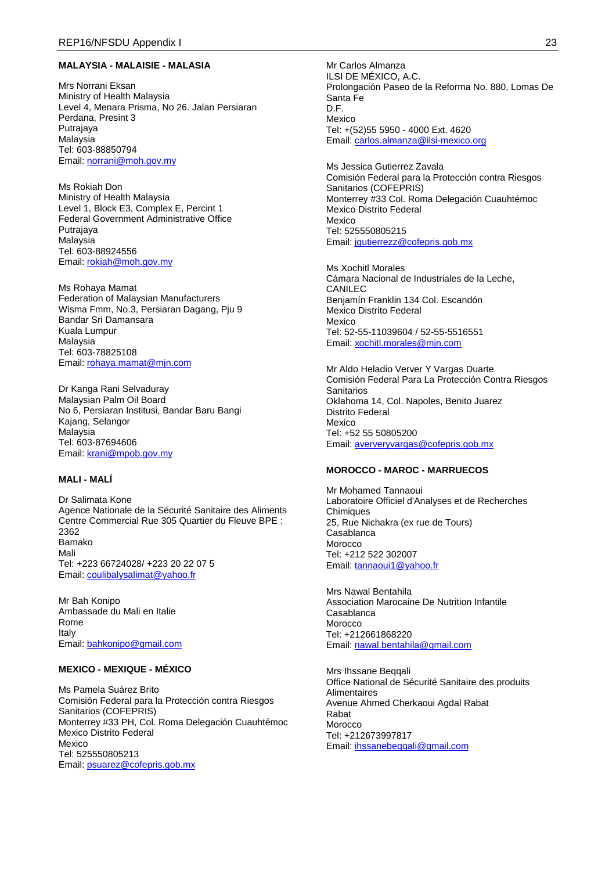### **MALAYSIA - MALAISIE - MALASIA**

Mrs Norrani Eksan Ministry of Health Malaysia Level 4, Menara Prisma, No 26. Jalan Persiaran Perdana, Presint 3 Putrajaya Malaysia Tel: 603-88850794 Email: [norrani@moh.gov.my](mailto:norrani@moh.gov.my)

Ms Rokiah Don Ministry of Health Malaysia Level 1, Block E3, Complex E, Percint 1 Federal Government Administrative Office Putrajaya Malaysia Tel: 603-88924556 Email: [rokiah@moh.gov.my](mailto:rokiah@moh.gov.my)

Ms Rohaya Mamat Federation of Malaysian Manufacturers Wisma Fmm, No.3, Persiaran Dagang, Pju 9 Bandar Sri Damansara Kuala Lumpur Malaysia Tel: 603-78825108 Email: [rohaya.mamat@mjn.com](mailto:rohaya.mamat@mjn.com)

Dr Kanga Rani Selvaduray Malaysian Palm Oil Board No 6, Persiaran Institusi, Bandar Baru Bangi Kajang, Selangor Malaysia Tel: 603-87694606 Email: [krani@mpob.gov.my](mailto:krani@mpob.gov.my)

#### **MALI - MALÍ**

Dr Salimata Kone Agence Nationale de la Sécurité Sanitaire des Aliments Centre Commercial Rue 305 Quartier du Fleuve BPE : 2362 Bamako Mali Tel: +223 66724028/ +223 20 22 07 5 Email: [coulibalysalimat@yahoo.fr](mailto:coulibalysalimat@yahoo.fr)

Mr Bah Konipo Ambassade du Mali en Italie Rome Italy Email: [bahkonipo@gmail.com](mailto:bahkonipo@gmail.com)

#### **MEXICO - MEXIQUE - MÉXICO**

Ms Pamela Suárez Brito Comisión Federal para la Protección contra Riesgos Sanitarios (COFEPRIS) Monterrey #33 PH, Col. Roma Delegación Cuauhtémoc Mexico Distrito Federal Mexico Tel: 525550805213 Email: [psuarez@cofepris.gob.mx](mailto:psuarez@cofepris.gob.mx)

Mr Carlos Almanza ILSI DE MÉXICO, A.C. Prolongación Paseo de la Reforma No. 880, Lomas De Santa Fe D.F. Mexico Tel: +(52)55 5950 - 4000 Ext. 4620 Email: [carlos.almanza@ilsi-mexico.org](mailto:carlos.almanza@ilsi-mexico.org)

Ms Jessica Gutierrez Zavala Comisión Federal para la Protección contra Riesgos Sanitarios (COFEPRIS) Monterrey #33 Col. Roma Delegación Cuauhtémoc Mexico Distrito Federal Mexico Tel: 525550805215 Email: [jgutierrezz@cofepris.gob.mx](mailto:jgutierrezz@cofepris.gob.mx)

Ms Xochitl Morales Cámara Nacional de Industriales de la Leche, CANILEC Benjamín Franklin 134 Col. Escandón Mexico Distrito Federal Mexico Tel: 52-55-11039604 / 52-55-5516551 Email: [xochitl.morales@mjn.com](mailto:xochitl.morales@mjn.com)

Mr Aldo Heladio Verver Y Vargas Duarte Comisión Federal Para La Protección Contra Riesgos **Sanitarios** Oklahoma 14, Col. Napoles, Benito Juarez Distrito Federal Mexico Tel: +52 55 50805200 Email: [aververyvargas@cofepris.gob.mx](mailto:aververyvargas@cofepris.gob.mx)

### **MOROCCO - MAROC - MARRUECOS**

Mr Mohamed Tannaoui Laboratoire Officiel d'Analyses et de Recherches **Chimiques** 25, Rue Nichakra (ex rue de Tours) Casablanca Morocco Tel: +212 522 302007 Email: [tannaoui1@yahoo.fr](mailto:tannaoui1@yahoo.fr)

Mrs Nawal Bentahila Association Marocaine De Nutrition Infantile Casablanca Morocco Tel: +212661868220 Email: [nawal.bentahila@gmail.com](mailto:nawal.bentahila@gmail.com)

Mrs Ihssane Beqqali Office National de Sécurité Sanitaire des produits Alimentaires Avenue Ahmed Cherkaoui Agdal Rabat Rabat **Morocco** Tel: +212673997817 Email: ihssanebeggali@gmail.com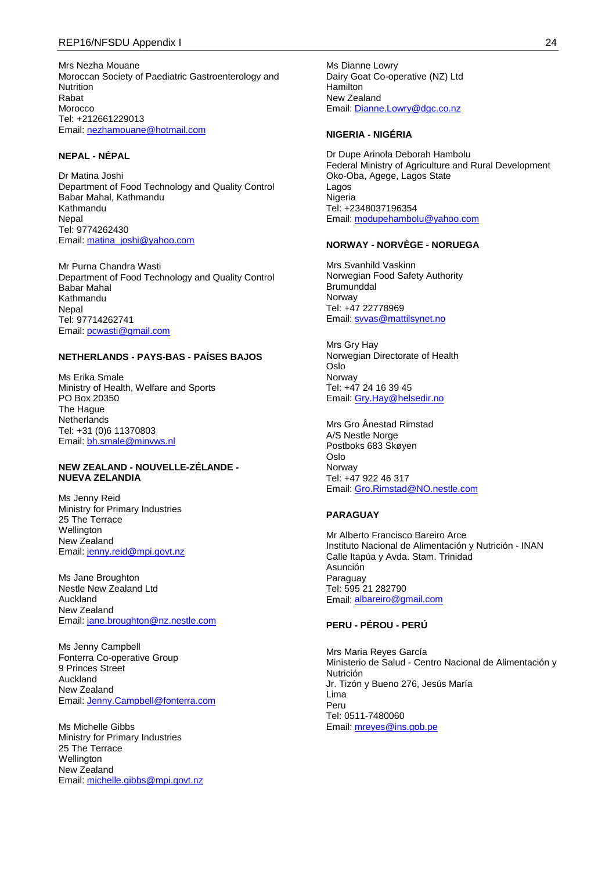Mrs Nezha Mouane Moroccan Society of Paediatric Gastroenterology and Nutrition Rabat Morocco Tel: +212661229013 Email: [nezhamouane@hotmail.com](mailto:nezhamouane@hotmail.com)

## **NEPAL - NÉPAL**

Dr Matina Joshi Department of Food Technology and Quality Control Babar Mahal, Kathmandu Kathmandu **Nepal** Tel: 9774262430 Email: [matina\\_joshi@yahoo.com](mailto:matina_joshi@yahoo.com)

Mr Purna Chandra Wasti Department of Food Technology and Quality Control Babar Mahal Kathmandu **Nepal** Tel: 97714262741 Email: [pcwasti@gmail.com](mailto:pcwasti@gmail.com)

### **NETHERLANDS - PAYS-BAS - PAÍSES BAJOS**

Ms Erika Smale Ministry of Health, Welfare and Sports PO Box 20350 The Hague **Netherlands** Tel: +31 (0)6 11370803 Email: [bh.smale@minvws.nl](mailto:bh.smale@minvws.nl)

#### **NEW ZEALAND - NOUVELLE-ZÉLANDE - NUEVA ZELANDIA**

Ms Jenny Reid Ministry for Primary Industries 25 The Terrace **Wellington** New Zealand Email: [jenny.reid@mpi.govt.nz](mailto:jenny.reid@mpi.govt.nz)

Ms Jane Broughton Nestle New Zealand Ltd Auckland New Zealand Email: [jane.broughton@nz.nestle.com](mailto:jane.broughton@nz.nestle.com)

Ms Jenny Campbell Fonterra Co-operative Group 9 Princes Street Auckland New Zealand Email: [Jenny.Campbell@fonterra.com](mailto:Jenny.Campbell@fonterra.com)

Ms Michelle Gibbs Ministry for Primary Industries 25 The Terrace **Wellington** New Zealand Email: [michelle.gibbs@mpi.govt.nz](mailto:michelle.gibbs@mpi.govt.nz)

Ms Dianne Lowry Dairy Goat Co-operative (NZ) Ltd Hamilton New Zealand Email: [Dianne.Lowry@dgc.co.nz](mailto:Dianne.Lowry@dgc.co.nz)

## **NIGERIA - NIGÉRIA**

Dr Dupe Arinola Deborah Hambolu Federal Ministry of Agriculture and Rural Development Oko-Oba, Agege, Lagos State Lagos Nigeria Tel: +2348037196354 Email: [modupehambolu@yahoo.com](mailto:modupehambolu@yahoo.com)

### **NORWAY - NORVÈGE - NORUEGA**

Mrs Svanhild Vaskinn Norwegian Food Safety Authority **Brumunddal** Norway Tel: +47 22778969 Email: [svvas@mattilsynet.no](mailto:svvas@mattilsynet.no)

Mrs Gry Hay Norwegian Directorate of Health Oslo **Norway** Tel: +47 24 16 39 45 Email: [Gry.Hay@helsedir.no](mailto:Gry.Hay@helsedir.no)

Mrs Gro Ånestad Rimstad A/S Nestle Norge Postboks 683 Skøyen Oslo Norway Tel: +47 922 46 317 Email: [Gro.Rimstad@NO.nestle.com](mailto:Gro.Rimstad@NO.nestle.com)

### **PARAGUAY**

Mr Alberto Francisco Bareiro Arce Instituto Nacional de Alimentación y Nutrición - INAN Calle Itapúa y Avda. Stam. Trinidad Asunción Paraguay Tel: 595 21 282790 Email: [albareiro@gmail.com](mailto:albareiro@gmail.com)

## **PERU - PÉROU - PERÚ**

Mrs Maria Reyes García Ministerio de Salud - Centro Nacional de Alimentación y Nutrición Jr. Tizón y Bueno 276, Jesús María Lima Peru Tel: 0511-7480060 Email: [mreyes@ins.gob.pe](mailto:mreyes@ins.gob.pe)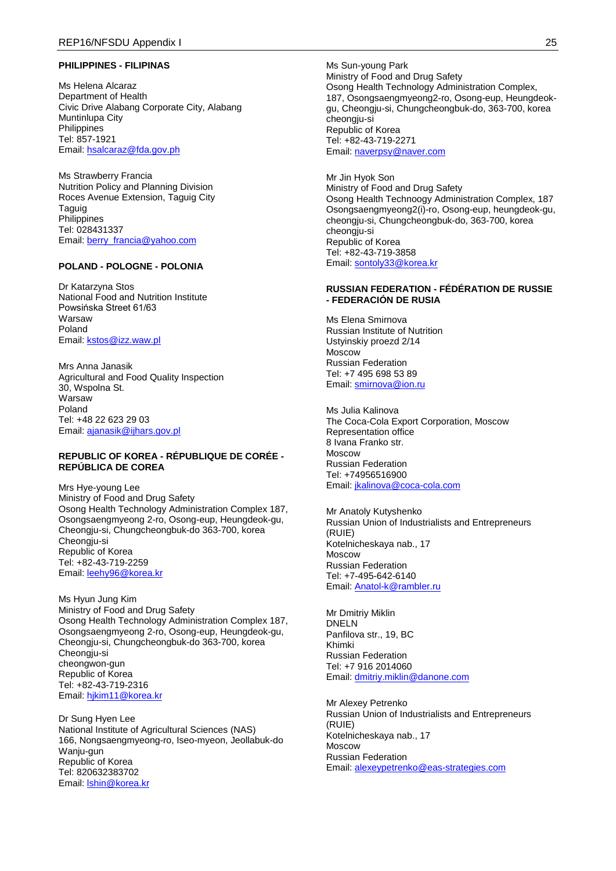#### **PHILIPPINES - FILIPINAS**

Ms Helena Alcaraz Department of Health Civic Drive Alabang Corporate City, Alabang Muntinlupa City Philippines Tel: 857-1921 Email: [hsalcaraz@fda.gov.ph](mailto:hsalcaraz@fda.gov.ph)

Ms Strawberry Francia Nutrition Policy and Planning Division Roces Avenue Extension, Taguig City Taguig Philippines Tel: 028431337 Email: [berry\\_francia@yahoo.com](mailto:berry_francia@yahoo.com)

### **POLAND - POLOGNE - POLONIA**

Dr Katarzyna Stos National Food and Nutrition Institute Powsińska Street 61/63 **Warsaw** Poland Email: [kstos@izz.waw.pl](mailto:kstos@izz.waw.pl)

Mrs Anna Janasik Agricultural and Food Quality Inspection 30, Wspolna St. Warsaw Poland Tel: +48 22 623 29 03 Email: [ajanasik@ijhars.gov.pl](mailto:ajanasik@ijhars.gov.pl)

#### **REPUBLIC OF KOREA - RÉPUBLIQUE DE CORÉE - REPÚBLICA DE COREA**

Mrs Hye-young Lee Ministry of Food and Drug Safety Osong Health Technology Administration Complex 187, Osongsaengmyeong 2-ro, Osong-eup, Heungdeok-gu, Cheongju-si, Chungcheongbuk-do 363-700, korea Cheongju-si Republic of Korea Tel: +82-43-719-2259 Email: [leehy96@korea.kr](mailto:leehy96@korea.kr)

Ms Hyun Jung Kim Ministry of Food and Drug Safety Osong Health Technology Administration Complex 187, Osongsaengmyeong 2-ro, Osong-eup, Heungdeok-gu, Cheongju-si, Chungcheongbuk-do 363-700, korea Cheongju-si cheongwon-gun Republic of Korea Tel: +82-43-719-2316 Email: hikim11@korea.kr

Dr Sung Hyen Lee National Institute of Agricultural Sciences (NAS) 166, Nongsaengmyeong-ro, Iseo-myeon, Jeollabuk-do Wanju-gun Republic of Korea Tel: 820632383702 Email: [lshin@korea.kr](mailto:lshin@korea.kr)

Ms Sun-young Park Ministry of Food and Drug Safety Osong Health Technology Administration Complex, 187, Osongsaengmyeong2-ro, Osong-eup, Heungdeokgu, Cheongju-si, Chungcheongbuk-do, 363-700, korea cheongju-si Republic of Korea Tel: +82-43-719-2271 Email: [naverpsy@naver.com](mailto:naverpsy@naver.com)

Mr Jin Hyok Son Ministry of Food and Drug Safety Osong Health Technoogy Administration Complex, 187 Osongsaengmyeong2(i)-ro, Osong-eup, heungdeok-gu, cheongju-si, Chungcheongbuk-do, 363-700, korea cheongju-si Republic of Korea Tel: +82-43-719-3858 Email: [sontoly33@korea.kr](mailto:sontoly33@korea.kr)

#### **RUSSIAN FEDERATION - FÉDÉRATION DE RUSSIE - FEDERACIÓN DE RUSIA**

Ms Elena Smirnova Russian Institute of Nutrition Ustyinskiy proezd 2/14 Moscow Russian Federation Tel: +7 495 698 53 89 Email: [smirnova@ion.ru](mailto:smirnova@ion.ru)

Ms Julia Kalinova The Coca-Cola Export Corporation, Moscow Representation office 8 Ivana Franko str. Moscow Russian Federation Tel: +74956516900 Email: [jkalinova@coca-cola.com](mailto:jkalinova@coca-cola.com)

Mr Anatoly Kutyshenko Russian Union of Industrialists and Entrepreneurs (RUIE) Kotelnicheskaya nab., 17 Moscow Russian Federation Tel: +7-495-642-6140 Email: [Anatol-k@rambler.ru](mailto:Anatol-k@rambler.ru)

Mr Dmitriy Miklin DNELN Panfilova str., 19, BC Khimki Russian Federation Tel: +7 916 2014060 Email: [dmitriy.miklin@danone.com](mailto:dmitriy.miklin@danone.com)

Mr Alexey Petrenko Russian Union of Industrialists and Entrepreneurs (RUIE) Kotelnicheskaya nab., 17 Moscow Russian Federation Email: [alexeypetrenko@eas-strategies.com](mailto:alexeypetrenko@eas-strategies.com)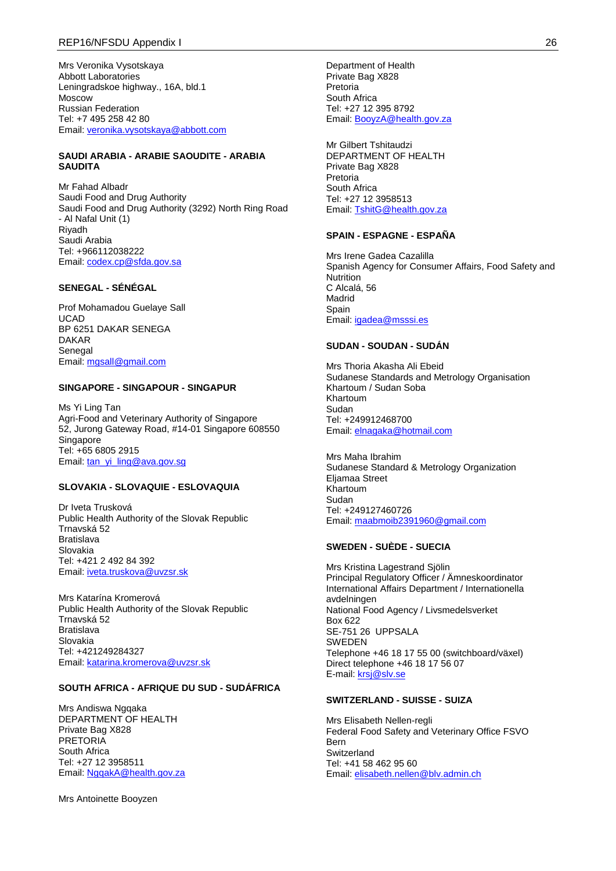Mrs Veronika Vysotskaya Abbott Laboratories Leningradskoe highway., 16A, bld.1 Moscow Russian Federation Tel: +7 495 258 42 80 Email: [veronika.vysotskaya@abbott.com](mailto:veronika.vysotskaya@abbott.com)

#### **SAUDI ARABIA - ARABIE SAOUDITE - ARABIA SAUDITA**

Mr Fahad Albadr Saudi Food and Drug Authority Saudi Food and Drug Authority (3292) North Ring Road - Al Nafal Unit (1) Riyadh Saudi Arabia Tel: +966112038222 Email: [codex.cp@sfda.gov.sa](mailto:codex.cp@sfda.gov.sa)

### **SENEGAL - SÉNÉGAL**

Prof Mohamadou Guelaye Sall UCAD BP 6251 DAKAR SENEGA DAKAR Senegal Email: [mgsall@gmail.com](mailto:mgsall@gmail.com)

#### **SINGAPORE - SINGAPOUR - SINGAPUR**

Ms Yi Ling Tan Agri-Food and Veterinary Authority of Singapore 52, Jurong Gateway Road, #14-01 Singapore 608550 **Singapore** Tel: +65 6805 2915 Email: [tan\\_yi\\_ling@ava.gov.sg](mailto:tan_yi_ling@ava.gov.sg)

#### **SLOVAKIA - SLOVAQUIE - ESLOVAQUIA**

Dr Iveta Trusková Public Health Authority of the Slovak Republic Trnavská 52 Bratislava Slovakia Tel: +421 2 492 84 392 Email: [iveta.truskova@uvzsr.sk](mailto:iveta.truskova@uvzsr.sk)

Mrs Katarína Kromerová Public Health Authority of the Slovak Republic Trnavská 52 Bratislava Slovakia Tel: +421249284327 Email: [katarina.kromerova@uvzsr.sk](mailto:katarina.kromerova@uvzsr.sk)

## **SOUTH AFRICA - AFRIQUE DU SUD - SUDÁFRICA**

Mrs Andiswa Ngqaka DEPARTMENT OF HEALTH Private Bag X828 **PRETORIA** South Africa Tel: +27 12 3958511 Email: [NgqakA@health.gov.za](mailto:NgqakA@health.gov.za)

Mrs Antoinette Booyzen

Department of Health Private Bag X828 Pretoria South Africa Tel: +27 12 395 8792 Email: [BooyzA@health.gov.za](mailto:BooyzA@health.gov.za)

Mr Gilbert Tshitaudzi DEPARTMENT OF HEALTH Private Bag X828 Pretoria South Africa Tel: +27 12 3958513 Email: [TshitG@health.gov.za](mailto:TshitG@health.gov.za)

#### **SPAIN - ESPAGNE - ESPAÑA**

Mrs Irene Gadea Cazalilla Spanish Agency for Consumer Affairs, Food Safety and **Nutrition** C Alcalá, 56 Madrid Spain Email: [igadea@msssi.es](mailto:igadea@msssi.es)

### **SUDAN - SOUDAN - SUDÁN**

Mrs Thoria Akasha Ali Ebeid Sudanese Standards and Metrology Organisation Khartoum / Sudan Soba Khartoum Sudan Tel: +249912468700 Email: [elnagaka@hotmail.com](mailto:elnagaka@hotmail.com)

Mrs Maha Ibrahim Sudanese Standard & Metrology Organization Eljamaa Street Khartoum Sudan Tel: +249127460726 Email: [maabmoib2391960@gmail.com](mailto:maabmoib2391960@gmail.com)

## **SWEDEN - SUÈDE - SUECIA**

Mrs Kristina Lagestrand Sjölin Principal Regulatory Officer / Ämneskoordinator International Affairs Department / Internationella avdelningen National Food Agency / Livsmedelsverket Box 622 SE-751 26 UPPSALA SWEDEN Telephone +46 18 17 55 00 (switchboard/växel) Direct telephone +46 18 17 56 07 E-mail: [krsj@slv.se](mailto:krsj@slv.se)

#### **SWITZERLAND - SUISSE - SUIZA**

Mrs Elisabeth Nellen-regli Federal Food Safety and Veterinary Office FSVO Bern Switzerland Tel: +41 58 462 95 60 Email: [elisabeth.nellen@blv.admin.ch](mailto:elisabeth.nellen@blv.admin.ch)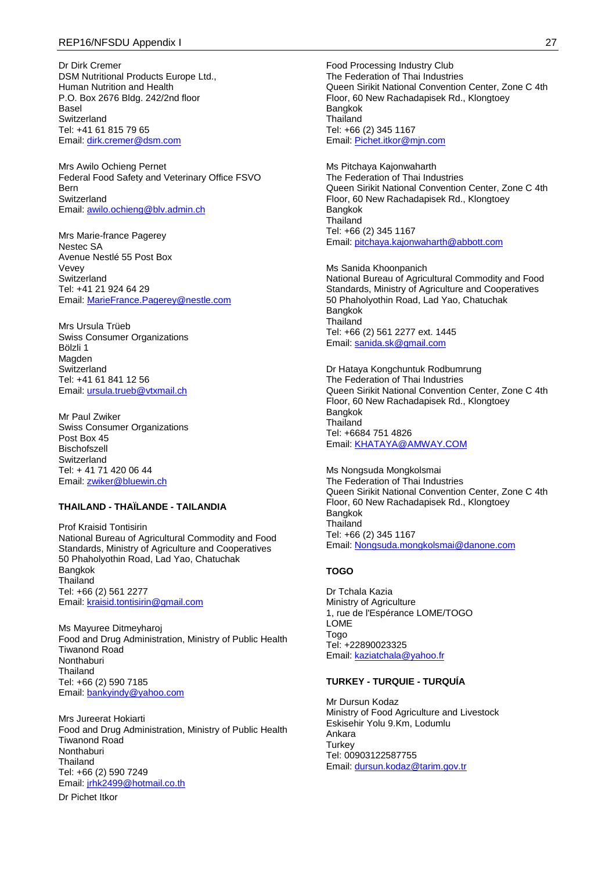Dr Dirk Cremer DSM Nutritional Products Europe Ltd., Human Nutrition and Health P.O. Box 2676 Bldg. 242/2nd floor Basel Switzerland Tel: +41 61 815 79 65 Email: [dirk.cremer@dsm.com](mailto:dirk.cremer@dsm.com)

Mrs Awilo Ochieng Pernet Federal Food Safety and Veterinary Office FSVO Bern Switzerland Email: [awilo.ochieng@blv.admin.ch](mailto:awilo.ochieng@blv.admin.ch)

Mrs Marie-france Pagerey Nestec SA Avenue Nestlé 55 Post Box Vevey **Switzerland** Tel: +41 21 924 64 29 Email: [MarieFrance.Pagerey@nestle.com](mailto:MarieFrance.Pagerey@nestle.com)

Mrs Ursula Trüeb Swiss Consumer Organizations Bölzli 1 Magden **Switzerland** Tel: +41 61 841 12 56 Email: [ursula.trueb@vtxmail.ch](mailto:ursula.trueb@vtxmail.ch)

Mr Paul Zwiker Swiss Consumer Organizations Post Box 45 Bischofszell Switzerland Tel: + 41 71 420 06 44 Email: [zwiker@bluewin.ch](mailto:zwiker@bluewin.ch)

### **THAILAND - THAÏLANDE - TAILANDIA**

Prof Kraisid Tontisirin National Bureau of Agricultural Commodity and Food Standards, Ministry of Agriculture and Cooperatives 50 Phaholyothin Road, Lad Yao, Chatuchak Bangkok **Thailand** Tel: +66 (2) 561 2277 Email: [kraisid.tontisirin@gmail.com](mailto:kraisid.tontisirin@gmail.com)

Ms Mayuree Ditmeyharoj Food and Drug Administration, Ministry of Public Health Tiwanond Road Nonthaburi Thailand Tel: +66 (2) 590 7185 Email: [bankyindy@yahoo.com](mailto:bankyindy@yahoo.com)

Mrs Jureerat Hokiarti Food and Drug Administration, Ministry of Public Health Tiwanond Road Nonthaburi **Thailand** Tel: +66 (2) 590 7249 Email: [jrhk2499@hotmail.co.th](mailto:jrhk2499@hotmail.co.th)

Dr Pichet Itkor

Food Processing Industry Club The Federation of Thai Industries Queen Sirikit National Convention Center, Zone C 4th Floor, 60 New Rachadapisek Rd., Klongtoey Bangkok Thailand Tel: +66 (2) 345 1167 Email: [Pichet.itkor@mjn.com](mailto:Pichet.itkor@mjn.com)

Ms Pitchaya Kajonwaharth The Federation of Thai Industries Queen Sirikit National Convention Center, Zone C 4th Floor, 60 New Rachadapisek Rd., Klongtoey Bangkok **Thailand** Tel: +66 (2) 345 1167 Email: [pitchaya.kajonwaharth@abbott.com](mailto:pitchaya.kajonwaharth@abbott.com)

Ms Sanida Khoonpanich National Bureau of Agricultural Commodity and Food Standards, Ministry of Agriculture and Cooperatives 50 Phaholyothin Road, Lad Yao, Chatuchak Bangkok **Thailand** Tel: +66 (2) 561 2277 ext. 1445 Email: [sanida.sk@gmail.com](mailto:sanida.sk@gmail.com)

Dr Hataya Kongchuntuk Rodbumrung The Federation of Thai Industries Queen Sirikit National Convention Center, Zone C 4th Floor, 60 New Rachadapisek Rd., Klongtoey Bangkok **Thailand** Tel: +6684 751 4826 Email: [KHATAYA@AMWAY.COM](mailto:KHATAYA@AMWAY.COM)

Ms Nongsuda Mongkolsmai The Federation of Thai Industries Queen Sirikit National Convention Center, Zone C 4th Floor, 60 New Rachadapisek Rd., Klongtoey Bangkok **Thailand** Tel: +66 (2) 345 1167 Email: [Nongsuda.mongkolsmai@danone.com](mailto:Nongsuda.mongkolsmai@danone.com)

#### **TOGO**

Dr Tchala Kazia Ministry of Agriculture 1, rue de l'Espérance LOME/TOGO LOME Togo Tel: +22890023325 Email: [kaziatchala@yahoo.fr](mailto:kaziatchala@yahoo.fr)

#### **TURKEY - TURQUIE - TURQUÍA**

Mr Dursun Kodaz Ministry of Food Agriculture and Livestock Eskisehir Yolu 9.Km, Lodumlu Ankara **Turkey** Tel: 00903122587755 Email: [dursun.kodaz@tarim.gov.tr](mailto:dursun.kodaz@tarim.gov.tr)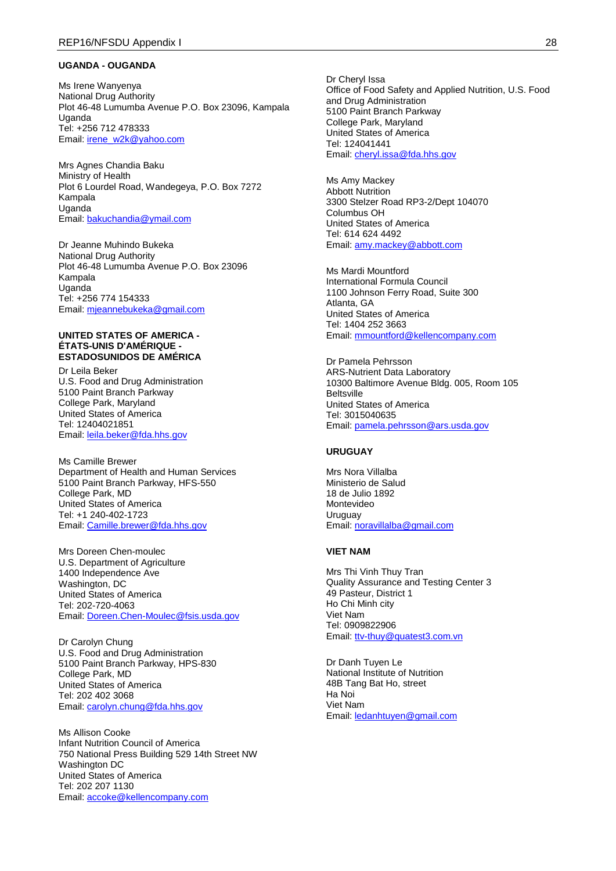#### **UGANDA - OUGANDA**

Ms Irene Wanyenya National Drug Authority Plot 46-48 Lumumba Avenue P.O. Box 23096, Kampala Uganda Tel: +256 712 478333 Email: [irene\\_w2k@yahoo.com](mailto:irene_w2k@yahoo.com)

Mrs Agnes Chandia Baku Ministry of Health Plot 6 Lourdel Road, Wandegeya, P.O. Box 7272 Kampala Uganda Email: [bakuchandia@ymail.com](mailto:bakuchandia@ymail.com)

Dr Jeanne Muhindo Bukeka National Drug Authority Plot 46-48 Lumumba Avenue P.O. Box 23096 Kampala Uganda Tel: +256 774 154333 Email: [mjeannebukeka@gmail.com](mailto:mjeannebukeka@gmail.com)

#### **UNITED STATES OF AMERICA - ÉTATS-UNIS D'AMÉRIQUE - ESTADOSUNIDOS DE AMÉRICA**

Dr Leila Beker U.S. Food and Drug Administration 5100 Paint Branch Parkway College Park, Maryland United States of America Tel: 12404021851 Email: [leila.beker@fda.hhs.gov](mailto:leila.beker@fda.hhs.gov)

Ms Camille Brewer Department of Health and Human Services 5100 Paint Branch Parkway, HFS-550 College Park, MD United States of America Tel: +1 240-402-1723 Email: [Camille.brewer@fda.hhs.gov](mailto:Camille.brewer@fda.hhs.gov)

Mrs Doreen Chen-moulec U.S. Department of Agriculture 1400 Independence Ave Washington, DC United States of America Tel: 202-720-4063 Email: [Doreen.Chen-Moulec@fsis.usda.gov](mailto:Doreen.Chen-Moulec@fsis.usda.gov)

Dr Carolyn Chung U.S. Food and Drug Administration 5100 Paint Branch Parkway, HPS-830 College Park, MD United States of America Tel: 202 402 3068 Email: [carolyn.chung@fda.hhs.gov](mailto:carolyn.chung@fda.hhs.gov)

Ms Allison Cooke Infant Nutrition Council of America 750 National Press Building 529 14th Street NW Washington DC United States of America Tel: 202 207 1130 Email: [accoke@kellencompany.com](mailto:accoke@kellencompany.com)

Dr Cheryl Issa Office of Food Safety and Applied Nutrition, U.S. Food and Drug Administration 5100 Paint Branch Parkway College Park, Maryland United States of America Tel: 124041441 Email: [cheryl.issa@fda.hhs.gov](mailto:cheryl.issa@fda.hhs.gov)

Ms Amy Mackey Abbott Nutrition 3300 Stelzer Road RP3-2/Dept 104070 Columbus OH United States of America Tel: 614 624 4492 Email: [amy.mackey@abbott.com](mailto:amy.mackey@abbott.com)

Ms Mardi Mountford International Formula Council 1100 Johnson Ferry Road, Suite 300 Atlanta, GA United States of America Tel: 1404 252 3663 Email: [mmountford@kellencompany.com](mailto:mmountford@kellencompany.com)

Dr Pamela Pehrsson ARS-Nutrient Data Laboratory 10300 Baltimore Avenue Bldg. 005, Room 105 Beltsville United States of America Tel: 3015040635 Email: [pamela.pehrsson@ars.usda.gov](mailto:pamela.pehrsson@ars.usda.gov)

## **URUGUAY**

Mrs Nora Villalba Ministerio de Salud 18 de Julio 1892 Montevideo Uruguay Email: [noravillalba@gmail.com](mailto:noravillalba@gmail.com)

#### **VIET NAM**

Mrs Thi Vinh Thuy Tran Quality Assurance and Testing Center 3 49 Pasteur, District 1 Ho Chi Minh city Viet Nam Tel: 0909822906 Email: [ttv-thuy@quatest3.com.vn](mailto:ttv-thuy@quatest3.com.vn)

Dr Danh Tuyen Le National Institute of Nutrition 48B Tang Bat Ho, street Ha Noi Viet Nam Email: [ledanhtuyen@gmail.com](mailto:ledanhtuyen@gmail.com)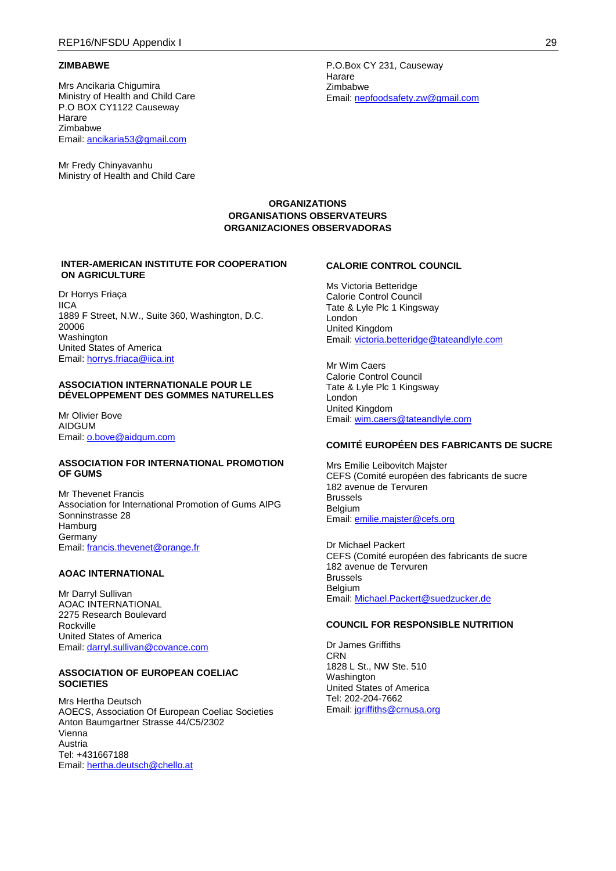#### **ZIMBABWE**

Mrs Ancikaria Chigumira Ministry of Health and Child Care P.O BOX CY1122 Causeway Harare Zimbabwe Email: [ancikaria53@gmail.com](mailto:ancikaria53@gmail.com)

Mr Fredy Chinyavanhu Ministry of Health and Child Care

P.O.Box CY 231, Causeway Harare Zimbabwe Email: [nepfoodsafety.zw@gmail.com](mailto:nepfoodsafety.zw@gmail.com)

### **ORGANIZATIONS ORGANISATIONS OBSERVATEURS ORGANIZACIONES OBSERVADORAS**

#### **INTER-AMERICAN INSTITUTE FOR COOPERATION ON AGRICULTURE**

Dr Horrys Friaça IICA 1889 F Street, N.W., Suite 360, Washington, D.C. 20006 **Washington** United States of America Email: [horrys.friaca@iica.int](mailto:horrys.friaca@iica.int)

#### **ASSOCIATION INTERNATIONALE POUR LE DÉVELOPPEMENT DES GOMMES NATURELLES**

Mr Olivier Bove AIDGUM Email: [o.bove@aidgum.com](mailto:o.bove@aidgum.com)

#### **ASSOCIATION FOR INTERNATIONAL PROMOTION OF GUMS**

Mr Thevenet Francis Association for International Promotion of Gums AIPG Sonninstrasse 28 **Hamburg Germany** Email: [francis.thevenet@orange.fr](mailto:francis.thevenet@orange.fr)

## **AOAC INTERNATIONAL**

Mr Darryl Sullivan AOAC INTERNATIONAL 2275 Research Boulevard Rockville United States of America Email: [darryl.sullivan@covance.com](mailto:darryl.sullivan@covance.com)

### **ASSOCIATION OF EUROPEAN COELIAC SOCIETIES**

Mrs Hertha Deutsch AOECS, Association Of European Coeliac Societies Anton Baumgartner Strasse 44/C5/2302 Vienna Austria Tel: +431667188 Email: [hertha.deutsch@chello.at](mailto:hertha.deutsch@chello.at)

## **CALORIE CONTROL COUNCIL**

Ms Victoria Betteridge Calorie Control Council Tate & Lyle Plc 1 Kingsway London United Kingdom Email: [victoria.betteridge@tateandlyle.com](mailto:victoria.betteridge@tateandlyle.com)

Mr Wim Caers Calorie Control Council Tate & Lyle Plc 1 Kingsway London United Kingdom Email: [wim.caers@tateandlyle.com](mailto:wim.caers@tateandlyle.com)

### **COMITÉ EUROPÉEN DES FABRICANTS DE SUCRE**

Mrs Emilie Leibovitch Majster CEFS (Comité européen des fabricants de sucre 182 avenue de Tervuren Brussels **Belgium** Email: [emilie.majster@cefs.org](mailto:emilie.majster@cefs.org)

Dr Michael Packert CEFS (Comité européen des fabricants de sucre 182 avenue de Tervuren Brussels Belgium Email: [Michael.Packert@suedzucker.de](mailto:Michael.Packert@suedzucker.de)

#### **COUNCIL FOR RESPONSIBLE NUTRITION**

Dr James Griffiths **CRN** 1828 L St., NW Ste. 510 Washington United States of America Tel: 202-204-7662 Email: [jgriffiths@crnusa.org](mailto:jgriffiths@crnusa.org)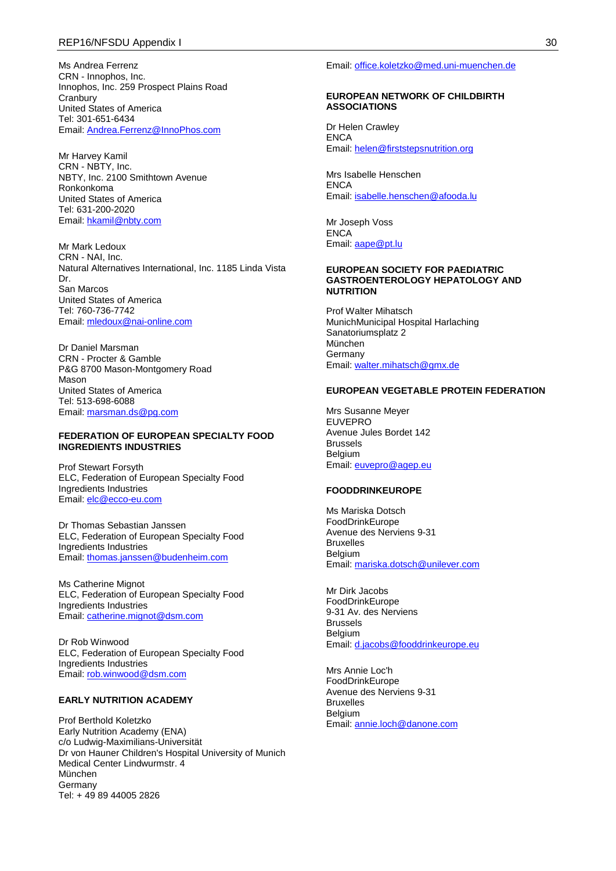Ms Andrea Ferrenz CRN - Innophos, Inc. Innophos, Inc. 259 Prospect Plains Road **Cranbury** United States of America Tel: 301-651-6434 Email: [Andrea.Ferrenz@InnoPhos.com](mailto:Andrea.Ferrenz@InnoPhos.com)

Mr Harvey Kamil CRN - NBTY, Inc. NBTY, Inc. 2100 Smithtown Avenue Ronkonkoma United States of America Tel: 631-200-2020 Email: [hkamil@nbty.com](mailto:hkamil@nbty.com)

Mr Mark Ledoux CRN - NAI, Inc. Natural Alternatives International, Inc. 1185 Linda Vista Dr. San Marcos United States of America Tel: 760-736-7742 Email: [mledoux@nai-online.com](mailto:mledoux@nai-online.com)

Dr Daniel Marsman CRN - Procter & Gamble P&G 8700 Mason-Montgomery Road Mason United States of America Tel: 513-698-6088 Email: [marsman.ds@pg.com](mailto:marsman.ds@pg.com)

### **FEDERATION OF EUROPEAN SPECIALTY FOOD INGREDIENTS INDUSTRIES**

Prof Stewart Forsyth ELC, Federation of European Specialty Food Ingredients Industries Email: [elc@ecco-eu.com](mailto:elc@ecco-eu.com)

Dr Thomas Sebastian Janssen ELC, Federation of European Specialty Food Ingredients Industries Email: [thomas.janssen@budenheim.com](mailto:thomas.janssen@budenheim.com)

Ms Catherine Mignot ELC, Federation of European Specialty Food Ingredients Industries Email: [catherine.mignot@dsm.com](mailto:catherine.mignot@dsm.com)

Dr Rob Winwood ELC, Federation of European Specialty Food Ingredients Industries Email: [rob.winwood@dsm.com](mailto:rob.winwood@dsm.com)

### **EARLY NUTRITION ACADEMY**

Prof Berthold Koletzko Early Nutrition Academy (ENA) c/o Ludwig-Maximilians-Universität Dr von Hauner Children's Hospital University of Munich Medical Center Lindwurmstr. 4 München Germany Tel: + 49 89 44005 2826

Email: [office.koletzko@med.uni-muenchen.de](mailto:office.koletzko@med.uni-muenchen.de)

#### **EUROPEAN NETWORK OF CHILDBIRTH ASSOCIATIONS**

Dr Helen Crawley **ENCA** Email: [helen@firststepsnutrition.org](mailto:helen@firststepsnutrition.org)

Mrs Isabelle Henschen **ENCA** Email: [isabelle.henschen@afooda.lu](mailto:isabelle.henschen@afooda.lu)

Mr Joseph Voss **ENCA** Email: [aape@pt.lu](mailto:aape@pt.lu)

#### **EUROPEAN SOCIETY FOR PAEDIATRIC GASTROENTEROLOGY HEPATOLOGY AND NUTRITION**

Prof Walter Mihatsch MunichMunicipal Hospital Harlaching Sanatoriumsplatz 2 München Germany Email: [walter.mihatsch@gmx.de](mailto:walter.mihatsch@gmx.de)

#### **EUROPEAN VEGETABLE PROTEIN FEDERATION**

Mrs Susanne Meyer EUVEPRO Avenue Jules Bordet 142 Brussels Belgium Email: [euvepro@agep.eu](mailto:euvepro@agep.eu)

#### **FOODDRINKEUROPE**

Ms Mariska Dotsch FoodDrinkEurope Avenue des Nerviens 9-31 Bruxelles Belgium Email: [mariska.dotsch@unilever.com](mailto:mariska.dotsch@unilever.com)

Mr Dirk Jacobs FoodDrinkEurope 9-31 Av. des Nerviens Brussels **Belgium** Email: [d.jacobs@fooddrinkeurope.eu](mailto:d.jacobs@fooddrinkeurope.eu)

Mrs Annie Loc'h FoodDrinkEurope Avenue des Nerviens 9-31 Bruxelles Belgium Email: [annie.loch@danone.com](mailto:annie.loch@danone.com)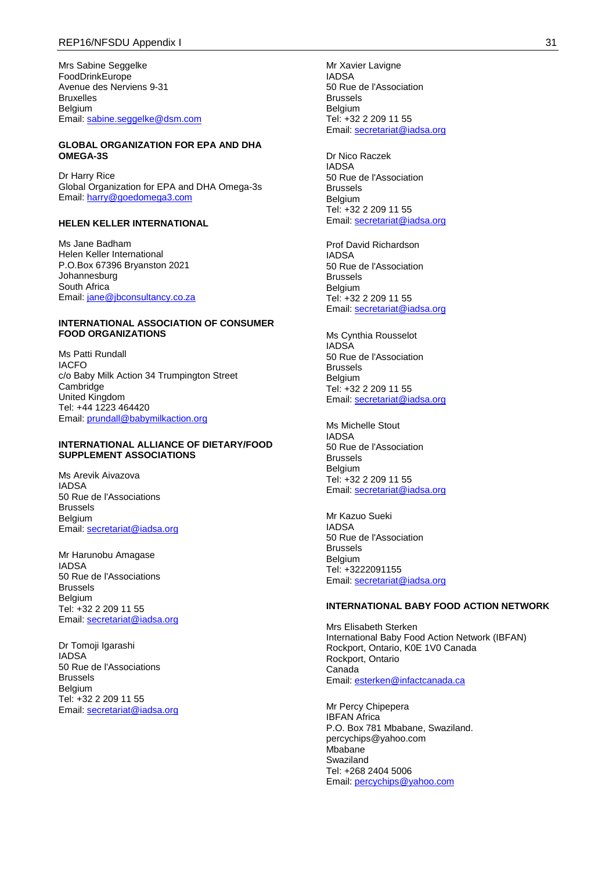Mrs Sabine Seggelke FoodDrinkEurope Avenue des Nerviens 9-31 Bruxelles Belgium Email: [sabine.seggelke@dsm.com](mailto:sabine.seggelke@dsm.com)

### **GLOBAL ORGANIZATION FOR EPA AND DHA OMEGA-3S**

Dr Harry Rice Global Organization for EPA and DHA Omega-3s Email: [harry@goedomega3.com](mailto:harry@goedomega3.com)

### **HELEN KELLER INTERNATIONAL**

Ms Jane Badham Helen Keller International P.O.Box 67396 Bryanston 2021 Johannesburg South Africa Email: [jane@jbconsultancy.co.za](mailto:jane@jbconsultancy.co.za)

#### **INTERNATIONAL ASSOCIATION OF CONSUMER FOOD ORGANIZATIONS**

Ms Patti Rundall IACFO c/o Baby Milk Action 34 Trumpington Street **Cambridge** United Kingdom Tel: +44 1223 464420 Email: [prundall@babymilkaction.org](mailto:prundall@babymilkaction.org)

#### **INTERNATIONAL ALLIANCE OF DIETARY/FOOD SUPPLEMENT ASSOCIATIONS**

Ms Arevik Aivazova IADSA 50 Rue de l'Associations Brussels Belgium Email: [secretariat@iadsa.org](mailto:secretariat@iadsa.org)

Mr Harunobu Amagase IADSA 50 Rue de l'Associations Brussels Belgium Tel: +32 2 209 11 55 Email: [secretariat@iadsa.org](mailto:secretariat@iadsa.org)

Dr Tomoji Igarashi IADSA 50 Rue de l'Associations Brussels **Belgium** Tel: +32 2 209 11 55 Email: [secretariat@iadsa.org](mailto:secretariat@iadsa.org)

Mr Xavier Lavigne IADSA 50 Rue de l'Association Brussels Belgium Tel: +32 2 209 11 55 Email: [secretariat@iadsa.org](mailto:secretariat@iadsa.org)

Dr Nico Raczek IADSA 50 Rue de l'Association Brussels Belgium Tel: +32 2 209 11 55 Email: [secretariat@iadsa.org](mailto:secretariat@iadsa.org)

Prof David Richardson IADSA 50 Rue de l'Association Brussels Belgium Tel: +32 2 209 11 55 Email: [secretariat@iadsa.org](mailto:secretariat@iadsa.org)

Ms Cynthia Rousselot IADSA 50 Rue de l'Association Brussels Belgium Tel: +32 2 209 11 55 Email: [secretariat@iadsa.org](mailto:secretariat@iadsa.org)

Ms Michelle Stout IADSA 50 Rue de l'Association Brussels **Belgium** Tel: +32 2 209 11 55 Email: [secretariat@iadsa.org](mailto:secretariat@iadsa.org)

Mr Kazuo Sueki IADSA 50 Rue de l'Association Brussels Belgium Tel: +3222091155 Email: [secretariat@iadsa.org](mailto:secretariat@iadsa.org)

### **INTERNATIONAL BABY FOOD ACTION NETWORK**

Mrs Elisabeth Sterken International Baby Food Action Network (IBFAN) Rockport, Ontario, K0E 1V0 Canada Rockport, Ontario Canada Email: [esterken@infactcanada.ca](mailto:esterken@infactcanada.ca)

Mr Percy Chipepera IBFAN Africa P.O. Box 781 Mbabane, Swaziland. percychips@yahoo.com **Mbabane** Swaziland Tel: +268 2404 5006 Email: [percychips@yahoo.com](mailto:percychips@yahoo.com)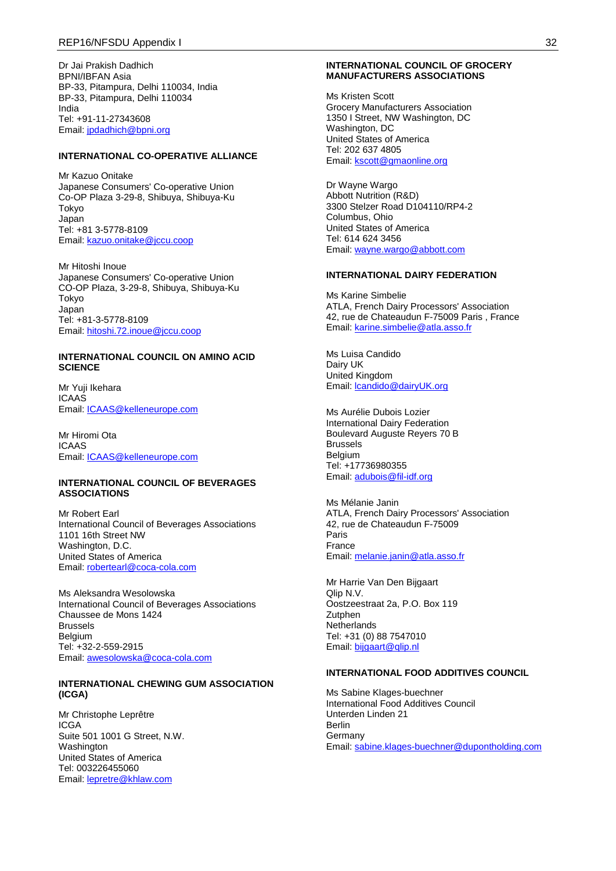Dr Jai Prakish Dadhich BPNI/IBFAN Asia BP-33, Pitampura, Delhi 110034, India BP-33, Pitampura, Delhi 110034 India Tel: +91-11-27343608 Email: [jpdadhich@bpni.org](mailto:jpdadhich@bpni.org)

### **INTERNATIONAL CO-OPERATIVE ALLIANCE**

Mr Kazuo Onitake Japanese Consumers' Co-operative Union Co-OP Plaza 3-29-8, Shibuya, Shibuya-Ku Tokyo Japan Tel: +81 3-5778-8109 Email: [kazuo.onitake@jccu.coop](mailto:kazuo.onitake@jccu.coop)

Mr Hitoshi Inoue Japanese Consumers' Co-operative Union CO-OP Plaza, 3-29-8, Shibuya, Shibuya-Ku Tokyo Japan Tel: +81-3-5778-8109 Email: [hitoshi.72.inoue@jccu.coop](mailto:hitoshi.72.inoue@jccu.coop)

#### **INTERNATIONAL COUNCIL ON AMINO ACID SCIENCE**

Mr Yuji Ikehara ICAAS Email: [ICAAS@kelleneurope.com](mailto:ICAAS@kelleneurope.com)

Mr Hiromi Ota ICAAS Email: [ICAAS@kelleneurope.com](mailto:ICAAS@kelleneurope.com)

#### **INTERNATIONAL COUNCIL OF BEVERAGES ASSOCIATIONS**

Mr Robert Earl International Council of Beverages Associations 1101 16th Street NW Washington, D.C. United States of America Email: [robertearl@coca-cola.com](mailto:robertearl@coca-cola.com)

Ms Aleksandra Wesolowska International Council of Beverages Associations Chaussee de Mons 1424 Brussels Belgium Tel: +32-2-559-2915 Email: [awesolowska@coca-cola.com](mailto:awesolowska@coca-cola.com)

#### **INTERNATIONAL CHEWING GUM ASSOCIATION (ICGA)**

Mr Christophe Leprêtre ICGA Suite 501 1001 G Street, N.W. Washington United States of America Tel: 003226455060 Email: [lepretre@khlaw.com](mailto:lepretre@khlaw.com)

#### **INTERNATIONAL COUNCIL OF GROCERY MANUFACTURERS ASSOCIATIONS**

Ms Kristen Scott Grocery Manufacturers Association 1350 I Street, NW Washington, DC Washington, DC United States of America Tel: 202 637 4805 Email: [kscott@gmaonline.org](mailto:kscott@gmaonline.org)

Dr Wayne Wargo Abbott Nutrition (R&D) 3300 Stelzer Road D104110/RP4-2 Columbus, Ohio United States of America Tel: 614 624 3456 Email: [wayne.wargo@abbott.com](mailto:wayne.wargo@abbott.com)

#### **INTERNATIONAL DAIRY FEDERATION**

Ms Karine Simbelie ATLA, French Dairy Processors' Association 42, rue de Chateaudun F-75009 Paris , France Email: [karine.simbelie@atla.asso.fr](mailto:karine.simbelie@atla.asso.fr)

Ms Luisa Candido Dairy UK United Kingdom Email: [lcandido@dairyUK.org](mailto:lcandido@dairyUK.org)

Ms Aurélie Dubois Lozier International Dairy Federation Boulevard Auguste Reyers 70 B Brussels Belgium Tel: +17736980355 Email: [adubois@fil-idf.org](mailto:adubois@fil-idf.org)

Ms Mélanie Janin ATLA, French Dairy Processors' Association 42, rue de Chateaudun F-75009 Paris France Email: [melanie.janin@atla.asso.fr](mailto:melanie.janin@atla.asso.fr)

Mr Harrie Van Den Bijgaart Qlip N.V. Oostzeestraat 2a, P.O. Box 119 **Zutphen Netherlands** Tel: +31 (0) 88 7547010 Email: [bijgaart@qlip.nl](mailto:bijgaart@qlip.nl)

#### **INTERNATIONAL FOOD ADDITIVES COUNCIL**

Ms Sabine Klages-buechner International Food Additives Council Unterden Linden 21 Berlin Germany Email: [sabine.klages-buechner@dupontholding.com](mailto:sabine.klages-buechner@dupontholding.com)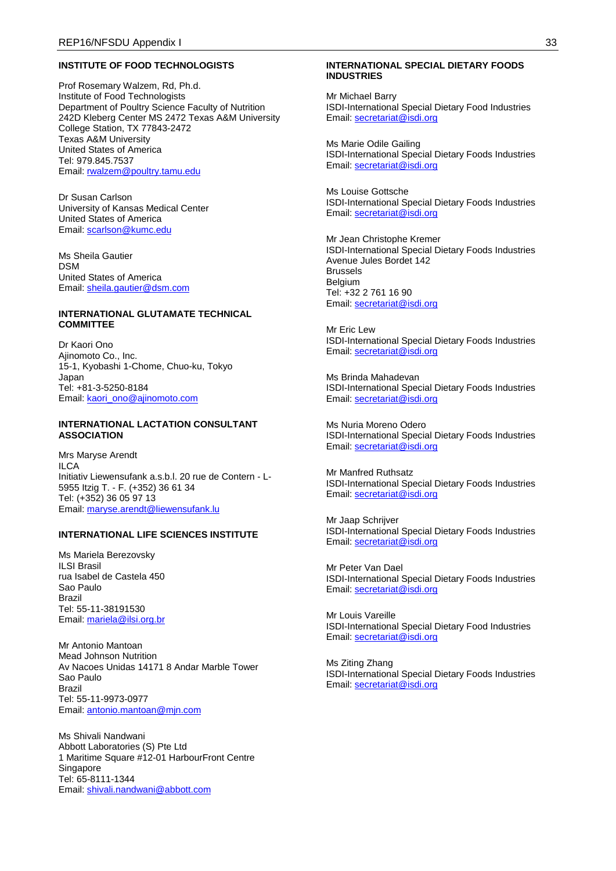#### **INSTITUTE OF FOOD TECHNOLOGISTS**

Prof Rosemary Walzem, Rd, Ph.d. Institute of Food Technologists Department of Poultry Science Faculty of Nutrition 242D Kleberg Center MS 2472 Texas A&M University College Station, TX 77843-2472 Texas A&M University United States of America Tel: 979.845.7537 Email: [rwalzem@poultry.tamu.edu](mailto:rwalzem@poultry.tamu.edu)

Dr Susan Carlson University of Kansas Medical Center United States of America Email: [scarlson@kumc.edu](mailto:scarlson@kumc.edu)

Ms Sheila Gautier DSM United States of America Email: [sheila.gautier@dsm.com](mailto:sheila.gautier@dsm.com)

#### **INTERNATIONAL GLUTAMATE TECHNICAL COMMITTEE**

Dr Kaori Ono Ajinomoto Co., Inc. 15-1, Kyobashi 1-Chome, Chuo-ku, Tokyo Japan Tel: +81-3-5250-8184 Email: [kaori\\_ono@ajinomoto.com](mailto:kaori_ono@ajinomoto.com)

#### **INTERNATIONAL LACTATION CONSULTANT ASSOCIATION**

Mrs Maryse Arendt **ILCA** Initiativ Liewensufank a.s.b.l. 20 rue de Contern - L-5955 Itzig T. - F. (+352) 36 61 34 Tel: (+352) 36 05 97 13 Email: [maryse.arendt@liewensufank.lu](mailto:maryse.arendt@liewensufank.lu)

#### **INTERNATIONAL LIFE SCIENCES INSTITUTE**

Ms Mariela Berezovsky ILSI Brasil rua Isabel de Castela 450 Sao Paulo Brazil Tel: 55-11-38191530 Email: [mariela@ilsi.org.br](mailto:mariela@ilsi.org.br)

Mr Antonio Mantoan Mead Johnson Nutrition Av Nacoes Unidas 14171 8 Andar Marble Tower Sao Paulo Brazil Tel: 55-11-9973-0977 Email: [antonio.mantoan@mjn.com](mailto:antonio.mantoan@mjn.com)

Ms Shivali Nandwani Abbott Laboratories (S) Pte Ltd 1 Maritime Square #12-01 HarbourFront Centre Singapore Tel: 65-8111-1344 Email: [shivali.nandwani@abbott.com](mailto:shivali.nandwani@abbott.com)

#### **INTERNATIONAL SPECIAL DIETARY FOODS INDUSTRIES**

Mr Michael Barry ISDI-International Special Dietary Food Industries Email: [secretariat@isdi.org](mailto:secretariat@isdi.org)

Ms Marie Odile Gailing ISDI-International Special Dietary Foods Industries Email: [secretariat@isdi.org](mailto:secretariat@isdi.org)

Ms Louise Gottsche ISDI-International Special Dietary Foods Industries Email: [secretariat@isdi.org](mailto:secretariat@isdi.org)

Mr Jean Christophe Kremer ISDI-International Special Dietary Foods Industries Avenue Jules Bordet 142 Brussels Belgium Tel: +32 2 761 16 90 Email: [secretariat@isdi.org](mailto:secretariat@isdi.org)

Mr Eric Lew ISDI-International Special Dietary Foods Industries Email: [secretariat@isdi.org](mailto:secretariat@isdi.org)

Ms Brinda Mahadevan ISDI-International Special Dietary Foods Industries Email: [secretariat@isdi.org](mailto:secretariat@isdi.org)

Ms Nuria Moreno Odero ISDI-International Special Dietary Foods Industries Email: [secretariat@isdi.org](mailto:secretariat@isdi.org)

Mr Manfred Ruthsatz ISDI-International Special Dietary Foods Industries Email: [secretariat@isdi.org](mailto:secretariat@isdi.org)

Mr Jaap Schrijver ISDI-International Special Dietary Foods Industries Email: [secretariat@isdi.org](mailto:secretariat@isdi.org)

Mr Peter Van Dael ISDI-International Special Dietary Foods Industries Email: [secretariat@isdi.org](mailto:secretariat@isdi.org)

Mr Louis Vareille ISDI-International Special Dietary Food Industries Email: [secretariat@isdi.org](mailto:secretariat@isdi.org)

Ms Ziting Zhang ISDI-International Special Dietary Foods Industries Email: [secretariat@isdi.org](mailto:secretariat@isdi.org)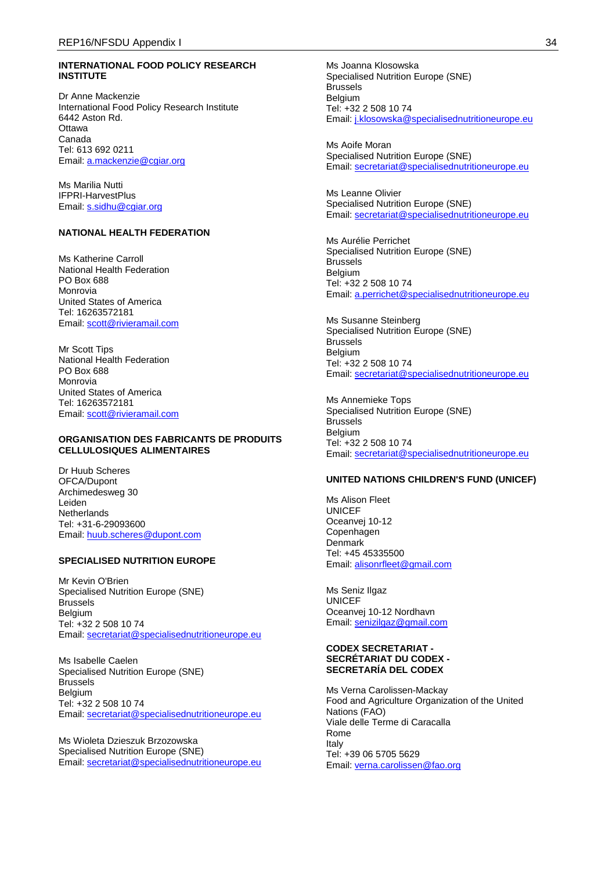### **INTERNATIONAL FOOD POLICY RESEARCH INSTITUTE**

Dr Anne Mackenzie International Food Policy Research Institute 6442 Aston Rd. **Ottawa** Canada Tel: 613 692 0211 Email: [a.mackenzie@cgiar.org](mailto:a.mackenzie@cgiar.org)

Ms Marilia Nutti IFPRI-HarvestPlus Email: [s.sidhu@cgiar.org](mailto:s.sidhu@cgiar.org)

### **NATIONAL HEALTH FEDERATION**

Ms Katherine Carroll National Health Federation PO Box 688 Monrovia United States of America Tel: 16263572181 Email: [scott@rivieramail.com](mailto:scott@rivieramail.com)

Mr Scott Tips National Health Federation PO Box 688 Monrovia United States of America Tel: 16263572181 Email: [scott@rivieramail.com](mailto:scott@rivieramail.com)

#### **ORGANISATION DES FABRICANTS DE PRODUITS CELLULOSIQUES ALIMENTAIRES**

Dr Huub Scheres OFCA/Dupont Archimedesweg 30 Leiden **Netherlands** Tel: +31-6-29093600 Email: [huub.scheres@dupont.com](mailto:huub.scheres@dupont.com)

#### **SPECIALISED NUTRITION EUROPE**

Mr Kevin O'Brien Specialised Nutrition Europe (SNE) Brussels Belgium Tel: +32 2 508 10 74 Email: [secretariat@specialisednutritioneurope.eu](mailto:secretariat@specialisednutritioneurope.eu)

Ms Isabelle Caelen Specialised Nutrition Europe (SNE) Brussels Belgium Tel: +32 2 508 10 74 Email: [secretariat@specialisednutritioneurope.eu](mailto:secretariat@specialisednutritioneurope.eu)

Ms Wioleta Dzieszuk Brzozowska Specialised Nutrition Europe (SNE) Email: [secretariat@specialisednutritioneurope.eu](mailto:secretariat@specialisednutritioneurope.eu)

Ms Joanna Klosowska Specialised Nutrition Europe (SNE) Brussels Belgium Tel: +32 2 508 10 74 Email: [j.klosowska@specialisednutritioneurope.eu](mailto:j.klosowska@specialisednutritioneurope.eu)

Ms Aoife Moran Specialised Nutrition Europe (SNE) Email: [secretariat@specialisednutritioneurope.eu](mailto:secretariat@specialisednutritioneurope.eu)

Ms Leanne Olivier Specialised Nutrition Europe (SNE) Email: [secretariat@specialisednutritioneurope.eu](mailto:secretariat@specialisednutritioneurope.eu)

Ms Aurélie Perrichet Specialised Nutrition Europe (SNE) **Brussels** Belgium Tel: +32 2 508 10 74 Email: [a.perrichet@specialisednutritioneurope.eu](mailto:a.perrichet@specialisednutritioneurope.eu)

Ms Susanne Steinberg Specialised Nutrition Europe (SNE) Brussels Belgium Tel: +32 2 508 10 74 Email: [secretariat@specialisednutritioneurope.eu](mailto:secretariat@specialisednutritioneurope.eu)

Ms Annemieke Tops Specialised Nutrition Europe (SNE) Brussels Belgium Tel: +32 2 508 10 74 Email: [secretariat@specialisednutritioneurope.eu](mailto:secretariat@specialisednutritioneurope.eu)

### **UNITED NATIONS CHILDREN'S FUND (UNICEF)**

Ms Alison Fleet UNICEF Oceanvej 10-12 Copenhagen Denmark Tel: +45 45335500 Email: [alisonrfleet@gmail.com](mailto:alisonrfleet@gmail.com)

Ms Seniz Ilgaz UNICEF Oceanvej 10-12 Nordhavn Email: [senizilgaz@gmail.com](mailto:senizilgaz@gmail.com)

#### **CODEX SECRETARIAT - SECRÉTARIAT DU CODEX - SECRETARÍA DEL CODEX**

Ms Verna Carolissen-Mackay Food and Agriculture Organization of the United Nations (FAO) Viale delle Terme di Caracalla Rome Italy Tel: +39 06 5705 5629 Email: [verna.carolissen@fao.org](mailto:verna.carolissen@fao.org)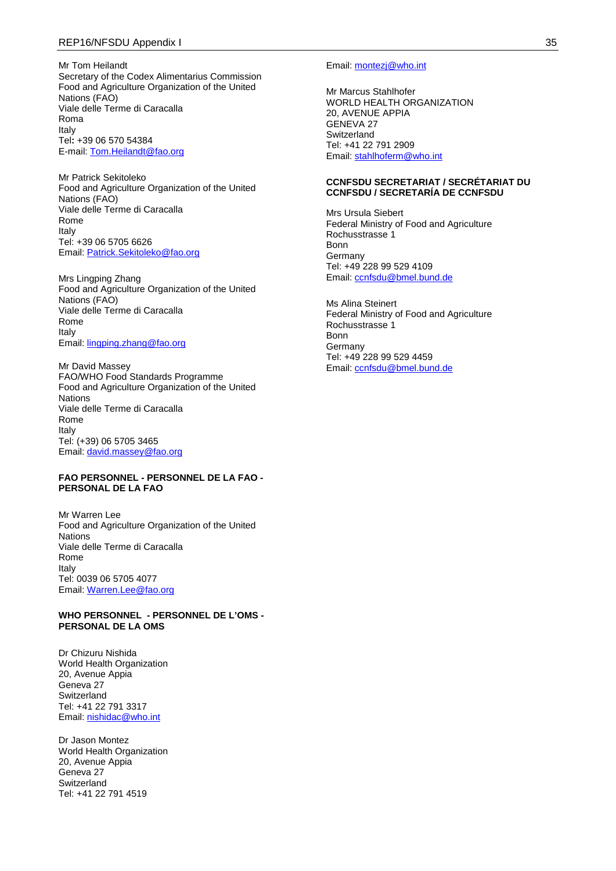Mr Tom Heilandt Secretary of the Codex Alimentarius Commission Food and Agriculture Organization of the United Nations (FAO) Viale delle Terme di Caracalla Roma Italy Tel**:** +39 06 570 54384 E-mail: [Tom.Heilandt@fao.org](mailto:Tom.Heilandt@fao.org)

Mr Patrick Sekitoleko Food and Agriculture Organization of the United Nations (FAO) Viale delle Terme di Caracalla Rome Italy Tel: +39 06 5705 6626 Email: [Patrick.Sekitoleko@fao.org](mailto:Patrick.Sekitoleko@fao.org)

Mrs Lingping Zhang Food and Agriculture Organization of the United Nations (FAO) Viale delle Terme di Caracalla Rome Italy Email: [lingping.zhang@fao.org](mailto:lingping.zhang@fao.org)

Mr David Massey FAO/WHO Food Standards Programme Food and Agriculture Organization of the United Nations Viale delle Terme di Caracalla Rome Italy Tel: (+39) 06 5705 3465 Email: [david.massey@fao.org](mailto:david.massey@fao.org)

#### **FAO PERSONNEL - PERSONNEL DE LA FAO - PERSONAL DE LA FAO**

Mr Warren Lee Food and Agriculture Organization of the United Nations Viale delle Terme di Caracalla Rome Italy Tel: 0039 06 5705 4077 Email: [Warren.Lee@fao.org](mailto:Warren.Lee@fao.org)

### **WHO PERSONNEL - PERSONNEL DE L'OMS - PERSONAL DE LA OMS**

Dr Chizuru Nishida World Health Organization 20, Avenue Appia Geneva 27 Switzerland Tel: +41 22 791 3317 Email: [nishidac@who.int](mailto:nishidac@who.int)

Dr Jason Montez World Health Organization 20, Avenue Appia Geneva 27 **Switzerland** Tel: +41 22 791 4519

#### Email: [montezj@who.int](mailto:montezj@who.int)

Mr Marcus Stahlhofer WORLD HEALTH ORGANIZATION 20, AVENUE APPIA GENEVA 27 **Switzerland** Tel: +41 22 791 2909 Email: [stahlhoferm@who.int](mailto:stahlhoferm@who.int)

#### **CCNFSDU SECRETARIAT / SECRÉTARIAT DU CCNFSDU / SECRETARÍA DE CCNFSDU**

Mrs Ursula Siebert Federal Ministry of Food and Agriculture Rochusstrasse 1 Bonn Germany Tel: +49 228 99 529 4109 Email: [ccnfsdu@bmel.bund.de](mailto:ccnfsdu@bmel.bund.de)

Ms Alina Steinert Federal Ministry of Food and Agriculture Rochusstrasse 1 Bonn **Germany** Tel: +49 228 99 529 4459 Email: [ccnfsdu@bmel.bund.de](mailto:ccnfsdu@bmel.bund.de)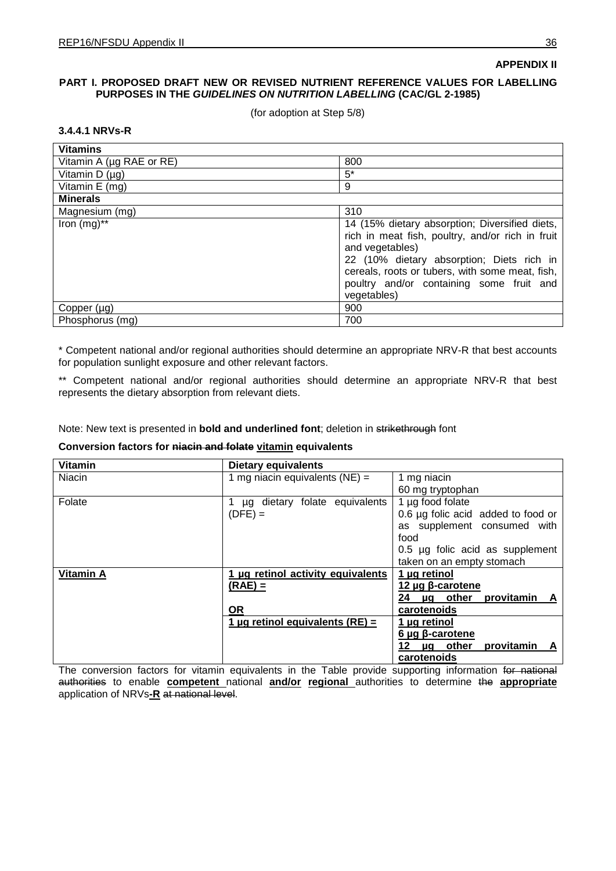## **PART I. PROPOSED DRAFT NEW OR REVISED NUTRIENT REFERENCE VALUES FOR LABELLING PURPOSES IN THE** *GUIDELINES ON NUTRITION LABELLING* **(CAC/GL 2-1985)**

(for adoption at Step 5/8)

## **3.4.4.1 NRVs-R**

| <b>Vitamins</b>          |                                                                                                                                                                                                                                                                                  |
|--------------------------|----------------------------------------------------------------------------------------------------------------------------------------------------------------------------------------------------------------------------------------------------------------------------------|
| Vitamin A (µg RAE or RE) | 800                                                                                                                                                                                                                                                                              |
| Vitamin D $(\mu g)$      | $5*$                                                                                                                                                                                                                                                                             |
| Vitamin E (mg)           | 9                                                                                                                                                                                                                                                                                |
| <b>Minerals</b>          |                                                                                                                                                                                                                                                                                  |
| Magnesium (mg)           | 310                                                                                                                                                                                                                                                                              |
| Iron $(mg)$ **           | 14 (15% dietary absorption; Diversified diets,<br>rich in meat fish, poultry, and/or rich in fruit<br>and vegetables)<br>22 (10% dietary absorption; Diets rich in<br>cereals, roots or tubers, with some meat, fish,<br>poultry and/or containing some fruit and<br>vegetables) |
| Copper $(\mu g)$         | 900                                                                                                                                                                                                                                                                              |
| Phosphorus (mg)          | 700                                                                                                                                                                                                                                                                              |

\* Competent national and/or regional authorities should determine an appropriate NRV-R that best accounts for population sunlight exposure and other relevant factors.

\*\* Competent national and/or regional authorities should determine an appropriate NRV-R that best represents the dietary absorption from relevant diets.

Note: New text is presented in **bold and underlined font**; deletion in strikethrough font

## **Conversion factors for niacin and folate vitamin equivalents**

| <b>Vitamin</b>   | <b>Dietary equivalents</b>                       |                                         |
|------------------|--------------------------------------------------|-----------------------------------------|
| Niacin           | 1 mg niacin equivalents $(NE)$ =                 | 1 mg niacin                             |
|                  |                                                  | 60 mg tryptophan                        |
| Folate           | dietary folate equivalents<br>$\mathbf{1}$<br>μg | 1 µg food folate                        |
|                  | $(DFE) =$                                        | 0.6 $\mu$ g folic acid added to food or |
|                  |                                                  | as supplement consumed with             |
|                  |                                                  | food                                    |
|                  |                                                  | 0.5 µg folic acid as supplement         |
|                  |                                                  | taken on an empty stomach               |
| <b>Vitamin A</b> | 1 µg retinol activity equivalents                | 1 µg retinol                            |
|                  | $(RAE) =$                                        | 12 $\mu$ g $\beta$ -carotene            |
|                  |                                                  | 24 µg other provitamin A                |
|                  | <b>OR</b>                                        | carotenoids                             |
|                  | 1 µg retinol equivalents $(RE) =$                | 1 µg retinol                            |
|                  |                                                  | $6 \mu g$ $\beta$ -carotene             |
|                  |                                                  | 12 µg other<br>provitamin A             |
|                  |                                                  | carotenoids                             |

The conversion factors for vitamin equivalents in the Table provide supporting information for national authorities to enable **competent** national **and/or regional** authorities to determine the **appropriate** application of NRVs**-R** at national level.

**APPENDIX II**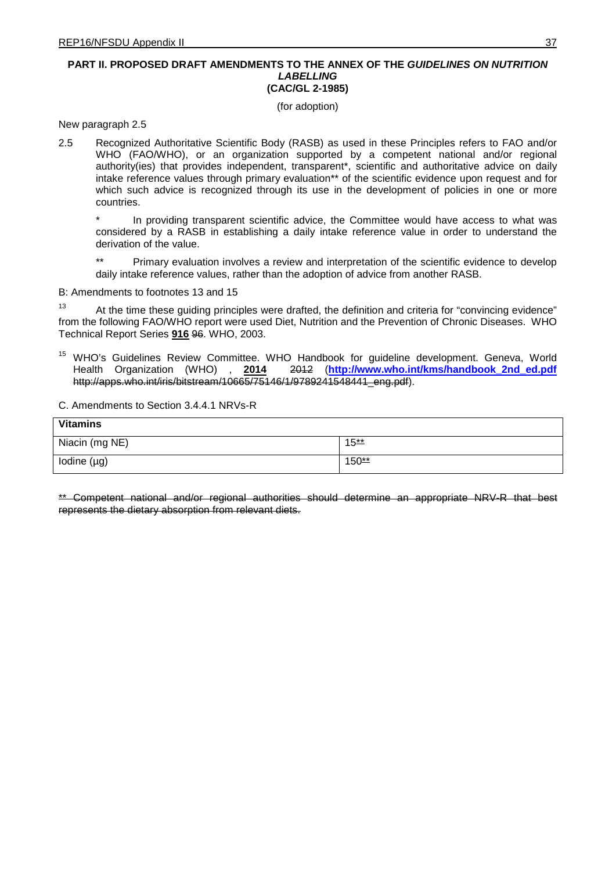### **PART II. PROPOSED DRAFT AMENDMENTS TO THE ANNEX OF THE** *GUIDELINES ON NUTRITION LABELLING* **(CAC/GL 2-1985)**

(for adoption)

New paragraph 2.5

2.5 Recognized Authoritative Scientific Body (RASB) as used in these Principles refers to FAO and/or WHO (FAO/WHO), or an organization supported by a competent national and/or regional authority(ies) that provides independent, transparent\*, scientific and authoritative advice on daily intake reference values through primary evaluation\*\* of the scientific evidence upon request and for which such advice is recognized through its use in the development of policies in one or more countries.

In providing transparent scientific advice, the Committee would have access to what was considered by a RASB in establishing a daily intake reference value in order to understand the derivation of the value.

\*\* Primary evaluation involves a review and interpretation of the scientific evidence to develop daily intake reference values, rather than the adoption of advice from another RASB.

B: Amendments to footnotes 13 and 15

<sup>13</sup> At the time these guiding principles were drafted, the definition and criteria for "convincing evidence" from the following FAO/WHO report were used Diet, Nutrition and the Prevention of Chronic Diseases. WHO Technical Report Series **916** 96. WHO, 2003.

<sup>15</sup> WHO's Guidelines Review Committee. WHO Handbook for guideline development. Geneva, World<br>Health Organization (WHO), 2014 2<del>012</del> (http://www.who.int/kms/handbook 2nd ed.pdf Health Organization (WHO) , **2014** 2012 (**[http://www.who.int/kms/handbook\\_2nd\\_ed.pdf](http://www.who.int/kms/handbook_2nd_ed.pdf)** http://apps.who.int/iris/bitstream/10665/75146/1/9789241548441\_eng.pdf).

C. Amendments to Section 3.4.4.1 NRVs-R

| <b>Vitamins</b>  |                   |
|------------------|-------------------|
| Niacin (mg NE)   | 15 <u>**</u>      |
| Iodine $(\mu g)$ | 150 <del>**</del> |

\*\* Competent national and/or regional authorities should determine an appropriate NRV-R that best represents the dietary absorption from relevant diets.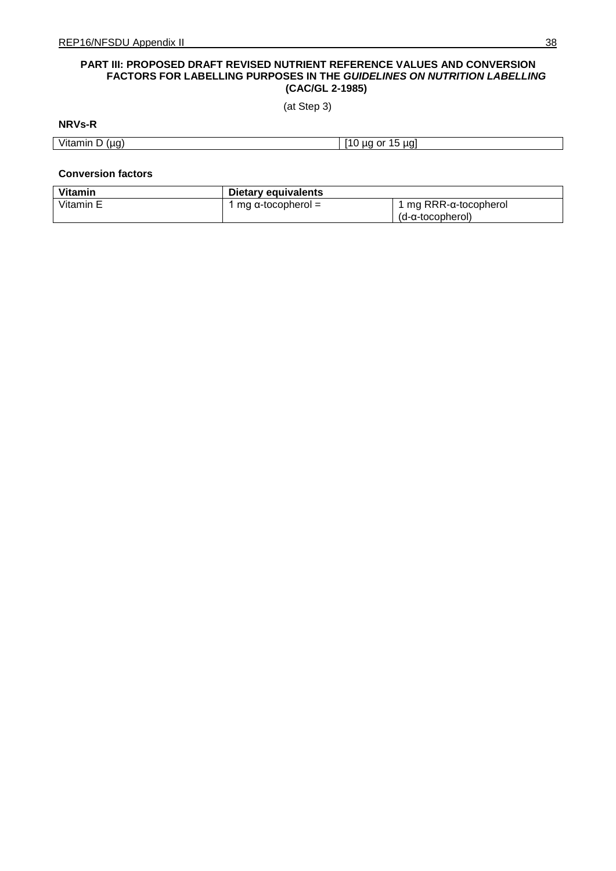## **PART III: PROPOSED DRAFT REVISED NUTRIENT REFERENCE VALUES AND CONVERSION FACTORS FOR LABELLING PURPOSES IN THE** *GUIDELINES ON NUTRITION LABELLING* **(CAC/GL 2-1985)**

(at Step 3)

# **NRVs-R**

|  | <b>STATE OF GROOM</b><br>Vitamin<br>(ua)<br>-<br>ש ו | . .<br>ua<br>0ľ<br><b>UC</b><br>. .<br>. |
|--|------------------------------------------------------|------------------------------------------|
|--|------------------------------------------------------|------------------------------------------|

### **Conversion factors**

| <b>Vitamin</b> | Dietary equivalents |                       |
|----------------|---------------------|-----------------------|
| Vitamin E      | mg α-tocopherol =   | 1 mg RRR-α-tocopherol |
|                |                     | (d-α-tocopherol)      |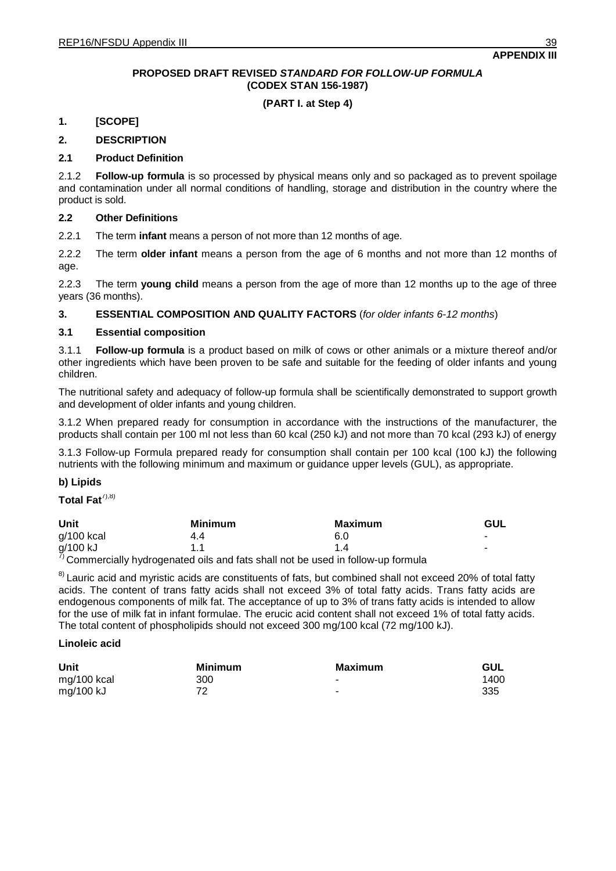## **PROPOSED DRAFT REVISED** *STANDARD FOR FOLLOW-UP FORMULA* **(CODEX STAN 156-1987)**

## **(PART I. at Step 4)**

## **1. [SCOPE]**

## **2. DESCRIPTION**

## **2.1 Product Definition**

2.1.2 **Follow-up formula** is so processed by physical means only and so packaged as to prevent spoilage and contamination under all normal conditions of handling, storage and distribution in the country where the product is sold.

## **2.2 Other Definitions**

2.2.1 The term **infant** means a person of not more than 12 months of age.

2.2.2 The term **older infant** means a person from the age of 6 months and not more than 12 months of age.

2.2.3 The term **young child** means a person from the age of more than 12 months up to the age of three years (36 months).

## **3. ESSENTIAL COMPOSITION AND QUALITY FACTORS** (*for older infants 6-12 months*)

## **3.1 Essential composition**

3.1.1 **Follow-up formula** is a product based on milk of cows or other animals or a mixture thereof and/or other ingredients which have been proven to be safe and suitable for the feeding of older infants and young children.

The nutritional safety and adequacy of follow-up formula shall be scientifically demonstrated to support growth and development of older infants and young children.

3.1.2 When prepared ready for consumption in accordance with the instructions of the manufacturer, the products shall contain per 100 ml not less than 60 kcal (250 kJ) and not more than 70 kcal (293 kJ) of energy

3.1.3 Follow-up Formula prepared ready for consumption shall contain per 100 kcal (100 kJ) the following nutrients with the following minimum and maximum or guidance upper levels (GUL), as appropriate.

## **b) Lipids**

## Total Fat<sup>7),8)</sup>

| Unit       | Minimum | Maximum                                                                                  | GUL |
|------------|---------|------------------------------------------------------------------------------------------|-----|
| g/100 kcal | 4.4     | 6.0                                                                                      |     |
| g/100 kJ   |         |                                                                                          | -   |
|            |         | $\theta$ Commorcially by drogonated oils and foto aboll not be used in follow up formula |     |

Commercially hydrogenated oils and fats shall not be used in follow-up formula

<sup>8)</sup> Lauric acid and myristic acids are constituents of fats, but combined shall not exceed 20% of total fatty acids. The content of trans fatty acids shall not exceed 3% of total fatty acids. Trans fatty acids are endogenous components of milk fat. The acceptance of up to 3% of trans fatty acids is intended to allow for the use of milk fat in infant formulae. The erucic acid content shall not exceed 1% of total fatty acids. The total content of phospholipids should not exceed 300 mg/100 kcal (72 mg/100 kJ).

### **Linoleic acid**

| Unit        | Minimum | <b>Maximum</b> | <b>GUL</b> |
|-------------|---------|----------------|------------|
| mg/100 kcal | 300     | ۰              | 1400       |
| mg/100 kJ   | 72      | ۰              | 335        |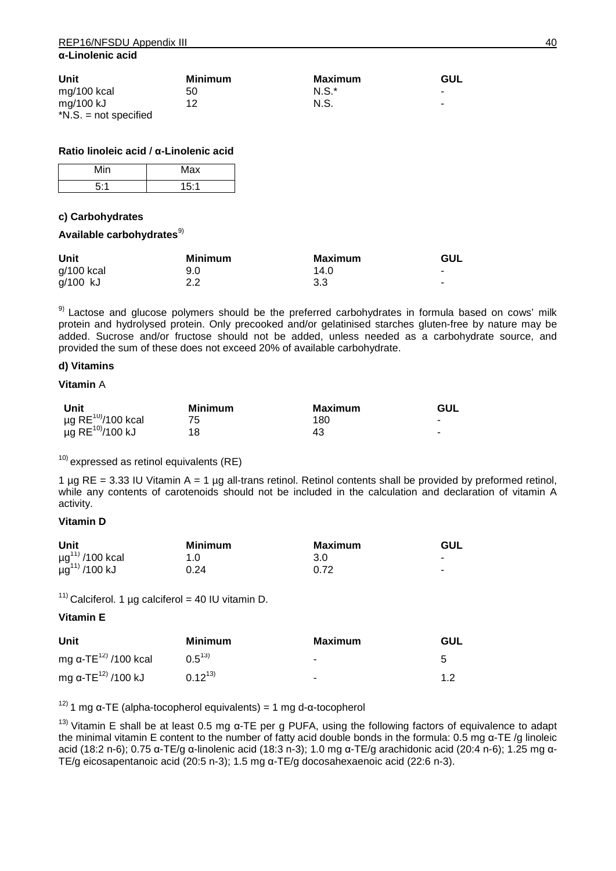| Unit                    | <b>Minimum</b> | Maximum  | GUL |
|-------------------------|----------------|----------|-----|
| mg/100 kcal             | 50             | $N.S.^*$ |     |
| mg/100 kJ               | 12             | N.S.     |     |
| $*N.S. = not specified$ |                |          |     |

## **Ratio linoleic acid / α-Linolenic acid**

| Min | Max  |
|-----|------|
| 5.1 | 15:1 |

## **c) Carbohydrates**

## Available carbohydrates<sup>9)</sup>

| Unit       | <b>Minimum</b> | Maximum | GUL                      |
|------------|----------------|---------|--------------------------|
| g/100 kcal | 9.0            | 14.0    | $\overline{\phantom{a}}$ |
| g/100 kJ   | 2.2            | 3.3     | $\overline{\phantom{a}}$ |

<sup>9)</sup> Lactose and glucose polymers should be the preferred carbohydrates in formula based on cows' milk protein and hydrolysed protein. Only precooked and/or gelatinised starches gluten-free by nature may be added. Sucrose and/or fructose should not be added, unless needed as a carbohydrate source, and provided the sum of these does not exceed 20% of available carbohydrate.

## **d) Vitamins**

## **Vitamin** A

| Unit                                | Minimum | Maximum | <b>GUL</b> |
|-------------------------------------|---------|---------|------------|
| $\mu$ g RE <sup>10)</sup> /100 kcal |         | 180     | $\,$       |
| $\mu$ g RE <sup>10)</sup> /100 kJ   | 18      | 43      | $\,$       |

 $10)$  expressed as retinol equivalents (RE)

1 µg RE = 3.33 IU Vitamin A = 1 µg all-trans retinol. Retinol contents shall be provided by preformed retinol, while any contents of carotenoids should not be included in the calculation and declaration of vitamin A activity.

## **Vitamin D**

| Unit                           | <b>Minimum</b> | Maximum | <b>GUL</b>               |
|--------------------------------|----------------|---------|--------------------------|
| $\mu g^{11}$ /100 kcal         | 1.0            | 3.0     | $\overline{\phantom{a}}$ |
| $\mu$ g <sup>11)</sup> /100 kJ | 0.24           | 0.72    |                          |

<sup>11)</sup> Calciferol. 1 µg calciferol = 40 IU vitamin D.

## **Vitamin E**

| Unit                             | Minimum     | Maximum | <b>GUL</b> |
|----------------------------------|-------------|---------|------------|
| mg α-TE <sup>12)</sup> /100 kcal | $0.5^{13}$  |         | 5          |
| mg α-ΤΕ <sup>12)</sup> /100 kJ   | $0.12^{13}$ |         |            |

<sup>12)</sup> 1 mg α-TE (alpha-tocopherol equivalents) = 1 mg d-α-tocopherol

<sup>13)</sup> Vitamin E shall be at least 0.5 mg α-TE per g PUFA, using the following factors of equivalence to adapt the minimal vitamin E content to the number of fatty acid double bonds in the formula: 0.5 mg α-TE /g linoleic acid (18:2 n-6); 0.75 α-TE/g α-linolenic acid (18:3 n-3); 1.0 mg α-TE/g arachidonic acid (20:4 n-6); 1.25 mg α-TE/g eicosapentanoic acid (20:5 n-3); 1.5 mg α-TE/g docosahexaenoic acid (22:6 n-3).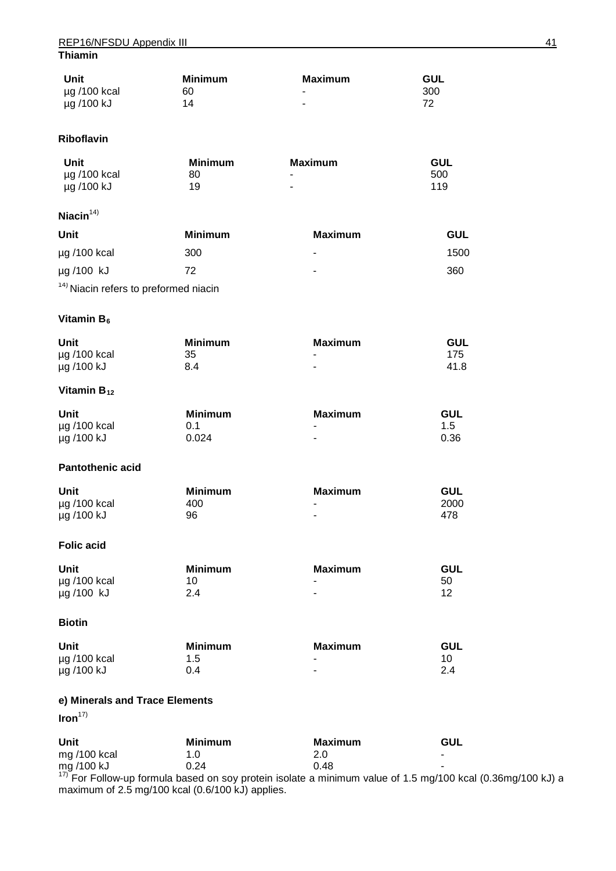## REP16/NFSDU Appendix III 41 **Thiamin**

| Unit         | Minimum | Maximum | <b>GUL</b> |
|--------------|---------|---------|------------|
| µg /100 kcal | 60      | ۰       | 300        |
| µg /100 kJ   | 14      |         |            |

## **Riboflavin**

| Unit              | <b>Minimum</b> | Maximum                  | GUL |
|-------------------|----------------|--------------------------|-----|
| $\mu$ g /100 kcal | 80             | ۰                        | 500 |
| µg /100 kJ        | 19             | $\overline{\phantom{a}}$ | 119 |

# **Niacin** 14)

| Unit                                             | Minimum | Maximum | GUL  |
|--------------------------------------------------|---------|---------|------|
| $\mu$ g /100 kcal                                | 300     | ۰       | 1500 |
| $\mu$ g /100 kJ                                  | 72      | ۰       | 360  |
| <sup>14)</sup> Niacin refers to preformed niacin |         |         |      |

## **Vitamin B<sub>6</sub>**

| Unit              | <b>Minimum</b> | Maximum | <b>GUL</b> |
|-------------------|----------------|---------|------------|
| $\mu$ g /100 kcal | 35             | ۰       | 175        |
| µg /100 kJ        | 8.4            | ۰       | 41.8       |

## **Vitamin B<sub>12</sub>**

| Unit              | <b>Minimum</b> | Maximum                  | GUL  |
|-------------------|----------------|--------------------------|------|
| $\mu$ g /100 kcal | 0.1            | $\overline{\phantom{a}}$ | 1.5  |
| µg /100 kJ        | 0.024          | ۰                        | 0.36 |

## **Pantothenic acid**

| Unit              | <b>Minimum</b> | Maximum | <b>GUL</b> |
|-------------------|----------------|---------|------------|
| $\mu$ g /100 kcal | 400            |         | 2000       |
| µg /100 kJ        | 96             | ۰       | 478        |

## **Folic acid**

| Unit              | <b>Minimum</b> | Maximum | <b>GUL</b> |
|-------------------|----------------|---------|------------|
| $\mu$ g /100 kcal | 10             | ۰.      | 50         |
| µg /100 kJ        | 2.4            |         |            |

## **Biotin**

| Unit              | <b>Minimum</b> | Maximum | GUL |
|-------------------|----------------|---------|-----|
| $\mu$ g /100 kcal | 1.5            | ۰       |     |
| µg /100 kJ        | 0.4            | ۰       | 2.4 |

## **e) Minerals and Trace Elements**

# **Iron**17)

| Unit           | Minimum | Maximum                                                                                                       | GUL |
|----------------|---------|---------------------------------------------------------------------------------------------------------------|-----|
| mg $/100$ kcal | 1.0     | 2.0                                                                                                           |     |
| mg /100 kJ     | 0.24    | በ 48                                                                                                          |     |
|                |         | $\frac{17}{17}$ Eq. Eq. Letter the formula begad on eq. t protein isolate a minimum value of 1.5 mg/100 keeps |     |

For Follow-up formula based on soy protein isolate a minimum value of 1.5 mg/100 kcal (0.36mg/100 kJ) a maximum of 2.5 mg/100 kcal (0.6/100 kJ) applies.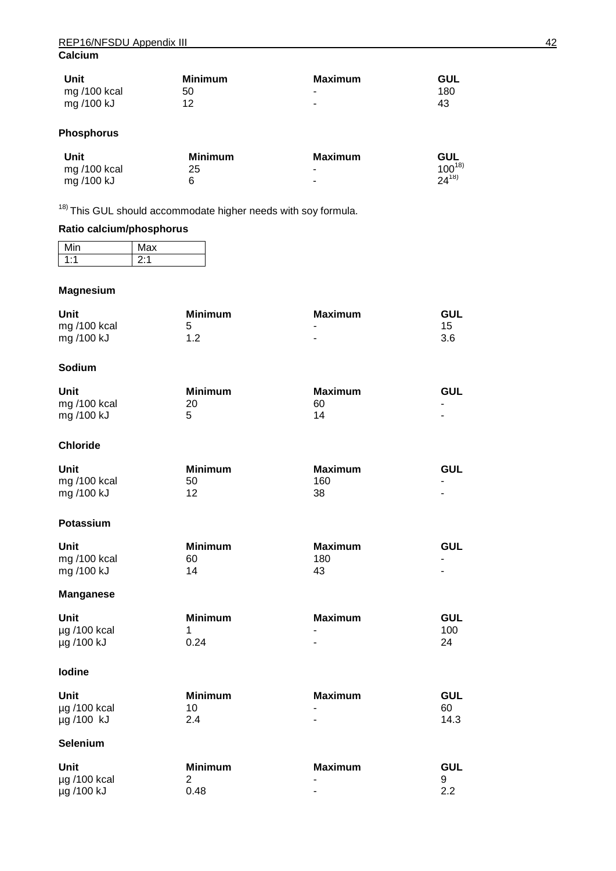| Unit         | <b>Minimum</b> | Maximum | <b>GUL</b> |
|--------------|----------------|---------|------------|
| mg /100 kcal | 50             | ۰       | 180        |
| mg /100 kJ   | 12             | ۰       | 43         |

# **Phosphorus**

| Unit         | <b>Minimum</b> | Maximum                  | GUL        |
|--------------|----------------|--------------------------|------------|
| mg /100 kcal | 25             | $\overline{\phantom{0}}$ | $100^{18}$ |
| mg /100 kJ   |                | $\overline{\phantom{0}}$ | $24^{18}$  |

<sup>18)</sup> This GUL should accommodate higher needs with soy formula.

# **Ratio calcium/phosphorus**

|     | аx<br>. . |
|-----|-----------|
| . . | ×         |
| ٠   | . .       |

## **Magnesium**

| Unit           | <b>Minimum</b> | Maximum | <b>GUL</b> |
|----------------|----------------|---------|------------|
| mg $/100$ kcal |                | ۰       | 15.        |
| mg /100 kJ     | ィっ             | -       | 3.6        |

## **Sodium**

| Unit         | <b>Minimum</b> | Maximum | <b>GUL</b>     |
|--------------|----------------|---------|----------------|
| mg /100 kcal | 20             | 60      | ۰              |
| mg /100 kJ   |                | 14      | $\blacksquare$ |

## **Chloride**

| Unit           | Minimum | Maximum | GUL |
|----------------|---------|---------|-----|
| mg $/100$ kcal | 50      | 160     | ۰   |
| mg /100 kJ     | 12      | 38      | -   |

### **Potassium**

| Unit           | <b>Minimum</b> | Maximum | GUL |
|----------------|----------------|---------|-----|
| mg $/100$ kcal | 60             | 180     |     |
| mg /100 kJ     | 14             | 43      | -   |

## **Manganese**

| Unit              | <b>Minimum</b> | Maximum | GUL |
|-------------------|----------------|---------|-----|
| $\mu$ g /100 kcal |                | ۰       | 100 |
| µg /100 kJ        | 0.24           | ۰       |     |

## **Iodine**

| Unit              | <b>Minimum</b> | Maximum | <b>GUL</b> |
|-------------------|----------------|---------|------------|
| $\mu$ g /100 kcal |                | -       | 60         |
| µg /100 kJ        | 2.4            | ۰       | 14.3       |

## **Selenium**

| Unit              | <b>Minimum</b> | Maximum                  | <b>GUL</b> |
|-------------------|----------------|--------------------------|------------|
| $\mu$ g /100 kcal |                | $\overline{\phantom{0}}$ |            |
| µg /100 kJ        | 0.48           | ۰                        |            |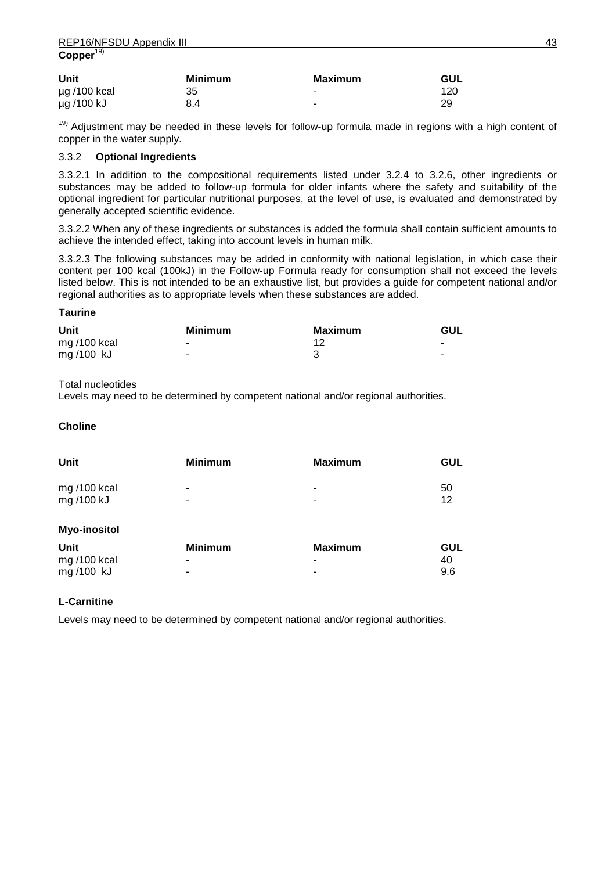| Unit              | <b>Minimum</b> | Maximum                  | GUL |
|-------------------|----------------|--------------------------|-----|
| $\mu$ g /100 kcal | 35             | . .                      | 120 |
| µg /100 kJ        | 8.4            | $\overline{\phantom{a}}$ | 29  |

<sup>19)</sup> Adjustment may be needed in these levels for follow-up formula made in regions with a high content of copper in the water supply.

## 3.3.2 **Optional Ingredients**

3.3.2.1 In addition to the compositional requirements listed under 3.2.4 to 3.2.6, other ingredients or substances may be added to follow-up formula for older infants where the safety and suitability of the optional ingredient for particular nutritional purposes, at the level of use, is evaluated and demonstrated by generally accepted scientific evidence.

3.3.2.2 When any of these ingredients or substances is added the formula shall contain sufficient amounts to achieve the intended effect, taking into account levels in human milk.

3.3.2.3 The following substances may be added in conformity with national legislation, in which case their content per 100 kcal (100kJ) in the Follow-up Formula ready for consumption shall not exceed the levels listed below. This is not intended to be an exhaustive list, but provides a guide for competent national and/or regional authorities as to appropriate levels when these substances are added.

## **Taurine**

| Unit           | <b>Minimum</b> | Maximum | <b>GUL</b>               |
|----------------|----------------|---------|--------------------------|
| mg $/100$ kcal |                |         | $\overline{\phantom{0}}$ |
| mg/100 kJ      | $\blacksquare$ |         | $\overline{\phantom{a}}$ |

## Total nucleotides

Levels may need to be determined by competent national and/or regional authorities.

## **Choline**

| Unit                | <b>Minimum</b> | <b>Maximum</b> | <b>GUL</b> |
|---------------------|----------------|----------------|------------|
| mg/100 kcal         |                | -              | 50         |
| mg /100 kJ          | ۰              | -              | 12         |
| <b>Myo-inositol</b> |                |                |            |
| Unit                | <b>Minimum</b> | <b>Maximum</b> | <b>GUL</b> |
| mg /100 kcal        | -              |                | 40         |

## **L-Carnitine**

Levels may need to be determined by competent national and/or regional authorities.

mg /100 kJ - - - - - - - - - 9.6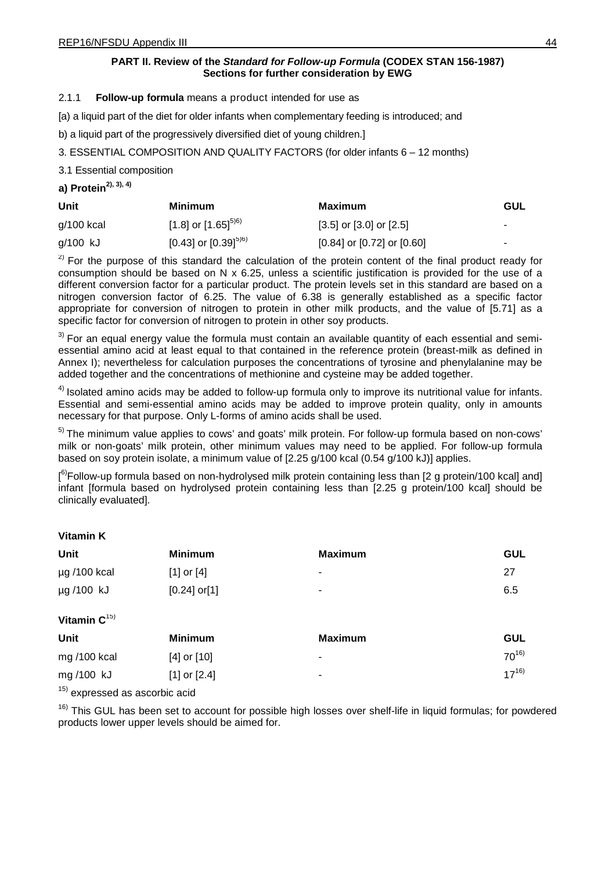## **PART II. Review of the** *Standard for Follow-up Formula* **(CODEX STAN 156-1987) Sections for further consideration by EWG**

# 2.1.1 **Follow-up formula** means a product intended for use as

[a) a liquid part of the diet for older infants when complementary feeding is introduced; and

b) a liquid part of the progressively diversified diet of young children.]

3. ESSENTIAL COMPOSITION AND QUALITY FACTORS (for older infants 6 – 12 months)

3.1 Essential composition

**a) Protein 2), 3), 4)**

| Unit         | <b>Minimum</b>             | Maximum                          | GUL                      |
|--------------|----------------------------|----------------------------------|--------------------------|
| $g/100$ kcal | [1.8] or $[1.65]^{5(6)}$   | $[3.5]$ or $[3.0]$ or $[2.5]$    | ۰                        |
| g/100 kJ     | [0.43] or [0.39] $^{5)6)}$ | $[0.84]$ or $[0.72]$ or $[0.60]$ | $\overline{\phantom{a}}$ |

 $2)$  For the purpose of this standard the calculation of the protein content of the final product ready for consumption should be based on N x 6.25, unless a scientific justification is provided for the use of a different conversion factor for a particular product. The protein levels set in this standard are based on a nitrogen conversion factor of 6.25. The value of 6.38 is generally established as a specific factor appropriate for conversion of nitrogen to protein in other milk products, and the value of [5.71] as a specific factor for conversion of nitrogen to protein in other soy products.

 $3)$  For an equal energy value the formula must contain an available quantity of each essential and semiessential amino acid at least equal to that contained in the reference protein (breast-milk as defined in Annex I); nevertheless for calculation purposes the concentrations of tyrosine and phenylalanine may be added together and the concentrations of methionine and cysteine may be added together.

 $4)$  Isolated amino acids may be added to follow-up formula only to improve its nutritional value for infants. Essential and semi-essential amino acids may be added to improve protein quality, only in amounts necessary for that purpose. Only L-forms of amino acids shall be used.

<sup>5)</sup> The minimum value applies to cows' and goats' milk protein. For follow-up formula based on non-cows' milk or non-goats' milk protein, other minimum values may need to be applied. For follow-up formula based on soy protein isolate, a minimum value of [2.25 g/100 kcal (0.54 g/100 kJ)] applies.

[<sup>6)</sup>Follow-up formula based on non-hydrolysed milk protein containing less than [2 g protein/100 kcal] and] infant [formula based on hydrolysed protein containing less than [2.25 g protein/100 kcal] should be clinically evaluated].

# **Vitamin K**

| <b>Unit</b>       | <b>Minimum</b>    | <b>Maximum</b> | <b>GUL</b> |
|-------------------|-------------------|----------------|------------|
| $\mu$ g /100 kcal | $[1]$ or $[4]$    | -              | 27         |
| µg /100 kJ        | $[0.24]$ or $[1]$ | ٠              | 6.5        |
| Vitamin $C^{15}$  |                   |                |            |
| Unit              | <b>Minimum</b>    | <b>Maximum</b> | <b>GUL</b> |
| mg /100 kcal      | $[4]$ or $[10]$   | -              | $70^{16}$  |
| mg/100 kJ         | $[1]$ or $[2.4]$  | -              | $17^{16}$  |

<sup>15)</sup> expressed as ascorbic acid

<sup>16)</sup> This GUL has been set to account for possible high losses over shelf-life in liquid formulas; for powdered products lower upper levels should be aimed for.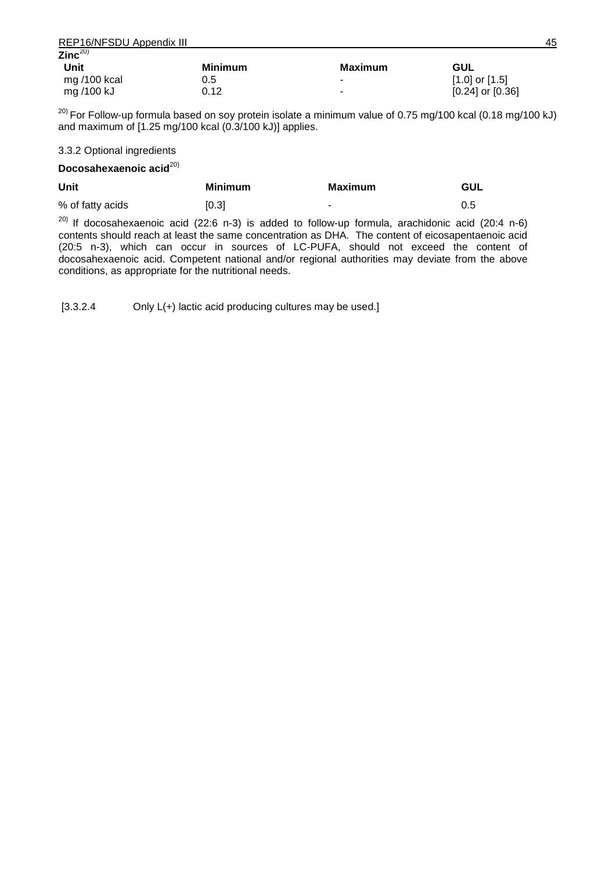| REP16/NFSDU Appendix III |                |                          |                      | 45 |
|--------------------------|----------------|--------------------------|----------------------|----|
| Zinc $^{20)}$            |                |                          |                      |    |
| Unit                     | <b>Minimum</b> | Maximum                  | GUL                  |    |
| mg $/100$ kcal           | 0.5            |                          | $[1.0]$ or $[1.5]$   |    |
| mg /100 kJ               | 0.12           | $\overline{\phantom{a}}$ | $[0.24]$ or $[0.36]$ |    |

<sup>20)</sup> For Follow-up formula based on soy protein isolate a minimum value of 0.75 mg/100 kcal (0.18 mg/100 kJ) and maximum of [1.25 mg/100 kcal (0.3/100 kJ)] applies.

## 3.3.2 Optional ingredients

### Docosahexaenoic acid<sup>20)</sup>

| Unit             | <b>Minimum</b> | <b>Maximum</b> | GUL |
|------------------|----------------|----------------|-----|
| % of fatty acids | [0.3]          | ٠              | 0.5 |

 $20$ ) If docosahexaenoic acid (22:6 n-3) is added to follow-up formula, arachidonic acid (20:4 n-6) contents should reach at least the same concentration as DHA. The content of eicosapentaenoic acid (20:5 n-3), which can occur in sources of LC-PUFA, should not exceed the content of docosahexaenoic acid. Competent national and/or regional authorities may deviate from the above conditions, as appropriate for the nutritional needs.

[3.3.2.4 Only L(+) lactic acid producing cultures may be used.]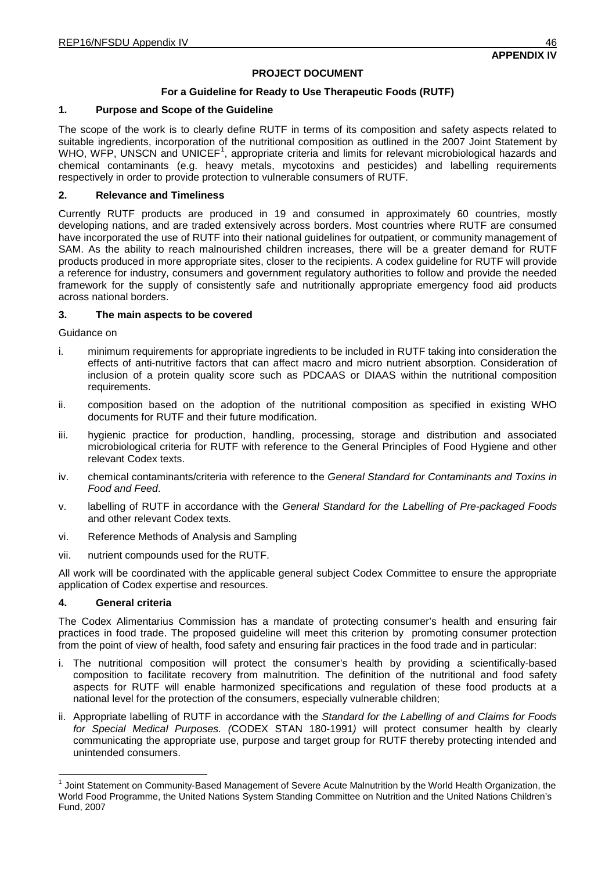## **PROJECT DOCUMENT**

## **For a Guideline for Ready to Use Therapeutic Foods (RUTF)**

## **1. Purpose and Scope of the Guideline**

The scope of the work is to clearly define RUTF in terms of its composition and safety aspects related to suitable ingredients, incorporation of the nutritional composition as outlined in the 2007 Joint Statement by WHO, WFP, UNSCN and UNICEF<sup>[1](#page-50-0)</sup>, appropriate criteria and limits for relevant microbiological hazards and chemical contaminants (e.g. heavy metals, mycotoxins and pesticides) and labelling requirements respectively in order to provide protection to vulnerable consumers of RUTF.

## **2. Relevance and Timeliness**

Currently RUTF products are produced in 19 and consumed in approximately 60 countries, mostly developing nations, and are traded extensively across borders. Most countries where RUTF are consumed have incorporated the use of RUTF into their national guidelines for outpatient, or community management of SAM. As the ability to reach malnourished children increases, there will be a greater demand for RUTF products produced in more appropriate sites, closer to the recipients. A codex guideline for RUTF will provide a reference for industry, consumers and government regulatory authorities to follow and provide the needed framework for the supply of consistently safe and nutritionally appropriate emergency food aid products across national borders.

### **3. The main aspects to be covered**

Guidance on

- i. minimum requirements for appropriate ingredients to be included in RUTF taking into consideration the effects of anti-nutritive factors that can affect macro and micro nutrient absorption. Consideration of inclusion of a protein quality score such as PDCAAS or DIAAS within the nutritional composition requirements.
- ii. composition based on the adoption of the nutritional composition as specified in existing WHO documents for RUTF and their future modification.
- iii. hygienic practice for production, handling, processing, storage and distribution and associated microbiological criteria for RUTF with reference to the General Principles of Food Hygiene and other relevant Codex texts.
- iv. chemical contaminants/criteria with reference to the *General Standard for Contaminants and Toxins in Food and Feed*.
- v. labelling of RUTF in accordance with the *General Standard for the Labelling of Pre-packaged Foods*  and other relevant Codex texts*.*
- vi. Reference Methods of Analysis and Sampling
- vii. nutrient compounds used for the RUTF.

All work will be coordinated with the applicable general subject Codex Committee to ensure the appropriate application of Codex expertise and resources.

## **4. General criteria**

The Codex Alimentarius Commission has a mandate of protecting consumer's health and ensuring fair practices in food trade. The proposed guideline will meet this criterion by promoting consumer protection from the point of view of health, food safety and ensuring fair practices in the food trade and in particular:

- i. The nutritional composition will protect the consumer's health by providing a scientifically-based composition to facilitate recovery from malnutrition. The definition of the nutritional and food safety aspects for RUTF will enable harmonized specifications and regulation of these food products at a national level for the protection of the consumers, especially vulnerable children;
- ii. Appropriate labelling of RUTF in accordance with the *Standard for the Labelling of and Claims for Foods for Special Medical Purposes. (*CODEX STAN 180-1991*)* will protect consumer health by clearly communicating the appropriate use, purpose and target group for RUTF thereby protecting intended and unintended consumers.

<span id="page-50-0"></span><sup>1</sup> Joint Statement on Community-Based Management of Severe Acute Malnutrition by the World Health Organization, the World Food Programme, the United Nations System Standing Committee on Nutrition and the United Nations Children's Fund, 2007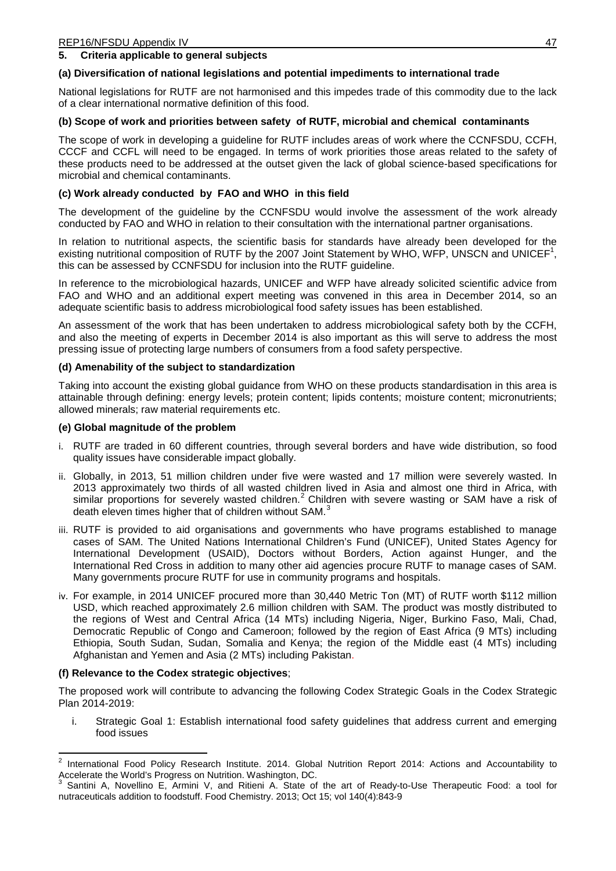## **5. Criteria applicable to general subjects**

## **(a) Diversification of national legislations and potential impediments to international trade**

National legislations for RUTF are not harmonised and this impedes trade of this commodity due to the lack of a clear international normative definition of this food.

## **(b) Scope of work and priorities between safety of RUTF, microbial and chemical contaminants**

The scope of work in developing a guideline for RUTF includes areas of work where the CCNFSDU, CCFH, CCCF and CCFL will need to be engaged. In terms of work priorities those areas related to the safety of these products need to be addressed at the outset given the lack of global science-based specifications for microbial and chemical contaminants.

## **(c) Work already conducted by FAO and WHO in this field**

The development of the guideline by the CCNFSDU would involve the assessment of the work already conducted by FAO and WHO in relation to their consultation with the international partner organisations.

In relation to nutritional aspects, the scientific basis for standards have already been developed for the existing nutritional composition of RUTF by the 2007 Joint Statement by WHO, WFP, UNSCN and UNICEF<sup>1</sup>, this can be assessed by CCNFSDU for inclusion into the RUTF guideline.

In reference to the microbiological hazards, UNICEF and WFP have already solicited scientific advice from FAO and WHO and an additional expert meeting was convened in this area in December 2014, so an adequate scientific basis to address microbiological food safety issues has been established.

An assessment of the work that has been undertaken to address microbiological safety both by the CCFH, and also the meeting of experts in December 2014 is also important as this will serve to address the most pressing issue of protecting large numbers of consumers from a food safety perspective.

### **(d) Amenability of the subject to standardization**

Taking into account the existing global guidance from WHO on these products standardisation in this area is attainable through defining: energy levels; protein content; lipids contents; moisture content; micronutrients; allowed minerals; raw material requirements etc.

### **(e) Global magnitude of the problem**

- i. RUTF are traded in 60 different countries, through several borders and have wide distribution, so food quality issues have considerable impact globally.
- ii. Globally, in 2013, 51 million children under five were wasted and 17 million were severely wasted. In 2013 approximately two thirds of all wasted children lived in Asia and almost one third in Africa, with similar proportions for severely wasted children.<sup>[2](#page-51-0)</sup> Children with severe wasting or SAM have a risk of death eleven times higher that of children without SAM.
- iii. RUTF is provided to aid organisations and governments who have programs established to manage cases of SAM. The United Nations International Children's Fund (UNICEF), United States Agency for International Development (USAID), Doctors without Borders, Action against Hunger, and the International Red Cross in addition to many other aid agencies procure RUTF to manage cases of SAM. Many governments procure RUTF for use in community programs and hospitals.
- iv. For example, in 2014 UNICEF procured more than 30,440 Metric Ton (MT) of RUTF worth \$112 million USD, which reached approximately 2.6 million children with SAM. The product was mostly distributed to the regions of West and Central Africa (14 MTs) including Nigeria, Niger, Burkino Faso, Mali, Chad, Democratic Republic of Congo and Cameroon; followed by the region of East Africa (9 MTs) including Ethiopia, South Sudan, Sudan, Somalia and Kenya; the region of the Middle east (4 MTs) including Afghanistan and Yemen and Asia (2 MTs) including Pakistan.

## **(f) Relevance to the Codex strategic objectives**;

The proposed work will contribute to advancing the following Codex Strategic Goals in the Codex Strategic Plan 2014-2019:

i. Strategic Goal 1: Establish international food safety guidelines that address current and emerging food issues

<span id="page-51-0"></span> $2$  International Food Policy Research Institute. 2014. Global Nutrition Report 2014: Actions and Accountability to Accelerate the World's Progress on Nutrition. Washington, DC.

<span id="page-51-1"></span>Santini A, Novellino E, Armini V, and Ritieni A. State of the art of Ready-to-Use Therapeutic Food: a tool for nutraceuticals addition to foodstuff. Food Chemistry. 2013; Oct 15; vol 140(4):843-9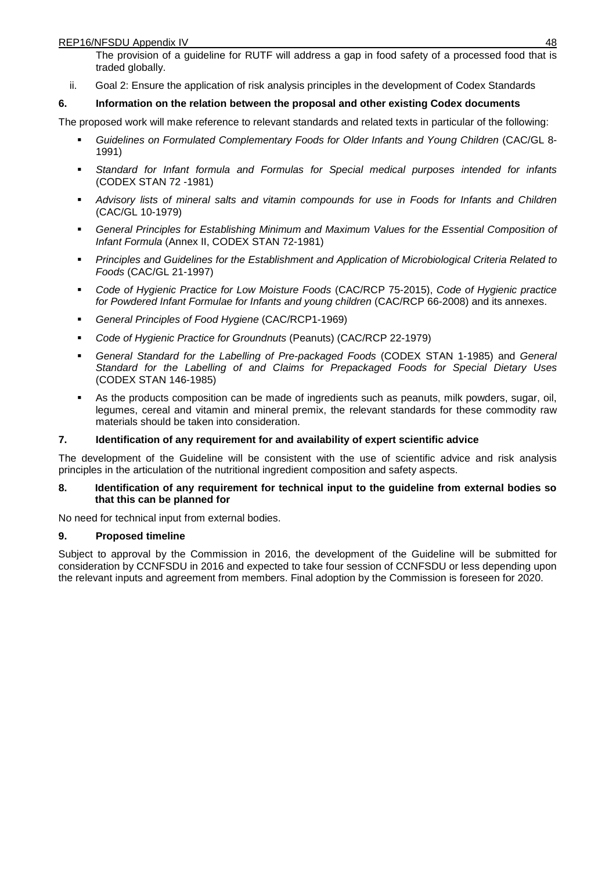The provision of a guideline for RUTF will address a gap in food safety of a processed food that is traded globally.

ii. Goal 2: Ensure the application of risk analysis principles in the development of Codex Standards

# **6. Information on the relation between the proposal and other existing Codex documents**

The proposed work will make reference to relevant standards and related texts in particular of the following:

- *Guidelines on Formulated Complementary Foods for Older Infants and Young Children* (CAC/GL 8- 1991)
- *Standard for Infant formula and Formulas for Special medical purposes intended for infants* (CODEX STAN 72 -1981)
- *Advisory lists of mineral salts and vitamin compounds for use in Foods for Infants and Children* (CAC/GL 10-1979)
- *General Principles for Establishing Minimum and Maximum Values for the Essential Composition of Infant Formula* (Annex II, CODEX STAN 72-1981)
- *Principles and Guidelines for the Establishment and Application of Microbiological Criteria Related to Foods* (CAC/GL 21-1997)
- *Code of Hygienic Practice for Low Moisture Foods* (CAC/RCP 75-2015), *Code of Hygienic practice for Powdered Infant Formulae for Infants and young children* (CAC/RCP 66-2008) and its annexes.
- *General Principles of Food Hygiene* (CAC/RCP1-1969)
- *Code of Hygienic Practice for Groundnuts* (Peanuts) (CAC/RCP 22-1979)
- *General Standard for the Labelling of Pre-packaged Foods* (CODEX STAN 1-1985) and *General Standard for the Labelling of and Claims for Prepackaged Foods for Special Dietary Uses* (CODEX STAN 146-1985)
- As the products composition can be made of ingredients such as peanuts, milk powders, sugar, oil, legumes, cereal and vitamin and mineral premix, the relevant standards for these commodity raw materials should be taken into consideration.

## **7. Identification of any requirement for and availability of expert scientific advice**

The development of the Guideline will be consistent with the use of scientific advice and risk analysis principles in the articulation of the nutritional ingredient composition and safety aspects.

## **8. Identification of any requirement for technical input to the guideline from external bodies so that this can be planned for**

No need for technical input from external bodies.

## **9. Proposed timeline**

Subject to approval by the Commission in 2016, the development of the Guideline will be submitted for consideration by CCNFSDU in 2016 and expected to take four session of CCNFSDU or less depending upon the relevant inputs and agreement from members. Final adoption by the Commission is foreseen for 2020.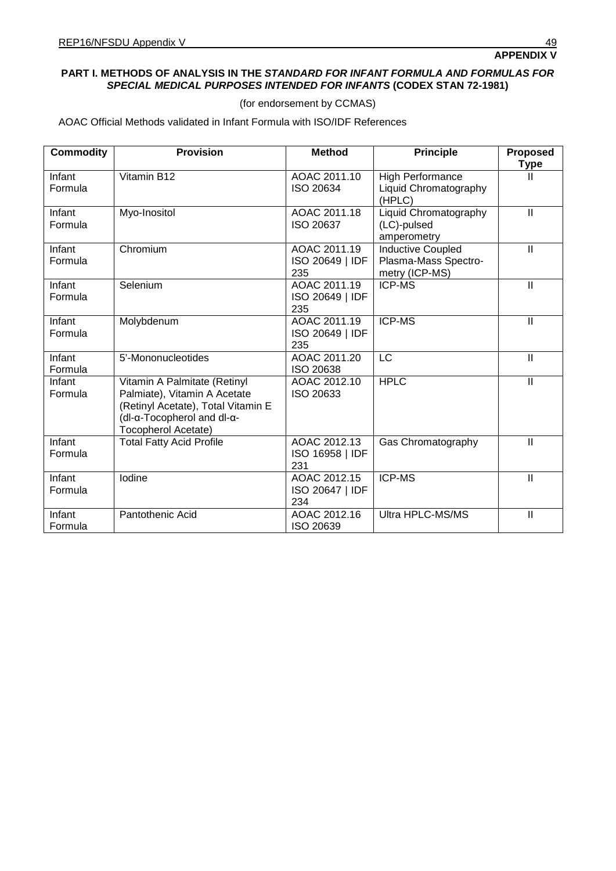## **PART I. METHODS OF ANALYSIS IN THE** *STANDARD FOR INFANT FORMULA AND FORMULAS FOR SPECIAL MEDICAL PURPOSES INTENDED FOR INFANTS* **(CODEX STAN 72-1981)**

(for endorsement by CCMAS)

AOAC Official Methods validated in Infant Formula with ISO/IDF References

| <b>Commodity</b>  | <b>Provision</b>                                                                                                                                        | <b>Method</b>                          | <b>Principle</b>                                                   | <b>Proposed</b><br><b>Type</b> |
|-------------------|---------------------------------------------------------------------------------------------------------------------------------------------------------|----------------------------------------|--------------------------------------------------------------------|--------------------------------|
| Infant<br>Formula | Vitamin B12                                                                                                                                             | AOAC 2011.10<br>ISO 20634              | <b>High Performance</b><br>Liquid Chromatography<br>(HPLC)         | Ш                              |
| Infant<br>Formula | Myo-Inositol                                                                                                                                            | AOAC 2011.18<br>ISO 20637              | Liquid Chromatography<br>(LC)-pulsed<br>amperometry                | $\ensuremath{\mathsf{II}}$     |
| Infant<br>Formula | Chromium                                                                                                                                                | AOAC 2011.19<br>ISO 20649   IDF<br>235 | <b>Inductive Coupled</b><br>Plasma-Mass Spectro-<br>metry (ICP-MS) | $\ensuremath{\mathsf{II}}$     |
| Infant<br>Formula | Selenium                                                                                                                                                | AOAC 2011.19<br>ISO 20649   IDF<br>235 | <b>ICP-MS</b>                                                      | $\mathbf{II}$                  |
| Infant<br>Formula | Molybdenum                                                                                                                                              | AOAC 2011.19<br>ISO 20649   IDF<br>235 | <b>ICP-MS</b>                                                      | $\ensuremath{\mathsf{II}}$     |
| Infant<br>Formula | 5'-Mononucleotides                                                                                                                                      | AOAC 2011.20<br>ISO 20638              | LC                                                                 | $\ensuremath{\mathsf{II}}$     |
| Infant<br>Formula | Vitamin A Palmitate (Retinyl<br>Palmiate), Vitamin A Acetate<br>(Retinyl Acetate), Total Vitamin E<br>(dl-α-Tocopherol and dl-α-<br>Tocopherol Acetate) | AOAC 2012.10<br>ISO 20633              | <b>HPLC</b>                                                        | $\mathbf{II}$                  |
| Infant<br>Formula | <b>Total Fatty Acid Profile</b>                                                                                                                         | AOAC 2012.13<br>ISO 16958   IDF<br>231 | Gas Chromatography                                                 | $\mathbf{  }$                  |
| Infant<br>Formula | lodine                                                                                                                                                  | AOAC 2012.15<br>ISO 20647   IDF<br>234 | <b>ICP-MS</b>                                                      | $\mathbf{II}$                  |
| Infant<br>Formula | Pantothenic Acid                                                                                                                                        | AOAC 2012.16<br>ISO 20639              | Ultra HPLC-MS/MS                                                   | $\ensuremath{\mathsf{II}}$     |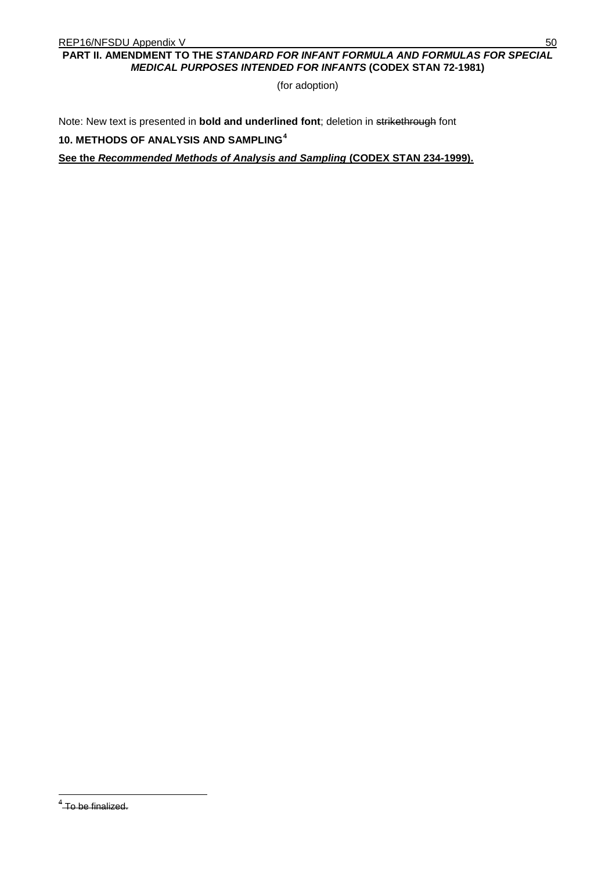# **PART II. AMENDMENT TO THE** *STANDARD FOR INFANT FORMULA AND FORMULAS FOR SPECIAL MEDICAL PURPOSES INTENDED FOR INFANTS* **(CODEX STAN 72-1981)**

(for adoption)

Note: New text is presented in **bold and underlined font**; deletion in strikethrough font

**10. METHODS OF ANALYSIS AND SAMPLING [4](#page-54-0)**

**See the** *Recommended Methods of Analysis and Sampling* **(CODEX STAN 234-1999).**

<span id="page-54-0"></span><sup>&</sup>lt;sup>4</sup> To be finalized.